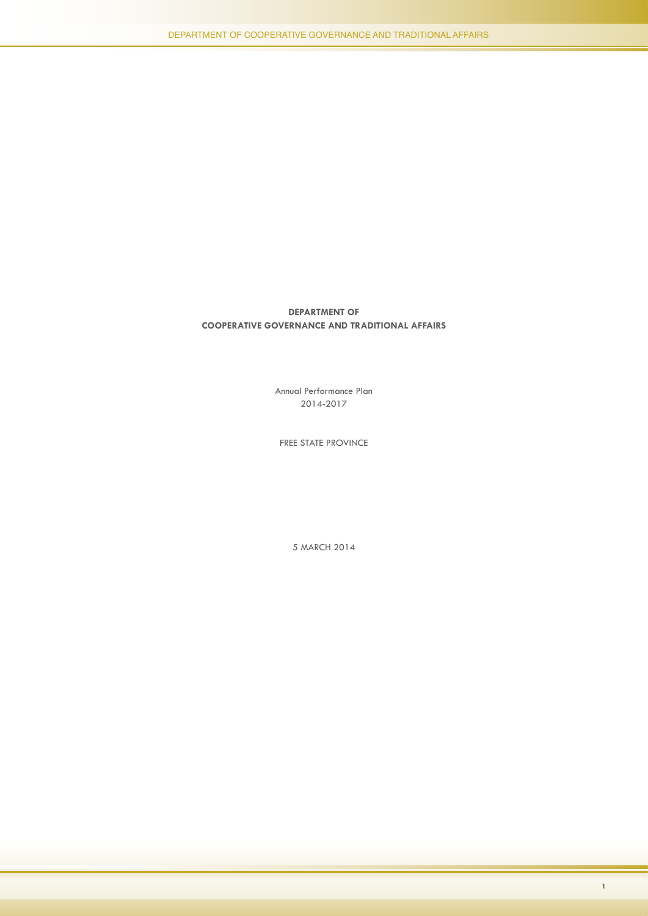Annual Performance Plan 2014-2017

FREE STATE PROVINCE

5 MARCH 2014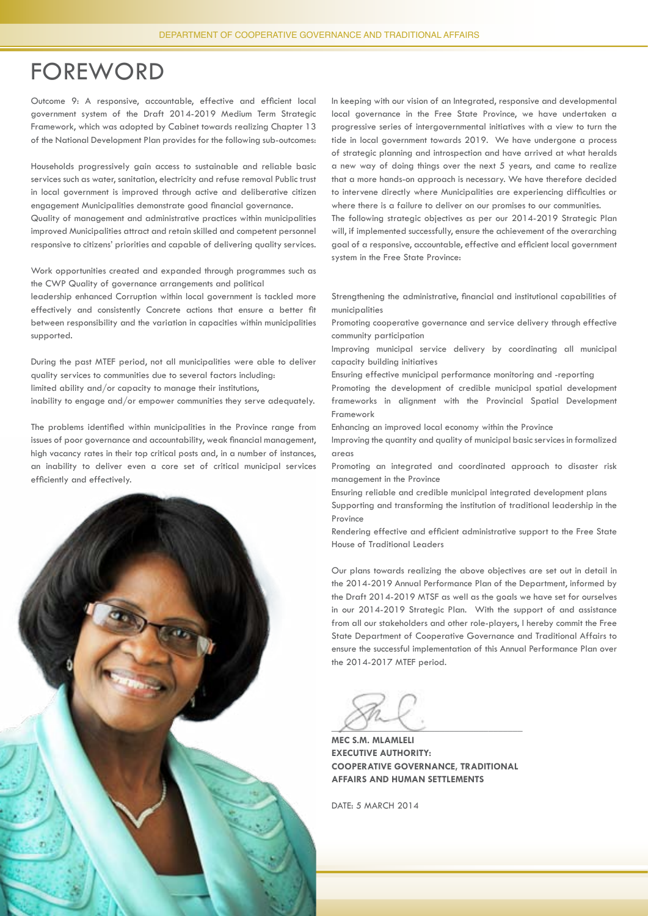### FOREWORD

Outcome 9: A responsive, accountable, effective and efficient local government system of the Draft 2014-2019 Medium Term Strategic Framework, which was adopted by Cabinet towards realizing Chapter 13 of the National Development Plan provides for the following sub-outcomes:

Households progressively gain access to sustainable and reliable basic services such as water, sanitation, electricity and refuse removal Public trust in local government is improved through active and deliberative citizen engagement Municipalities demonstrate good financial governance.

Quality of management and administrative practices within municipalities improved Municipalities attract and retain skilled and competent personnel responsive to citizens' priorities and capable of delivering quality services.

Work opportunities created and expanded through programmes such as the CWP Quality of governance arrangements and political

leadership enhanced Corruption within local government is tackled more effectively and consistently Concrete actions that ensure a better fit between responsibility and the variation in capacities within municipalities supported.

During the past MTEF period, not all municipalities were able to deliver quality services to communities due to several factors including: limited ability and/or capacity to manage their institutions,

inability to engage and/or empower communities they serve adequately.

The problems identified within municipalities in the Province range from issues of poor governance and accountability, weak financial management, high vacancy rates in their top critical posts and, in a number of instances, an inability to deliver even a core set of critical municipal services efficiently and effectively.



In keeping with our vision of an Integrated, responsive and developmental local governance in the Free State Province, we have undertaken a progressive series of intergovernmental initiatives with a view to turn the tide in local government towards 2019. We have undergone a process of strategic planning and introspection and have arrived at what heralds a new way of doing things over the next 5 years, and came to realize that a more hands-on approach is necessary. We have therefore decided to intervene directly where Municipalities are experiencing difficulties or where there is a failure to deliver on our promises to our communities.

The following strategic objectives as per our 2014-2019 Strategic Plan will, if implemented successfully, ensure the achievement of the overarching goal of a responsive, accountable, effective and efficient local government system in the Free State Province:

Strengthening the administrative, financial and institutional capabilities of municipalities

Promoting cooperative governance and service delivery through effective community participation

Improving municipal service delivery by coordinating all municipal capacity building initiatives

Ensuring effective municipal performance monitoring and -reporting

Promoting the development of credible municipal spatial development frameworks in alignment with the Provincial Spatial Development Framework

Enhancing an improved local economy within the Province

Improving the quantity and quality of municipal basic services in formalized areas

Promoting an integrated and coordinated approach to disaster risk management in the Province

Ensuring reliable and credible municipal integrated development plans

Supporting and transforming the institution of traditional leadership in the Province

Rendering effective and efficient administrative support to the Free State House of Traditional Leaders

Our plans towards realizing the above objectives are set out in detail in the 2014-2019 Annual Performance Plan of the Department, informed by the Draft 2014-2019 MTSF as well as the goals we have set for ourselves in our 2014-2019 Strategic Plan. With the support of and assistance from all our stakeholders and other role-players, I hereby commit the Free State Department of Cooperative Governance and Traditional Affairs to ensure the successful implementation of this Annual Performance Plan over the 2014-2017 MTEF period.

 $\sim$ 

**MEC S.M. MLAMLELI EXECUTIVE AUTHORITY: COOPERATIVE GOVERNANCE, TRADITIONAL AFFAIRS AND HUMAN SETTLEMENTS**

DATE: 5 MARCH 2014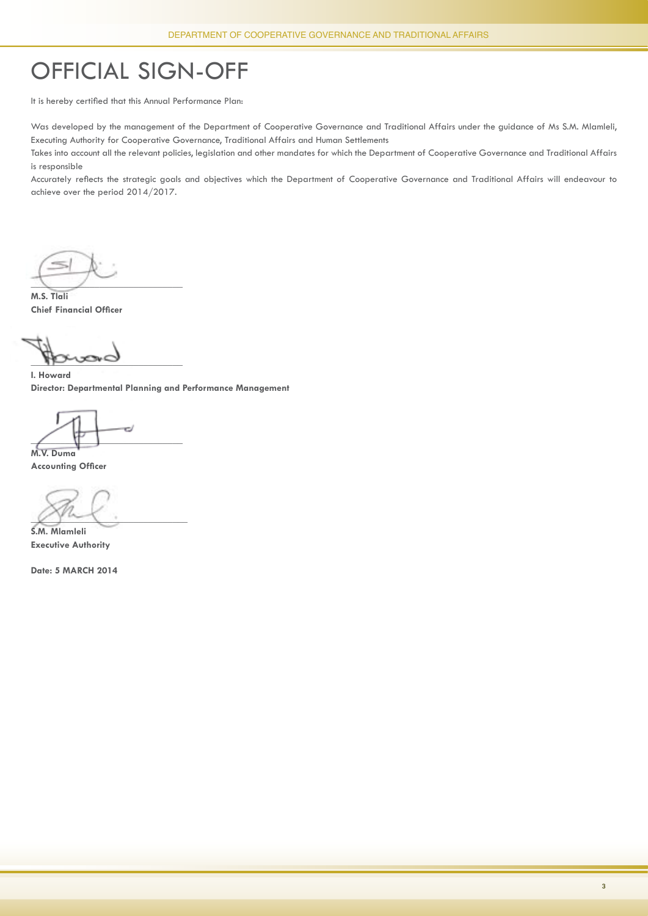# official sign-off

It is hereby certified that this Annual Performance Plan:

Was developed by the management of the Department of Cooperative Governance and Traditional Affairs under the guidance of Ms S.M. Mlamleli, Executing Authority for Cooperative Governance, Traditional Affairs and Human Settlements

Takes into account all the relevant policies, legislation and other mandates for which the Department of Cooperative Governance and Traditional Affairs is responsible

Accurately reflects the strategic goals and objectives which the Department of Cooperative Governance and Traditional Affairs will endeavour to achieve over the period 2014/2017.

 $\sqrt{2}$ 

**M.S. Tlali Chief Financial Officer** 

 $\mathbb{R}$ 

**I. Howard Director: Departmental Planning and Performance Management**

e.  $\angle$   $\uparrow$   $\uparrow$   $\downarrow$ **M.V. Duma**

**Accounting Officer** 

 $\chi$   $\chi$   $\sim$   $\chi$   $\sim$   $\chi$   $\sim$   $\chi$   $\sim$   $\chi$   $\sim$   $\chi$   $\sim$   $\chi$   $\sim$   $\chi$   $\sim$   $\chi$   $\sim$   $\chi$   $\sim$   $\chi$   $\sim$   $\chi$   $\sim$   $\chi$   $\sim$   $\chi$   $\sim$   $\chi$   $\sim$   $\chi$   $\sim$   $\chi$   $\sim$   $\chi$   $\sim$   $\chi$   $\sim$   $\chi$   $\sim$   $\chi$   $\sim$   $\chi$ 

**S.M. Mlamleli Executive Authority**

**Date: 5 MARCH 2014**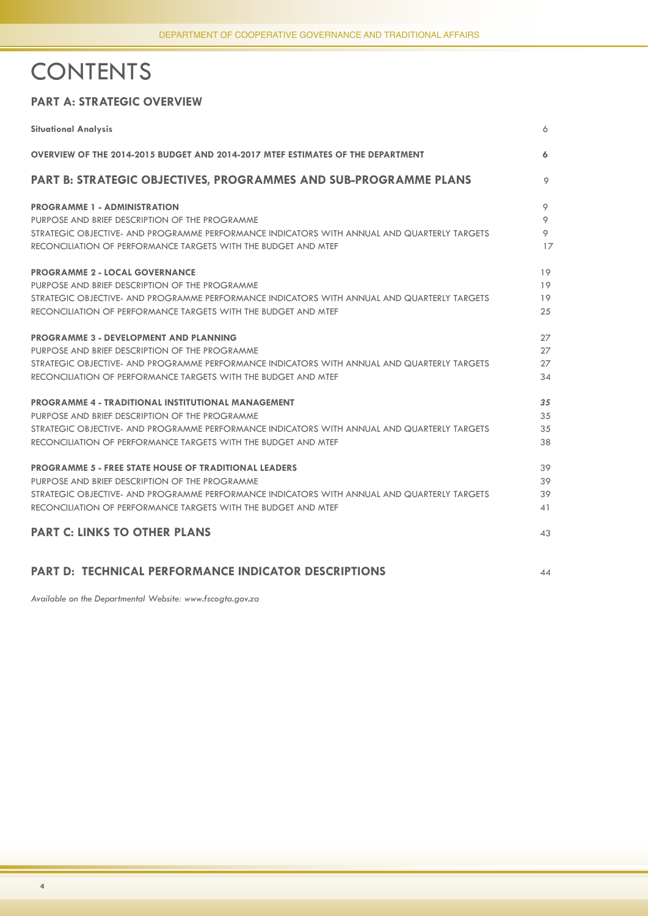# **CONTENTS**

#### **PART A: STRATEGIC OVERVIEW**

| <b>Situational Analysis</b>                                                                 | 6  |
|---------------------------------------------------------------------------------------------|----|
| OVERVIEW OF THE 2014-2015 BUDGET AND 2014-2017 MTEF ESTIMATES OF THE DEPARTMENT             | 6  |
| <b>PART B: STRATEGIC OBJECTIVES, PROGRAMMES AND SUB-PROGRAMME PLANS</b>                     | 9  |
| <b>PROGRAMME 1 - ADMINISTRATION</b>                                                         | 9  |
| PURPOSE AND BRIEF DESCRIPTION OF THE PROGRAMME                                              | 9  |
| STRATEGIC OBJECTIVE- AND PROGRAMME PERFORMANCE INDICATORS WITH ANNUAL AND QUARTERLY TARGETS | 9  |
| RECONCILIATION OF PERFORMANCE TARGETS WITH THE BUDGET AND MTEF                              | 17 |
| <b>PROGRAMME 2 - LOCAL GOVERNANCE</b>                                                       | 19 |
| PURPOSE AND BRIEF DESCRIPTION OF THE PROGRAMME                                              | 19 |
| STRATEGIC OBJECTIVE- AND PROGRAMME PERFORMANCE INDICATORS WITH ANNUAL AND QUARTERLY TARGETS | 19 |
| RECONCILIATION OF PERFORMANCE TARGETS WITH THE BUDGET AND MTEF                              | 25 |
| <b>PROGRAMME 3 - DEVELOPMENT AND PLANNING</b>                                               | 27 |
| PURPOSE AND BRIEF DESCRIPTION OF THE PROGRAMME                                              | 27 |
| STRATEGIC OBJECTIVE- AND PROGRAMME PERFORMANCE INDICATORS WITH ANNUAL AND QUARTERLY TARGETS | 27 |
| RECONCILIATION OF PERFORMANCE TARGETS WITH THE BUDGET AND MTEF                              | 34 |
| <b>PROGRAMME 4 - TRADITIONAL INSTITUTIONAL MANAGEMENT</b>                                   | 35 |
| PURPOSE AND BRIEF DESCRIPTION OF THE PROGRAMME                                              | 35 |
| STRATEGIC OBJECTIVE- AND PROGRAMME PERFORMANCE INDICATORS WITH ANNUAL AND QUARTERLY TARGETS | 35 |
| RECONCILIATION OF PERFORMANCE TARGETS WITH THE BUDGET AND MTEF                              | 38 |
| <b>PROGRAMME 5 - FREE STATE HOUSE OF TRADITIONAL LEADERS</b>                                | 39 |
| PURPOSE AND BRIEF DESCRIPTION OF THE PROGRAMME                                              | 39 |
| strategic objective- and programme performance indicators with annual and quarterly targets | 39 |
| RECONCILIATION OF PERFORMANCE TARGETS WITH THE BUDGET AND MTEF                              | 41 |
| <b>PART C: LINKS TO OTHER PLANS</b>                                                         | 43 |
|                                                                                             |    |
| <b>PART D: TECHNICAL PERFORMANCE INDICATOR DESCRIPTIONS</b>                                 | 44 |

*Available on the Departmental Website: www.fscogta.gov.za*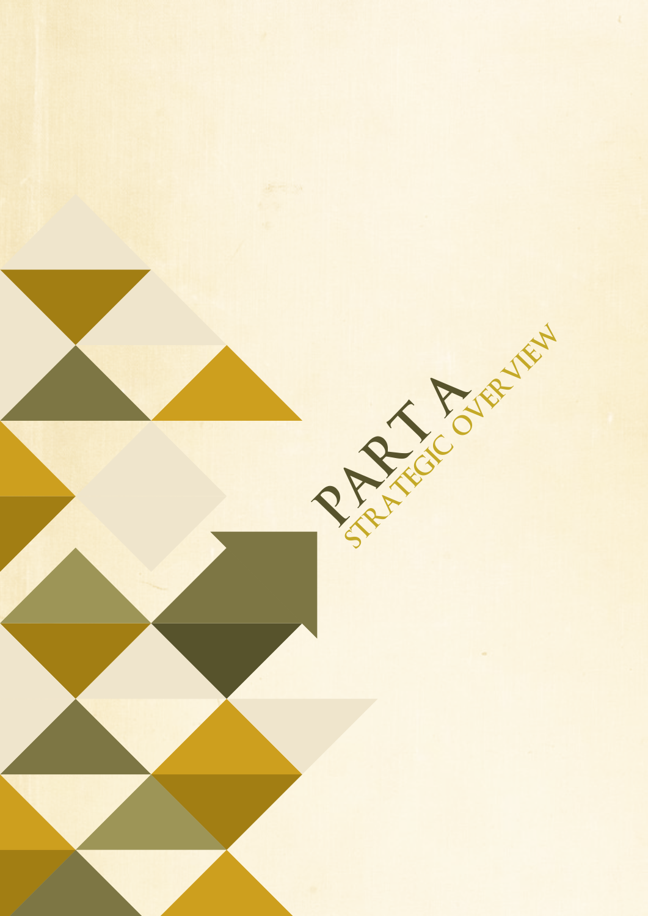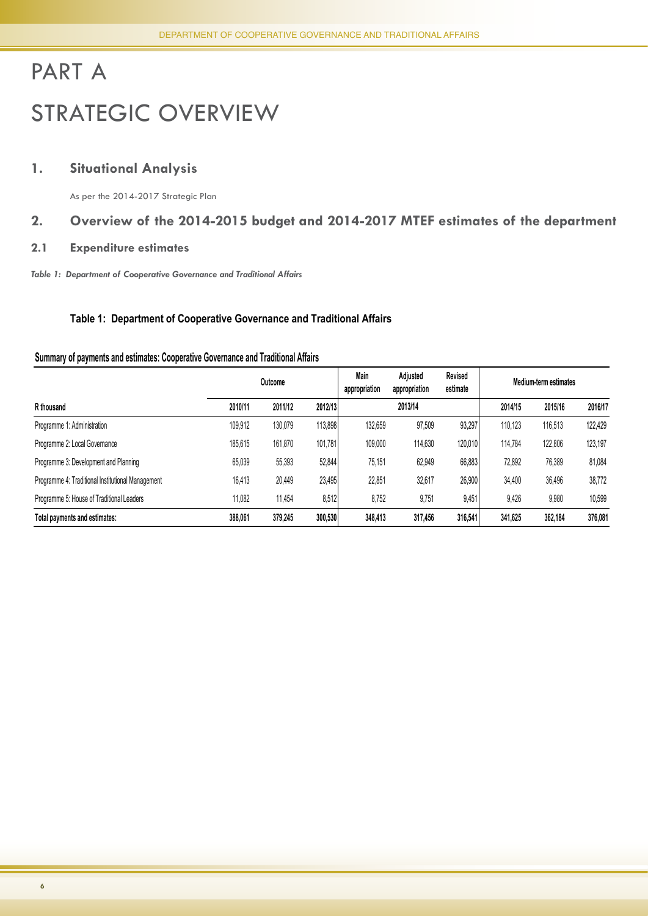# PART A STRATEGIC OVERVIEW

#### **1. Situational Analysis**

As per the 2014-2017 Strategic Plan

#### **2. Overview of the 2014-2015 budget and 2014-2017 mtef estimates of the department**

#### **2.1 Expenditure estimates**

*Table 1: Department of Cooperative Governance and Traditional Affairs* 

#### **Table 1: Department of Cooperative Governance and Traditional Affairs**

#### **Summary of payments and estimates: Cooperative Governance and Traditional Affairs**

|                                                   | Outcome |         |         | <b>Main</b><br>appropriation | Adjusted<br>appropriation | Revised<br>estimate |         | Medium-term estimates |         |
|---------------------------------------------------|---------|---------|---------|------------------------------|---------------------------|---------------------|---------|-----------------------|---------|
| R thousand                                        | 2010/11 | 2011/12 | 2012/13 |                              | 2013/14                   |                     | 2014/15 | 2015/16               | 2016/17 |
| Programme 1: Administration                       | 109,912 | 130,079 | 113,898 | 132,659                      | 97,509                    | 93,297              | 110.123 | 116,513               | 122,429 |
| Programme 2: Local Governance                     | 185,615 | 161,870 | 101,781 | 109,000                      | 114,630                   | 120,010             | 114,784 | 122,806               | 123,197 |
| Programme 3: Development and Planning             | 65,039  | 55,393  | 52,844  | 75,151                       | 62,949                    | 66,883              | 72,892  | 76,389                | 81,084  |
| Programme 4: Traditional Institutional Management | 16,413  | 20,449  | 23,495  | 22,851                       | 32,617                    | 26,900              | 34,400  | 36,496                | 38,772  |
| Programme 5: House of Traditional Leaders         | 11,082  | 11,454  | 8,512   | 8,752                        | 9,751                     | 9,451               | 9,426   | 9,980                 | 10,599  |
| Total payments and estimates:                     | 388,061 | 379,245 | 300,530 | 348,413                      | 317,456                   | 316,541             | 341,625 | 362,184               | 376,081 |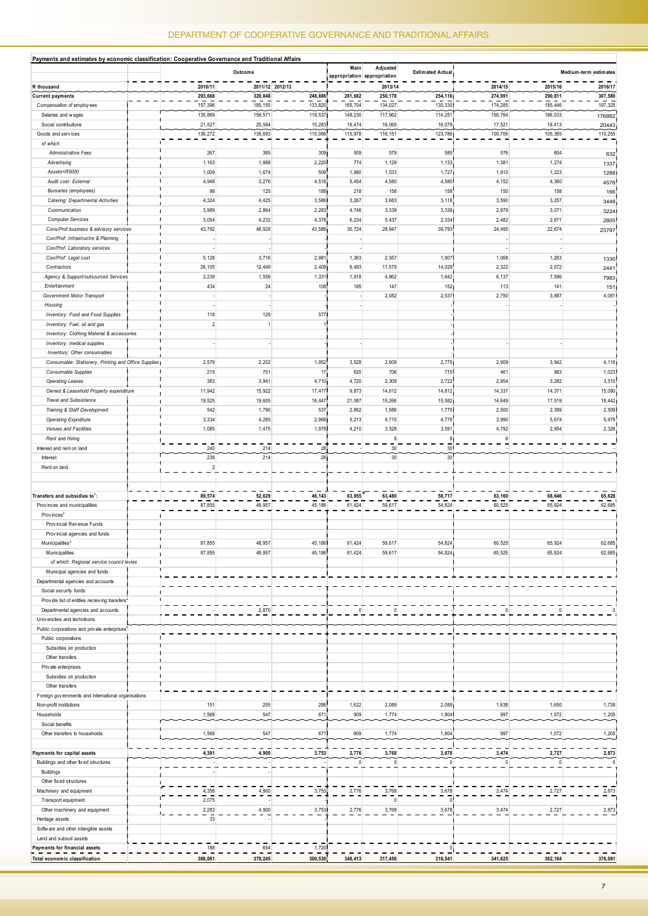| Payments and estimates by economic classification: Cooperative Governance and Traditional Affairs                                                         |                 |                 |                 |                 |                                         |                         |              |                 |                       |
|-----------------------------------------------------------------------------------------------------------------------------------------------------------|-----------------|-----------------|-----------------|-----------------|-----------------------------------------|-------------------------|--------------|-----------------|-----------------------|
|                                                                                                                                                           |                 | Outcome         |                 | Main            | Adjusted<br>appropriation appropriation | <b>Estimated Actual</b> |              |                 | Medium-term estimates |
| R thousand                                                                                                                                                | 2010/11         |                 | 2011/12 2012/13 |                 | 2013/14                                 |                         | 2014/15      | 2015/16         | 2016/17               |
| <b>Current payments</b>                                                                                                                                   | 293,668         | 320,848         | 248,886         | 281,682         | 250,178                                 | 254,116                 | 274,991      | 290,811         | 307,580               |
| Compensation of employees                                                                                                                                 | 157,396         | 185, 155        | 133,820         | 165,704         | 134,027                                 | 130,330                 | 174,285      | 185,446         | 197,325               |
| Salaries and wages                                                                                                                                        | 135,869         | 159,571         | 118,537         | 149,230         | 117,962                                 | 114,251                 | 156,764      | 166,033         | 176882                |
| Social contributions                                                                                                                                      | 21,527          | 25,584          | 15,283          | 16,474          | 16,065                                  | 16,079                  | 17,521       | 19,413          | 20443                 |
| Goods and services                                                                                                                                        | 136,272         | 135,693         | 115,066         | 115,978         | 116, 151                                | 123,786                 | 100,706      | 105,365         | 110,255               |
| of which                                                                                                                                                  |                 |                 |                 |                 |                                         |                         |              |                 |                       |
| <b>Administrative Fees</b>                                                                                                                                | 267             | 385             | 309             | 509             | 579                                     | 585                     | 576          | 604             | 632                   |
| Advertising                                                                                                                                               | 1,163           | 1,988           | 2,220           | 774             | 1,129                                   | 1,133                   | 1,381        | 1,274           | 1337                  |
| Assets <r5000< td=""><td>1,009</td><td>1,674</td><td>506</td><td>1,980</td><td>1,533</td><td>1,727</td><td>1,910</td><td>1,223</td><td>1288</td></r5000<> | 1,009           | 1,674           | 506             | 1,980           | 1,533                                   | 1,727                   | 1,910        | 1,223           | 1288                  |
| Audit cost: External                                                                                                                                      | 4,948           | 3,276           | 4,518           | 5,454           | 4,580                                   | 4,580<br>158            | 4,152        | 4,360           | 4578                  |
| <b>Bursaries</b> (employees)<br>Catering: Departmental Activities                                                                                         | 98              | 125<br>4,425    | 188<br>3,586    | 218<br>3,267    | 158<br>3,683                            |                         | 150<br>3,590 | 158<br>3,257    | 166                   |
| Communication                                                                                                                                             | 4,324<br>3,989  | 2,864           | 2,283           | 4,746           | 3,339                                   | 3,118<br>3,338          | 2,979        | 3,071           | 3448                  |
| <b>Computer Services</b>                                                                                                                                  | H               |                 |                 |                 | 5,437                                   | 2,334                   | 2,482        |                 | 3224                  |
| Cons/Prof:business & advisory services                                                                                                                    | 3,054<br>43,792 | 4,232<br>48,928 | 4,378<br>43,586 | 6,234<br>30,724 | 28,947                                  | 39,793                  | 24,495       | 2,671<br>22,674 | 2805                  |
| Con/Prof: Infrastructre & Planning                                                                                                                        |                 |                 |                 |                 |                                         |                         |              |                 | 23797                 |
| Con/Prof: Laboratory services                                                                                                                             | ÷               |                 |                 |                 |                                         |                         |              |                 |                       |
| Con/Prof: Legal cost                                                                                                                                      | 5,128           | 3,716           | 2,981           | 1,363           | 2,557                                   | 1,907                   | 1,068        | 1,263           | 1330                  |
| Contractors                                                                                                                                               | 26,105          | 12,449          | 2,408           | 6,493           | 11,579                                  | 14,029                  | 2,322        | 2,072           |                       |
| Agency & Support/outsourced Services                                                                                                                      | 2,239           | 1,556           | 1,331           | 1,918           | 4,862                                   | 1,642                   | 6,137        | 7,596           | 2441<br>7983          |
| Entertainment                                                                                                                                             | 434             | 24              | 108             | 185             | 147                                     | 152                     | 113          | 141             | 151                   |
| Government Motor Transport                                                                                                                                |                 |                 |                 |                 | 2,082                                   | 2,537                   | 2,750        | 3,887           | 4,081                 |
| Housing                                                                                                                                                   |                 |                 |                 |                 |                                         |                         |              |                 |                       |
| Inventory: Food and Food Supplies                                                                                                                         | 118             | 129             | 577             |                 |                                         |                         |              |                 |                       |
| Inventory: Fuel, oil and gas                                                                                                                              | $\overline{2}$  | $\mathbf{1}$    |                 |                 |                                         | ÷.                      |              |                 |                       |
| Inventory: Clothing Material & accessories                                                                                                                |                 |                 |                 |                 |                                         | $\mathbf{I}$            |              |                 |                       |
| Inventory: medical supplies                                                                                                                               |                 |                 |                 |                 |                                         |                         |              |                 |                       |
| Inventory: Other consumables                                                                                                                              |                 |                 |                 |                 |                                         |                         |              |                 |                       |
| Consumable: Stationery, Printing and Office Supplies                                                                                                      | 2,576           | 2,202           | 1,952           | 3,528           | 2,609                                   | 2,775                   | 2,909        | 3,942           | 4,116                 |
| Consumable Supplies                                                                                                                                       | 215             | 701             | 17              | 620             | 706                                     | 715                     | 461          | 983             | 1,023                 |
| <b>Operating Leases</b>                                                                                                                                   | 383             | 3,941           | 4,710           | 4,720           | 2,309                                   | 2,722                   | 2,954        | 3,282           | 3,510                 |
| Owned & Leasehold Property expenditure                                                                                                                    | 11,942          | 15,922          | 17,477          | 9,873           | 14,812                                  | 14,812                  | 14,337       | 14,371          | 15,090                |
| <b>Travel and Subsistence</b>                                                                                                                             | 19,525          | 19,605          | 16,447          | 21,087          | 15,266                                  | 15,582                  | 14,649       | 17,519          | 18,442                |
| Training & Staff Development                                                                                                                              | 542             | 1,790           | 537             | 2,862           | 1,586                                   | 1,770                   | 2,500        | 2,389           | 2,509                 |
| <b>Operating Expnditure</b>                                                                                                                               | 3,334           | 4,285           | 2,968           | 5,213           | 4,715                                   | 4,778                   | 3,990        | 5,674           | 5,978                 |
| Venues and Facilities                                                                                                                                     | 1,085           | 1,475           | 1,978           | 4,210           | 3,528                                   | 3,591                   | 4,792        | 2,954           | 2,326                 |
| Rent and Hiring                                                                                                                                           |                 |                 |                 |                 | 8                                       | 8 <sub>1</sub>          | 9            |                 |                       |
| Interest and rent on land                                                                                                                                 | 240             | 214             | 28              |                 | 30                                      | 30 <sup>°</sup>         |              |                 |                       |
| Interest                                                                                                                                                  | 238             | 214             | 28              |                 | 30 <sup>°</sup>                         | 30                      |              |                 |                       |
| Rent on land                                                                                                                                              | $\overline{2}$  |                 |                 |                 |                                         |                         |              |                 |                       |
|                                                                                                                                                           |                 |                 |                 |                 |                                         |                         |              |                 |                       |
|                                                                                                                                                           |                 |                 |                 |                 |                                         |                         |              |                 |                       |
| Transfers and subsidies to <sup>1</sup> :                                                                                                                 | 89,574          | 52,629          | 46,143          | 63,955          | 63,480                                  | 58,717                  | 63,160       | 68,646          | 65,628                |
| Provinces and municipalities                                                                                                                              | 87,855          | 48,957          | 45,186          | 61,424          | 59,617                                  | 54,824                  | 60,525       | 65,924          | 62,685                |
| Provinces <sup>2</sup>                                                                                                                                    |                 |                 |                 |                 |                                         |                         |              |                 |                       |
| Provincial Revenue Funds                                                                                                                                  |                 |                 |                 |                 |                                         |                         |              |                 |                       |
| Provincial agencies and funds                                                                                                                             |                 |                 |                 |                 |                                         |                         |              |                 |                       |
| Municipalities <sup>3</sup>                                                                                                                               | 87,855          | 48,957          | 45,186          | 61,424          | 59,617                                  | 54,824                  | 60,525       | 65,924          | 62,685                |
| Municipalities                                                                                                                                            | 87,855          | 48,957          | 45,186          | 61,424          | 59,617                                  | 54,824                  | 60,525       | 65,924          | 62,685                |
| of which: Regional service council levies                                                                                                                 |                 |                 |                 |                 |                                         |                         |              |                 |                       |
| Municipal agencies and funds                                                                                                                              |                 |                 |                 |                 |                                         |                         |              |                 |                       |
| Departmental agencies and accounts                                                                                                                        |                 |                 |                 |                 |                                         |                         |              |                 |                       |
| Social security funds                                                                                                                                     |                 |                 |                 |                 |                                         |                         |              |                 |                       |
| Provide list of entities receiving transfers <sup>4</sup>                                                                                                 |                 |                 |                 |                 |                                         |                         |              |                 |                       |
| Departmental agencies and accounts                                                                                                                        |                 | 2,870           |                 | 0               | $\mathbf 0$                             |                         |              |                 |                       |
| Universities and technikons                                                                                                                               |                 |                 |                 |                 |                                         |                         |              |                 |                       |
| Public corporations and private enterprises <sup>5</sup>                                                                                                  |                 |                 |                 |                 |                                         |                         |              |                 |                       |
| Public corporations                                                                                                                                       |                 |                 |                 |                 |                                         |                         |              |                 |                       |
| Subsidies on production                                                                                                                                   |                 |                 |                 |                 |                                         |                         |              |                 |                       |
| Other transfers                                                                                                                                           |                 |                 |                 |                 |                                         |                         |              |                 |                       |
| Private enterprises<br>Subsidies on production                                                                                                            |                 |                 |                 |                 |                                         |                         |              |                 |                       |
| Other transfers                                                                                                                                           |                 |                 |                 |                 |                                         |                         |              |                 |                       |
| Foreign governments and international organisations                                                                                                       |                 |                 |                 |                 |                                         |                         |              |                 |                       |
| Non-profit institutions                                                                                                                                   | 151             | 255             | 286             | 1,622           | 2,089                                   | 2,089                   | 1,638        | 1,650           | 1,738                 |
| Households                                                                                                                                                | 1,568           | 547             | 671             | 909             | 1,774                                   | 1,804                   | 997          | 1,072           | 1,205                 |
| Social benefits                                                                                                                                           |                 |                 |                 |                 |                                         |                         |              |                 |                       |
| Other transfers to households                                                                                                                             | 1,568           | 547             | 671             | 909             | 1,774                                   | 1,804                   | 997          | 1,072           | 1,205                 |
|                                                                                                                                                           |                 |                 |                 |                 |                                         |                         |              |                 |                       |
| Payments for capital assets                                                                                                                               | 4,391           | 4,900           | 3,753           | 2,776           | 3,768                                   | 3,678                   | 3,474        | 2,727           | 2,873                 |
| Buildings and other fixed structures                                                                                                                      |                 |                 |                 | n               | $\mathbb O$                             | $\Omega$                | $\Omega$     |                 | $\Omega$              |
| Buildings                                                                                                                                                 |                 |                 |                 |                 |                                         |                         |              |                 |                       |
| Other fix ed structures                                                                                                                                   |                 |                 |                 |                 |                                         |                         |              |                 |                       |
| Machinery and equipment                                                                                                                                   | 4,358           | 4,900           | 3,753           | 2,776           | 3,768                                   | 3,678                   | 3,474        | 2,727           | 2,873                 |
| Transport equipment                                                                                                                                       | 2,075           |                 |                 |                 | $\mathbf 0$                             | $\theta$                |              |                 |                       |
| Other machinery and equipment                                                                                                                             | 2,283           | 4,900           | 3,753           | 2,776           | 3,768                                   | 3,678                   | 3,474        | 2,727           | 2,873                 |
| Heritage assets                                                                                                                                           | 33              |                 |                 |                 |                                         |                         |              |                 |                       |
| Software and other intangible assets                                                                                                                      |                 |                 |                 |                 |                                         |                         |              |                 |                       |
| Land and subsoil assets                                                                                                                                   |                 |                 |                 |                 |                                         |                         |              |                 |                       |
| Payments for financial assets                                                                                                                             | 188             | 654             | 1,720           |                 |                                         |                         |              |                 |                       |
| Total economic classification                                                                                                                             | 388,061         | 379,245         | 300,530         | 348,413         | 317,456                                 | 316,541                 | 341,625      | 362,184         | 376,081               |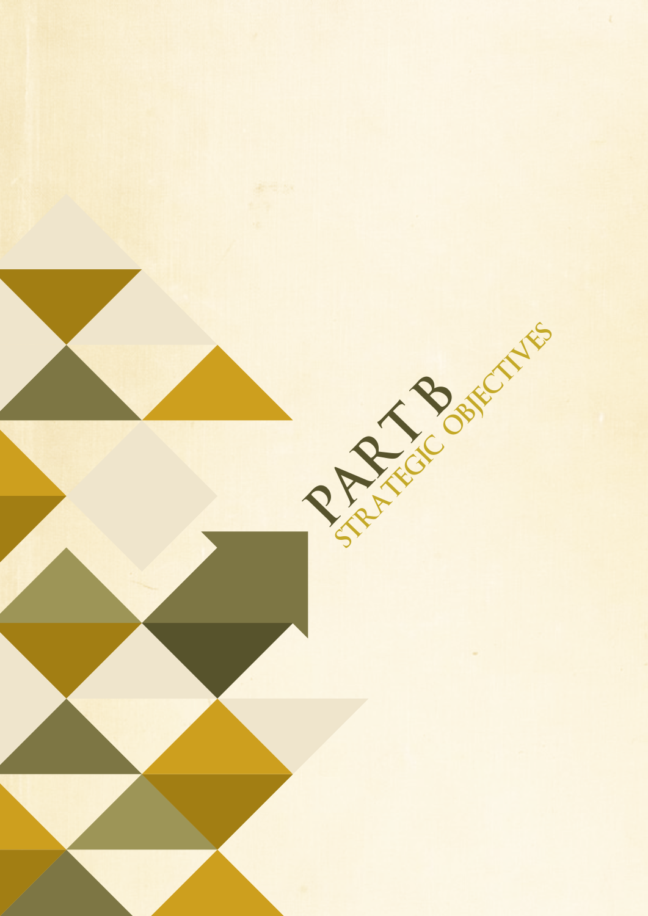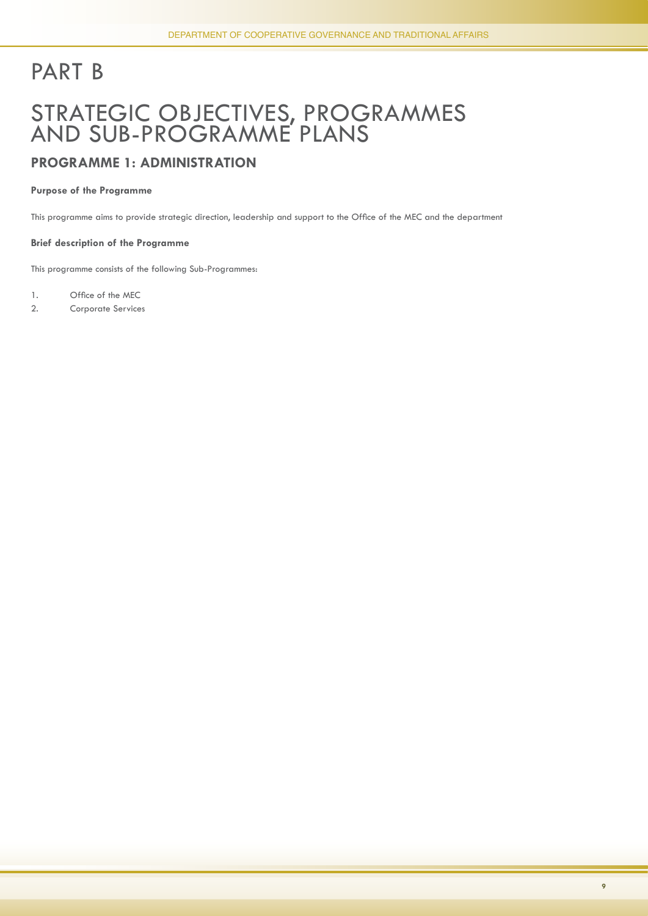# PART B

### STRATEGIC OBJECTIVES, PROGRAMMES AND SUB-PROGRAMME PLANS

#### **PROGRAMME 1: ADMINISTRATION**

#### **Purpose of the Programme**

This programme aims to provide strategic direction, leadership and support to the Office of the MEC and the department

#### **Brief description of the Programme**

This programme consists of the following Sub-Programmes:

1. Office of the MEC

2. Corporate Services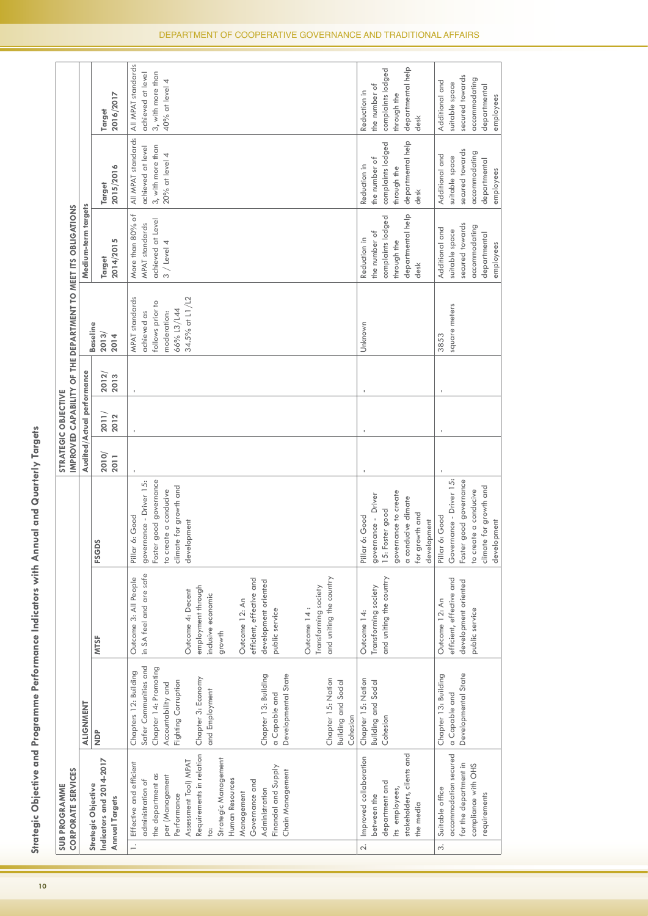|   | <b>SUB PROGRAMME</b>                                                                                                                                                                                                                                                                                     |                                                                                                                                                                                                                                                                                              |                                                                                                                                                                                                                                                                                        |                                                                                                                                             | STRATEGIC OBJECTIVE        |               |               |                                                                                                         |                                                                                                   |                                                                                                   |                                                                                                   |
|---|----------------------------------------------------------------------------------------------------------------------------------------------------------------------------------------------------------------------------------------------------------------------------------------------------------|----------------------------------------------------------------------------------------------------------------------------------------------------------------------------------------------------------------------------------------------------------------------------------------------|----------------------------------------------------------------------------------------------------------------------------------------------------------------------------------------------------------------------------------------------------------------------------------------|---------------------------------------------------------------------------------------------------------------------------------------------|----------------------------|---------------|---------------|---------------------------------------------------------------------------------------------------------|---------------------------------------------------------------------------------------------------|---------------------------------------------------------------------------------------------------|---------------------------------------------------------------------------------------------------|
|   | CORPORATE SERVICES                                                                                                                                                                                                                                                                                       |                                                                                                                                                                                                                                                                                              |                                                                                                                                                                                                                                                                                        |                                                                                                                                             |                            |               |               |                                                                                                         | IMPROVED CAPABILITY OF THE DEPARTMENT TO MEET ITS OBLIGATIONS                                     |                                                                                                   |                                                                                                   |
|   |                                                                                                                                                                                                                                                                                                          | ALIGNMENT                                                                                                                                                                                                                                                                                    |                                                                                                                                                                                                                                                                                        |                                                                                                                                             | Audited/Actual performance |               |               |                                                                                                         | Medium-term targets                                                                               |                                                                                                   |                                                                                                   |
|   | ndicators and 2014-2017<br>Strategic Objective<br><b>Annual Targets</b>                                                                                                                                                                                                                                  | $\frac{a}{2}$                                                                                                                                                                                                                                                                                | <b>MTSF</b>                                                                                                                                                                                                                                                                            | <b>FSGDS</b>                                                                                                                                | 2010/<br>2011              | 2011/<br>2012 | 2012/<br>2013 | <b>Baseline</b><br>2013/<br>2014                                                                        | 2014/2015<br>Target                                                                               | 2015/2016<br>Target                                                                               | 2016/2017<br>Target                                                                               |
|   | Requirements in relation<br>Strategic Management<br>Assessment Tool) MPAT<br>Effective and efficient<br>Financial and Supply<br>Chain Management<br>the department as<br>per (Management<br>administration of<br>Human Resources<br>Governance and<br>Administration<br>Management<br>Performance<br>jo: | Safer Communities and<br>Chapter 14: Promoting<br>Chapters 12: Building<br>Developmental State<br>Chapter 13: Building<br>Chapter 3: Economy<br>Chapter 15: Nation<br><b>Building and Social</b><br>Fighting Corruption<br>Accountability and<br>and Employment<br>a Capable and<br>Cohesion | in SA feel and are safe<br>and uniting the country<br>Outcome 3: All People<br>efficient, effective and<br>development oriented<br>employment through<br>Transforming society<br>Outcome 4: Decent<br>inclusive economic<br>Outcome 12: An<br>Outcome 14 :<br>public service<br>growth | governance - Driver 15:<br>Foster good governance<br>climate for growth and<br>to create a conducive<br>Pillar 6: Good<br>development       |                            |               |               | 34.5% at L1/L2<br><b>MPAT</b> standards<br>follows prior to<br>66% L3/L44<br>achieved as<br>moderation: | More than 80% of<br>achieved at Level<br><b>MPAT</b> standards<br>$3 /$ Level 4                   | All MPAT standards<br>3, with more than<br>achieved at level<br>$20%$ at level 4                  | All MPAT standards<br>3, with more than<br>achieved at level<br>40% at level 4                    |
|   | stakeholders, clients and<br>Improved collaboration<br>department and<br>its employees,<br>between the<br>the media                                                                                                                                                                                      | Chapter 15: Nation<br><b>Building and Social</b><br>Cohesion                                                                                                                                                                                                                                 | and uniting the country<br>Transforming society<br>Outcome 14:                                                                                                                                                                                                                         | governance to create<br>governance - Driver<br>a conducive climate<br>Foster good<br>for growth and<br>Pillar 6: Good<br>development<br>15: |                            |               |               | Unknown                                                                                                 | departmental help<br>complaints lodged<br>the number of<br>Reduction in<br>through the<br>desk    | departmental help<br>complaints lodged<br>the number of<br>Reduction in<br>through the<br>desk    | departmental help<br>complaints lodged<br>the number of<br>Reduction in<br>through the<br>desk    |
| ് | accommodation secured<br>for the department in<br>compliance with OHS<br>Suitable office<br>requirements                                                                                                                                                                                                 | Developmental State<br>Chapter 13: Building<br>a Capable and                                                                                                                                                                                                                                 | efficient, effective and<br>development oriented<br>Outcome 12: An<br>public service                                                                                                                                                                                                   | Governance - Driver 15:<br>Foster good governance<br>climate for growth and<br>to create a conducive<br>Pillar 6: Good<br>development       |                            |               |               | square meters<br>3853                                                                                   | secured towards<br>accommodating<br>Additional and<br>suitable space<br>departmental<br>employees | secured towards<br>accommodating<br>Additional and<br>suitable space<br>departmental<br>employees | secured towards<br>accommodating<br>Additional and<br>suitable space<br>departmental<br>employees |

Strategic Objective and Programme Performance Indicators with Annual and Quarterly Targets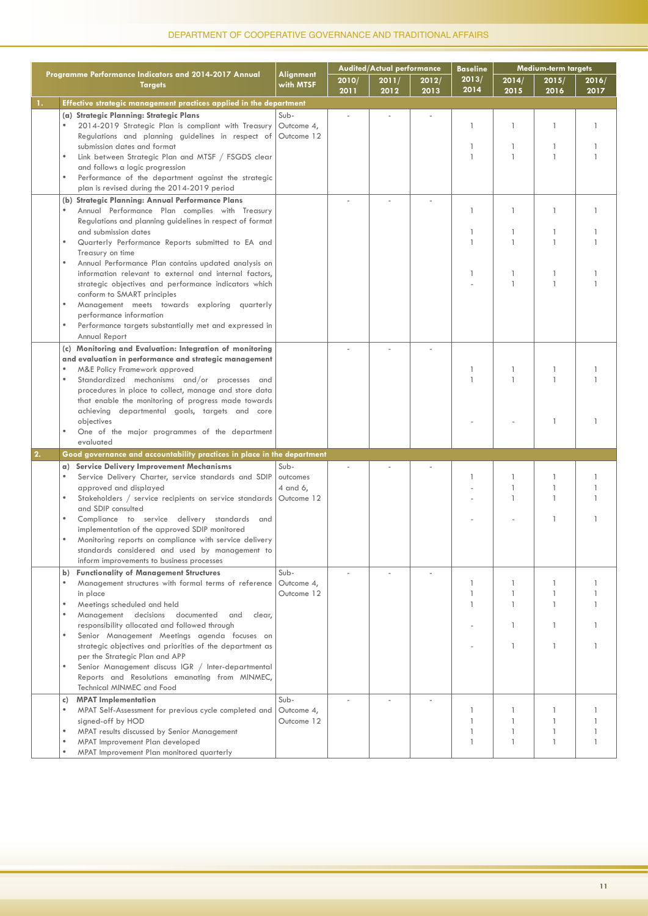|    |                                                                                                                             |                               |               | <b>Audited/Actual performance</b> |               | Baseline      |                              | <b>Medium-term targets</b> |               |
|----|-----------------------------------------------------------------------------------------------------------------------------|-------------------------------|---------------|-----------------------------------|---------------|---------------|------------------------------|----------------------------|---------------|
|    | Programme Performance Indicators and 2014-2017 Annual<br><b>Targets</b>                                                     | <b>Alignment</b><br>with MTSF | 2010/<br>2011 | 2011/<br>2012                     | 2012/<br>2013 | 2013/<br>2014 | 2014/<br>2015                | 2015/<br>2016              | 2016/<br>2017 |
| 1. | Effective strategic management practices applied in the department                                                          |                               |               |                                   |               |               |                              |                            |               |
|    | (a) Strategic Planning: Strategic Plans                                                                                     | Sub-                          |               |                                   |               |               |                              |                            |               |
|    | 2014-2019 Strategic Plan is compliant with Treasury                                                                         | Outcome 4,                    |               |                                   |               | $\mathbf{1}$  | $\mathbf{1}$                 | $\mathbf{1}$               |               |
|    | Regulations and planning guidelines in respect of                                                                           | Outcome 12                    |               |                                   |               |               |                              |                            |               |
|    | submission dates and format                                                                                                 |                               |               |                                   |               | 1             | 1                            |                            |               |
|    | Link between Strategic Plan and MTSF / FSGDS clear                                                                          |                               |               |                                   |               | 1             | $\mathbf{1}$                 | $\mathbf{1}$               |               |
|    | and follows a logic progression                                                                                             |                               |               |                                   |               |               |                              |                            |               |
|    | Performance of the department against the strategic                                                                         |                               |               |                                   |               |               |                              |                            |               |
|    | plan is revised during the 2014-2019 period                                                                                 |                               |               |                                   |               |               |                              |                            |               |
|    | (b) Strategic Planning: Annual Performance Plans                                                                            |                               |               |                                   |               |               |                              |                            |               |
|    | Annual Performance Plan complies with Treasury                                                                              |                               |               |                                   |               | 1             | $\mathbf{1}$                 |                            |               |
|    | Regulations and planning guidelines in respect of format                                                                    |                               |               |                                   |               |               |                              |                            |               |
|    | and submission dates                                                                                                        |                               |               |                                   |               | 1             | $\mathbf{1}$                 | -1                         |               |
|    | Quarterly Performance Reports submitted to EA and                                                                           |                               |               |                                   |               | 1             | $\mathbf{1}$                 |                            |               |
|    | Treasury on time                                                                                                            |                               |               |                                   |               |               |                              |                            |               |
|    | Annual Performance Plan contains updated analysis on<br>$\bullet$<br>information relevant to external and internal factors, |                               |               |                                   |               | 1             | 1                            |                            |               |
|    | strategic objectives and performance indicators which                                                                       |                               |               |                                   |               |               | $\mathbf{1}$                 | $\mathbf{1}$               |               |
|    | conform to SMART principles                                                                                                 |                               |               |                                   |               |               |                              |                            |               |
|    | Management meets towards exploring quarterly                                                                                |                               |               |                                   |               |               |                              |                            |               |
|    | performance information                                                                                                     |                               |               |                                   |               |               |                              |                            |               |
|    | Performance targets substantially met and expressed in<br>$\bullet$                                                         |                               |               |                                   |               |               |                              |                            |               |
|    | Annual Report                                                                                                               |                               |               |                                   |               |               |                              |                            |               |
|    | (c) Monitoring and Evaluation: Integration of monitoring                                                                    |                               |               |                                   |               |               |                              |                            |               |
|    | and evaluation in performance and strategic management                                                                      |                               |               |                                   |               |               |                              |                            |               |
|    | M&E Policy Framework approved                                                                                               |                               |               |                                   |               | 1             | 1                            | -1                         |               |
|    | Standardized mechanisms and/or processes and<br>$\bullet$                                                                   |                               |               |                                   |               | $\mathbf{1}$  | $\mathbf{1}$                 |                            |               |
|    | procedures in place to collect, manage and store data                                                                       |                               |               |                                   |               |               |                              |                            |               |
|    | that enable the monitoring of progress made towards                                                                         |                               |               |                                   |               |               |                              |                            |               |
|    | achieving departmental goals, targets and core                                                                              |                               |               |                                   |               |               |                              |                            |               |
|    | objectives                                                                                                                  |                               |               |                                   |               |               |                              | -1                         |               |
|    | One of the major programmes of the department<br>evaluated                                                                  |                               |               |                                   |               |               |                              |                            |               |
|    |                                                                                                                             |                               |               |                                   |               |               |                              |                            |               |
| 2. | Good governance and accountability practices in place in the department                                                     |                               |               |                                   |               |               |                              |                            |               |
|    | Service Delivery Improvement Mechanisms<br>a)                                                                               | Sub-                          |               |                                   |               |               |                              |                            |               |
|    | Service Delivery Charter, service standards and SDIP<br>approved and displayed                                              | outcomes                      |               |                                   |               | 1             | $\mathbf{1}$<br>$\mathbf{1}$ | $\mathbf{1}$               |               |
|    | Stakeholders / service recipients on service standards Outcome 12                                                           | 4 and 6,                      |               |                                   |               |               | $\mathbf{1}$                 |                            |               |
|    | and SDIP consulted                                                                                                          |                               |               |                                   |               |               |                              |                            |               |
|    | Compliance to service delivery standards and                                                                                |                               |               |                                   |               |               |                              | -1                         |               |
|    | implementation of the approved SDIP monitored                                                                               |                               |               |                                   |               |               |                              |                            |               |
|    | Monitoring reports on compliance with service delivery                                                                      |                               |               |                                   |               |               |                              |                            |               |
|    | standards considered and used by management to                                                                              |                               |               |                                   |               |               |                              |                            |               |
|    | inform improvements to business processes                                                                                   |                               |               |                                   |               |               |                              |                            |               |
|    | <b>Functionality of Management Structures</b><br>b)                                                                         | Sub-                          |               |                                   |               |               |                              |                            |               |
|    | $\bullet$<br>Management structures with formal terms of reference                                                           | Outcome 4,                    |               |                                   |               | 1             | 1                            |                            |               |
|    | in place                                                                                                                    | Outcome 12                    |               |                                   |               | 1             | $\mathbf{1}$                 |                            |               |
|    | Meetings scheduled and held<br>$\bullet$                                                                                    |                               |               |                                   |               | 1             | $\mathbf{1}$                 | 1                          |               |
|    | Management decisions<br>documented<br>$\bullet$<br>and<br>clear,                                                            |                               |               |                                   |               |               |                              |                            |               |
|    | responsibility allocated and followed through<br>$\bullet$                                                                  |                               |               |                                   |               |               | 1                            |                            |               |
|    | Senior Management Meetings agenda focuses on<br>strategic objectives and priorities of the department as                    |                               |               |                                   |               |               | $\mathbf{1}$                 | 1                          |               |
|    | per the Strategic Plan and APP                                                                                              |                               |               |                                   |               |               |                              |                            |               |
|    | Senior Management discuss IGR / Inter-departmental<br>$\bullet$                                                             |                               |               |                                   |               |               |                              |                            |               |
|    | Reports and Resolutions emanating from MINMEC,                                                                              |                               |               |                                   |               |               |                              |                            |               |
|    | Technical MINMEC and Food                                                                                                   |                               |               |                                   |               |               |                              |                            |               |
|    | <b>MPAT</b> Implementation<br>c)                                                                                            | Sub-                          |               |                                   |               |               |                              |                            |               |
|    | MPAT Self-Assessment for previous cycle completed and                                                                       | Outcome 4,                    |               |                                   |               | 1             | 1                            |                            |               |
|    | signed-off by HOD                                                                                                           | Outcome 12                    |               |                                   |               | 1             | $\mathbf{1}$                 |                            |               |
|    | MPAT results discussed by Senior Management                                                                                 |                               |               |                                   |               | 1             | $\mathbf{1}$                 | 1                          |               |
|    | MPAT Improvement Plan developed                                                                                             |                               |               |                                   |               | 1             | $\mathbf{1}$                 | $\mathbf{1}$               |               |
|    | MPAT Improvement Plan monitored quarterly                                                                                   |                               |               |                                   |               |               |                              |                            |               |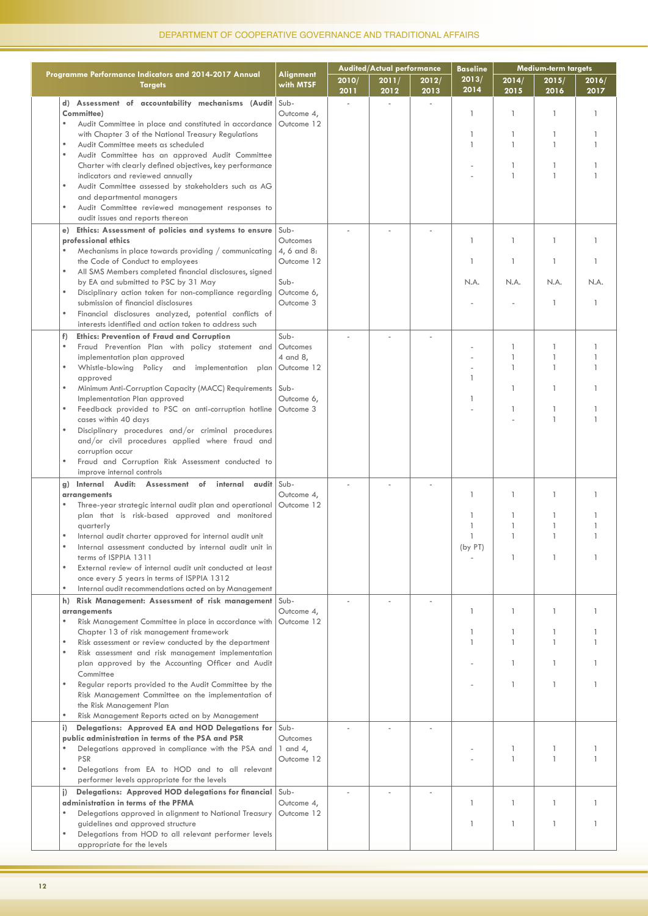|                                                                                                                                                                                                                                                                                                                                                                                                                                                                                                                                                                                                                                                                                                                                                                                                                                                                                                                                                                                                                                                                                                                                                                                 |                                                                          |               | <b>Audited/Actual performance</b> |               | <b>Baseline</b>             | Medium-term targets              |                                                                                     |                                |
|---------------------------------------------------------------------------------------------------------------------------------------------------------------------------------------------------------------------------------------------------------------------------------------------------------------------------------------------------------------------------------------------------------------------------------------------------------------------------------------------------------------------------------------------------------------------------------------------------------------------------------------------------------------------------------------------------------------------------------------------------------------------------------------------------------------------------------------------------------------------------------------------------------------------------------------------------------------------------------------------------------------------------------------------------------------------------------------------------------------------------------------------------------------------------------|--------------------------------------------------------------------------|---------------|-----------------------------------|---------------|-----------------------------|----------------------------------|-------------------------------------------------------------------------------------|--------------------------------|
| Programme Performance Indicators and 2014-2017 Annual<br><b>Targets</b>                                                                                                                                                                                                                                                                                                                                                                                                                                                                                                                                                                                                                                                                                                                                                                                                                                                                                                                                                                                                                                                                                                         | Alignment<br>with MTSF                                                   | 2010/<br>2011 | 2011/<br>2012                     | 2012/<br>2013 | 2013/<br>2014               | 2014/<br>2015                    | 2015/<br>2016                                                                       | 2016/<br>2017                  |
| d) Assessment of accountability mechanisms (Audit Sub-<br>Committee)<br>Audit Committee in place and constituted in accordance<br>$\bullet$<br>with Chapter 3 of the National Treasury Regulations<br>Audit Committee meets as scheduled<br>$\bullet$<br>$\bullet$<br>Audit Committee has an approved Audit Committee<br>Charter with clearly defined objectives, key performance<br>indicators and reviewed annually                                                                                                                                                                                                                                                                                                                                                                                                                                                                                                                                                                                                                                                                                                                                                           | Outcome 4,<br>Outcome 12                                                 |               | ÷.                                |               | 1<br>1                      | 1                                | 1<br>-1<br>$\mathbf{1}$<br>-1<br>$\mathbf{1}$                                       | 1                              |
| Audit Committee assessed by stakeholders such as AG<br>$\bullet$<br>and departmental managers<br>Audit Committee reviewed management responses to<br>$\bullet$<br>audit issues and reports thereon                                                                                                                                                                                                                                                                                                                                                                                                                                                                                                                                                                                                                                                                                                                                                                                                                                                                                                                                                                              |                                                                          |               |                                   |               |                             |                                  |                                                                                     |                                |
| Ethics: Assessment of policies and systems to ensure Sub-<br>e)<br>professional ethics<br>Mechanisms in place towards providing / communicating<br>$\bullet$<br>the Code of Conduct to employees<br>All SMS Members completed financial disclosures, signed<br>$\bullet$<br>by EA and submitted to PSC by 31 May<br>$\bullet$<br>Disciplinary action taken for non-compliance regarding<br>submission of financial disclosures<br>Financial disclosures analyzed, potential conflicts of<br>$\bullet$                                                                                                                                                                                                                                                                                                                                                                                                                                                                                                                                                                                                                                                                           | Outcomes<br>4, 6 and 8:<br>Outcome 12<br>Sub-<br>Outcome 6,<br>Outcome 3 |               |                                   |               | 1<br>1<br>N.A.              | $\mathbf{1}$<br>N.A.             | $\mathbf{1}$<br>$\mathbf{1}$<br>N.A.<br>$\mathbf{1}$                                | $\mathbf{1}$<br>1<br>N.A.<br>1 |
| interests identified and action taken to address such<br><b>Ethics: Prevention of Fraud and Corruption</b><br>f)<br>Fraud Prevention Plan with policy statement and<br>$\bullet$<br>implementation plan approved<br>Whistle-blowing Policy and implementation plan<br>$\bullet$<br>approved<br>Minimum Anti-Corruption Capacity (MACC) Requirements   Sub-<br>$\bullet$<br>Implementation Plan approved<br>Feedback provided to PSC on anti-corruption hotline<br>cases within 40 days<br>Disciplinary procedures and/or criminal procedures<br>$\bullet$<br>and/or civil procedures applied where fraud and<br>corruption occur<br>Fraud and Corruption Risk Assessment conducted to<br>improve internal controls                                                                                                                                                                                                                                                                                                                                                                                                                                                              | Sub-<br>Outcomes<br>4 and 8,<br>Outcome 12<br>Outcome 6,<br>Outcome 3    |               |                                   |               | 1                           |                                  | $\mathbf{1}$<br>$\mathbf{1}$<br>$\mathbf{1}$<br>-1<br>-1<br>$\mathbf{1}$            |                                |
| Internal Audit: Assessment of internal audit Sub-<br>g)<br>arrangements<br>Three-year strategic internal audit plan and operational<br>plan that is risk-based approved and monitored<br>quarterly<br>Internal audit charter approved for internal audit unit<br>Internal assessment conducted by internal audit unit in<br>terms of ISPPIA 1311<br>External review of internal audit unit conducted at least<br>$\bullet$<br>once every 5 years in terms of ISPPIA 1312<br>$\bullet$<br>Internal audit recommendations acted on by Management<br>Risk Management: Assessment of risk management Sub-<br>h)<br>arrangements<br>Risk Management Committee in place in accordance with<br>$\bullet$<br>Chapter 13 of risk management framework<br>$\bullet$<br>Risk assessment or review conducted by the department<br>Risk assessment and risk management implementation<br>$\bullet$<br>plan approved by the Accounting Officer and Audit<br>Committee<br>Regular reports provided to the Audit Committee by the<br>$\bullet$<br>Risk Management Committee on the implementation of<br>the Risk Management Plan<br>$\bullet$<br>Risk Management Reports acted on by Management | Outcome 4,<br>Outcome 12<br>Outcome 4,<br>Outcome 12                     |               |                                   |               | 1<br>1<br>(by PT)<br>1<br>1 | 1<br>1<br>1<br>$\mathbf{1}$<br>1 | 1<br>$\mathbf{1}$<br>$\overline{1}$<br>$\mathbf{1}$<br>1<br>$\mathbf{1}$<br>-1<br>1 | 1<br>1<br>1<br>1               |
| Delegations: Approved EA and HOD Delegations for Sub-<br>i)<br>public administration in terms of the PSA and PSR<br>$\bullet$<br>Delegations approved in compliance with the PSA and<br><b>PSR</b><br>$\bullet$<br>Delegations from EA to HOD and to all relevant<br>performer levels appropriate for the levels<br>Delegations: Approved HOD delegations for financial Sub-<br>$\vert$                                                                                                                                                                                                                                                                                                                                                                                                                                                                                                                                                                                                                                                                                                                                                                                         | Outcomes<br>1 and 4,<br>Outcome 12                                       |               |                                   |               |                             | 1                                | -1<br>$\mathbf{1}$                                                                  |                                |
| administration in terms of the PFMA<br>$\bullet$<br>Delegations approved in alignment to National Treasury<br>guidelines and approved structure<br>$\bullet$<br>Delegations from HOD to all relevant performer levels<br>appropriate for the levels                                                                                                                                                                                                                                                                                                                                                                                                                                                                                                                                                                                                                                                                                                                                                                                                                                                                                                                             | Outcome 4,<br>Outcome 12                                                 |               |                                   |               | $\mathbf{1}$<br>1           | $\mathbf{1}$<br>$\mathbf{1}$     | $\mathbf{1}$<br>$\mathbf{1}$                                                        | $\mathbf{1}$                   |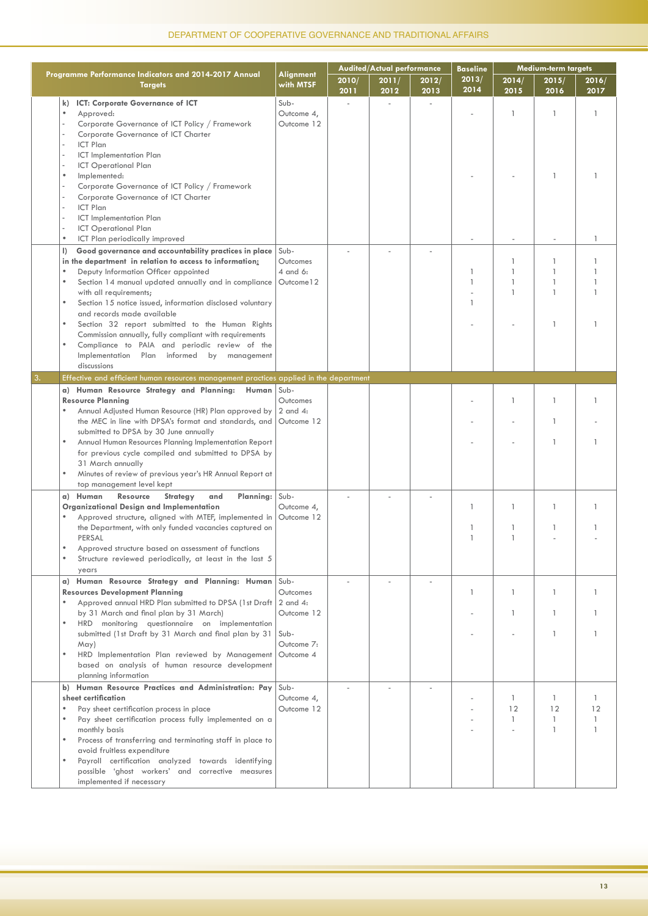|    |                                                                                                                                                                                                                                                                                                                                                                                                                                                                                                                                                                                                               |                                                           |               | <b>Audited/Actual performance</b> |               | <b>Baseline</b>        |                                                                          | <b>Medium-term targets</b>                                 |                         |
|----|---------------------------------------------------------------------------------------------------------------------------------------------------------------------------------------------------------------------------------------------------------------------------------------------------------------------------------------------------------------------------------------------------------------------------------------------------------------------------------------------------------------------------------------------------------------------------------------------------------------|-----------------------------------------------------------|---------------|-----------------------------------|---------------|------------------------|--------------------------------------------------------------------------|------------------------------------------------------------|-------------------------|
|    | Programme Performance Indicators and 2014-2017 Annual<br><b>Targets</b>                                                                                                                                                                                                                                                                                                                                                                                                                                                                                                                                       | Alignment<br>with MTSF                                    | 2010/<br>2011 | 2011/<br>2012                     | 2012/<br>2013 | 2013/<br>2014          | 2014/<br>2015                                                            | 2015/<br>2016                                              | 2016/<br>2017           |
|    | k) ICT: Corporate Governance of ICT<br>$\bullet$<br>Approved:<br>Corporate Governance of ICT Policy / Framework<br>Corporate Governance of ICT Charter<br>ICT Plan<br>ICT Implementation Plan<br><b>ICT Operational Plan</b><br>Implemented:<br>$\bullet$<br>Corporate Governance of ICT Policy / Framework<br>Corporate Governance of ICT Charter<br>ICT Plan<br>ICT Implementation Plan<br><b>ICT Operational Plan</b><br>$\bullet$<br>ICT Plan periodically improved                                                                                                                                       | Sub-<br>Outcome 4,<br>Outcome 12                          | ÷.            |                                   |               |                        | $\mathbf{1}$                                                             | -1<br>-1                                                   | $\mathbf{1}$<br>1       |
|    | Good governance and accountability practices in place<br>$\vert$<br>in the department in relation to access to information:<br>Deputy Information Officer appointed<br>$\bullet$<br>Section 14 manual updated annually and in compliance<br>with all requirements;<br>$\bullet$<br>Section 15 notice issued, information disclosed voluntary<br>and records made available<br>Section 32 report submitted to the Human Rights<br>٠<br>Commission annually, fully compliant with requirements<br>Compliance to PAIA and periodic review of the<br>Implementation Plan informed<br>by management<br>discussions | Sub-<br>Outcomes<br>4 and 6:<br>Outcome 12                |               |                                   |               | 1<br>1<br>1            | $\mathbf{1}$<br>$\overline{\phantom{a}}$<br>$\mathbf{1}$<br>$\mathbf{1}$ | $\mathbf{1}$<br>$\mathbf{1}$<br>-1<br>$\overline{1}$<br>-1 | 1                       |
| 3. | Effective and efficient human resources management practices applied in the department                                                                                                                                                                                                                                                                                                                                                                                                                                                                                                                        |                                                           |               |                                   |               |                        |                                                                          |                                                            |                         |
|    | a) Human Resource Strategy and Planning:<br>Human Sub-<br><b>Resource Planning</b><br>Annual Adjusted Human Resource (HR) Plan approved by<br>the MEC in line with DPSA's format and standards, and<br>submitted to DPSA by 30 June annually<br>Annual Human Resources Planning Implementation Report<br>for previous cycle compiled and submitted to DPSA by<br>31 March annually<br>Minutes of review of previous year's HR Annual Report at<br>top management level kept                                                                                                                                   | Outcomes<br>$2$ and $4$ :<br>Outcome 12                   |               |                                   |               |                        | $\mathbf{1}$                                                             | $\mathbf{1}$<br>-1<br>-1                                   |                         |
|    | a) Human<br><b>Resource</b><br>Strategy<br>and<br>Planning:<br>Organizational Design and Implementation<br>Approved structure, aligned with MTEF, implemented in<br>the Department, with only funded vacancies captured on<br>PERSAL<br>Approved structure based on assessment of functions<br>Structure reviewed periodically, at least in the last 5<br>years                                                                                                                                                                                                                                               | Sub-<br>Outcome 4,<br>Outcome 12                          |               |                                   |               | 1<br>1<br>$\mathbf{1}$ | 1<br>1<br>$\mathbf{1}$                                                   | $\mathbf{1}$<br>-1                                         |                         |
|    | a) Human Resource Strategy and Planning: Human Sub-<br><b>Resources Development Planning</b><br>Approved annual HRD Plan submitted to DPSA (1st Draft 2 and 4:<br>by 31 March and final plan by 31 March)<br>HRD monitoring questionnaire on implementation<br>submitted (1st Draft by 31 March and final plan by 31<br>May)<br>٠<br>HRD Implementation Plan reviewed by Management<br>based on analysis of human resource development<br>planning information                                                                                                                                                | Outcomes<br>Outcome 12<br>Sub-<br>Outcome 7:<br>Outcome 4 |               |                                   |               | 1                      | $\mathbf{1}$<br>1                                                        | -1<br>$\mathbf{1}$<br>$\mathbf{1}$                         | 1<br>1                  |
|    | b) Human Resource Practices and Administration: Pay<br>sheet certification<br>Pay sheet certification process in place<br>$\bullet$<br>Pay sheet certification process fully implemented on a<br>monthly basis<br>Process of transferring and terminating staff in place to<br>avoid fruitless expenditure<br>Payroll certification analyzed towards identifying<br>$\bullet$<br>possible 'ghost workers' and corrective measures<br>implemented if necessary                                                                                                                                                 | Sub-<br>Outcome 4,<br>Outcome 12                          |               |                                   |               |                        | $\mathbf{1}$<br>12<br>$\mathbf{1}$                                       | $\mathbf{1}$<br>12<br>$\mathbf{1}$<br>$\mathbf{1}$         | $\mathbf{1}$<br>12<br>1 |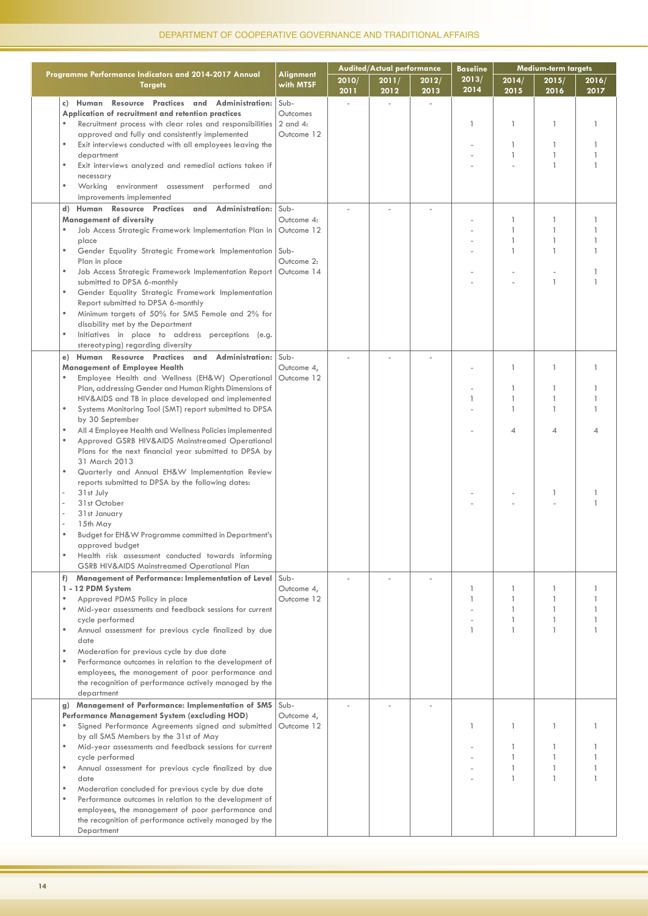|                                                                                                                                                                                                                                                                                                                                                                                                                                                                                                                                                                                                                                                                                                                                                                                                                                                                                                                                                                               |                                                              |               | <b>Audited/Actual performance</b> |               | <b>Baseline</b> |                                                                               | Medium-term targets                                                    |                                   |
|-------------------------------------------------------------------------------------------------------------------------------------------------------------------------------------------------------------------------------------------------------------------------------------------------------------------------------------------------------------------------------------------------------------------------------------------------------------------------------------------------------------------------------------------------------------------------------------------------------------------------------------------------------------------------------------------------------------------------------------------------------------------------------------------------------------------------------------------------------------------------------------------------------------------------------------------------------------------------------|--------------------------------------------------------------|---------------|-----------------------------------|---------------|-----------------|-------------------------------------------------------------------------------|------------------------------------------------------------------------|-----------------------------------|
| Programme Performance Indicators and 2014-2017 Annual<br><b>Targets</b>                                                                                                                                                                                                                                                                                                                                                                                                                                                                                                                                                                                                                                                                                                                                                                                                                                                                                                       | Alignment<br>with MTSF                                       | 2010/<br>2011 | 2011/<br>2012                     | 2012/<br>2013 | 2013/<br>2014   | 2014/<br>2015                                                                 | 2015/<br>2016                                                          | 2016/<br>2017                     |
| Human Resource Practices and Administration:<br>c)<br>Application of recruitment and retention practices<br>Recruitment process with clear roles and responsibilities<br>approved and fully and consistently implemented<br>Exit interviews conducted with all employees leaving the<br>$\bullet$<br>department<br>Exit interviews analyzed and remedial actions taken if<br>necessary<br>Working environment assessment performed and<br>$\bullet$<br>improvements implemented                                                                                                                                                                                                                                                                                                                                                                                                                                                                                               | Sub-<br>Outcomes<br>$2$ and $4$ :<br>Outcome 12              |               | L.                                |               | 1               | 1<br>1<br>1                                                                   | -1<br>-1<br>$\mathbf{1}$<br>$\mathbf{1}$                               | 1<br>1                            |
| d) Human Resource Practices and Administration: Sub-<br><b>Management of diversity</b><br>Job Access Strategic Framework Implementation Plan in<br>$\bullet$<br>place<br>$\bullet$<br>Gender Equality Strategic Framework Implementation<br>Plan in place<br>Job Access Strategic Framework Implementation Report<br>$\bullet$<br>submitted to DPSA 6-monthly<br>Gender Equality Strategic Framework Implementation<br>$\bullet$<br>Report submitted to DPSA 6-monthly<br>Minimum targets of 50% for SMS Female and 2% for<br>$\bullet$<br>disability met by the Department<br>Initiatives in place to address perceptions (e.g.<br>$\bullet$<br>stereotyping) regarding diversity                                                                                                                                                                                                                                                                                            | Outcome 4:<br>Outcome 12<br>Sub-<br>Outcome 2:<br>Outcome 14 |               |                                   |               |                 | 1<br>$\mathbf{1}$<br>$\mathbf{1}$<br>$\mathbf{1}$                             | $\overline{\phantom{a}}$<br>$\mathbf{1}$<br>-1<br>-1<br>$\overline{1}$ | $\mathbf{1}$<br>1<br>$\mathbf{1}$ |
| Human Resource Practices and Administration:<br>e)<br><b>Management of Employee Health</b><br>Employee Health and Wellness (EH&W) Operational<br>$\bullet$<br>Plan, addressing Gender and Human Rights Dimensions of<br>HIV&AIDS and TB in place developed and implemented<br>$\bullet$<br>Systems Monitoring Tool (SMT) report submitted to DPSA<br>by 30 September<br>All 4 Employee Health and Wellness Policies implemented<br>$\bullet$<br>$\bullet$<br>Approved GSRB HIV&AIDS Mainstreamed Operational<br>Plans for the next financial year submitted to DPSA by<br>31 March 2013<br>$\bullet$<br>Quarterly and Annual EH&W Implementation Review<br>reports submitted to DPSA by the following dates:<br>31st July<br>i.<br>31st October<br>i.<br>31st January<br>15th May<br>Budget for EH&W Programme committed in Department's<br>$\bullet$<br>approved budget<br>Health risk assessment conducted towards informing<br>GSRB HIV&AIDS Mainstreamed Operational Plan | Sub-<br>Outcome 4,<br>Outcome 12                             |               |                                   |               | 1               | $\mathbf{1}$<br>1<br>$\mathbf{1}$<br>$\mathbf{1}$<br>$\overline{\mathcal{A}}$ | -1<br>-1<br>$\overline{1}$<br>$\overline{1}$<br>$\overline{A}$<br>-1   | 1                                 |
| Management of Performance: Implementation of Level<br>f)<br>1 - 12 PDM System<br>Approved PDMS Policy in place<br>$\bullet$<br>Mid-year assessments and feedback sessions for current<br>$\bullet$<br>cycle performed<br>Annual assessment for previous cycle finalized by due<br>$\bullet$<br>date<br>Moderation for previous cycle by due date<br>$\bullet$<br>Performance outcomes in relation to the development of<br>$\bullet$<br>employees, the management of poor performance and<br>the recognition of performance actively managed by the<br>department                                                                                                                                                                                                                                                                                                                                                                                                             | Sub-<br>Outcome 4,<br>Outcome 12                             |               |                                   |               | 1<br>1<br>1     | 1<br>$\mathbf{1}$<br>$\mathbf{1}$<br>$\mathbf{1}$                             | -1<br>-1<br>-1<br>-1<br>$\overline{1}$                                 | 1                                 |
| Management of Performance: Implementation of SMS Sub-<br>g)<br>Performance Management System (excluding HOD)<br>Signed Performance Agreements signed and submitted<br>$\bullet$<br>by all SMS Members by the 31st of May<br>Mid-year assessments and feedback sessions for current<br>$\bullet$<br>cycle performed<br>Annual assessment for previous cycle finalized by due<br>$\bullet$<br>date<br>$\bullet$<br>Moderation concluded for previous cycle by due date<br>$\bullet$<br>Performance outcomes in relation to the development of<br>employees, the management of poor performance and<br>the recognition of performance actively managed by the<br>Department                                                                                                                                                                                                                                                                                                      | Outcome 4,<br>Outcome 12                                     |               |                                   |               | 1               | $\mathbf{1}$                                                                  | -1<br>$\mathbf{1}$<br>$\mathbf{1}$                                     |                                   |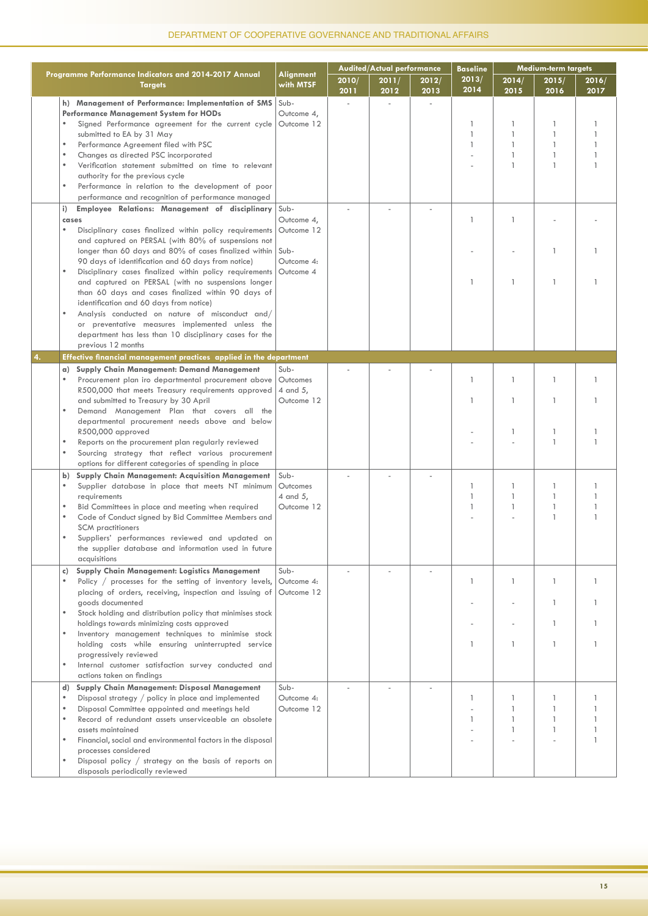|    |                                                                                                                                                                                                                                                                                                                                                                                                                                                                                                                                                                                                                                                                                                                                                                                                                                                                                                                      |                                                                                          |               | <b>Audited/Actual performance</b> |               | <b>Baseline</b>        |                                                                                                          | <b>Medium-term targets</b>                                                                                                               |                                  |
|----|----------------------------------------------------------------------------------------------------------------------------------------------------------------------------------------------------------------------------------------------------------------------------------------------------------------------------------------------------------------------------------------------------------------------------------------------------------------------------------------------------------------------------------------------------------------------------------------------------------------------------------------------------------------------------------------------------------------------------------------------------------------------------------------------------------------------------------------------------------------------------------------------------------------------|------------------------------------------------------------------------------------------|---------------|-----------------------------------|---------------|------------------------|----------------------------------------------------------------------------------------------------------|------------------------------------------------------------------------------------------------------------------------------------------|----------------------------------|
|    | Programme Performance Indicators and 2014-2017 Annual<br><b>Targets</b>                                                                                                                                                                                                                                                                                                                                                                                                                                                                                                                                                                                                                                                                                                                                                                                                                                              | Alignment<br>with MTSF                                                                   | 2010/<br>2011 | 2011/<br>2012                     | 2012/<br>2013 | 2013/<br>2014          | 2014/<br>2015                                                                                            | 2015/<br>2016                                                                                                                            | 2016/<br>2017                    |
|    | h) Management of Performance: Implementation of SMS<br>Performance Management System for HODs<br>Signed Performance agreement for the current cycle<br>submitted to EA by 31 May<br>$\bullet$<br>Performance Agreement filed with PSC<br>$\bullet$<br>Changes as directed PSC incorporated<br>$\bullet$<br>Verification statement submitted on time to relevant<br>authority for the previous cycle<br>$\bullet$<br>Performance in relation to the development of poor<br>performance and recognition of performance managed                                                                                                                                                                                                                                                                                                                                                                                         | Sub-<br>Outcome 4,<br>Outcome 12                                                         |               |                                   |               | 1<br>$\mathbf{1}$<br>1 | 1<br>$\mathbf{1}$<br>$\mathbf{1}$<br>$\mathbf{1}$<br>$\mathbf{1}$                                        | -1<br>$\overline{1}$<br>$\overline{1}$<br>$\mathbf{1}$<br>$\mathbf{1}$                                                                   |                                  |
|    | Employee Relations: Management of disciplinary<br>i)<br>cases<br>$\bullet$<br>Disciplinary cases finalized within policy requirements<br>and captured on PERSAL (with 80% of suspensions not<br>longer than 60 days and 80% of cases finalized within<br>90 days of identification and 60 days from notice)<br>$\bullet$<br>Disciplinary cases finalized within policy requirements<br>and captured on PERSAL (with no suspensions longer<br>than 60 days and cases finalized within 90 days of<br>identification and 60 days from notice)<br>Analysis conducted on nature of misconduct and/<br>or preventative measures implemented unless the<br>department has less than 10 disciplinary cases for the<br>previous 12 months                                                                                                                                                                                     | Sub-<br>Outcome 4,<br>Outcome 12<br>Sub-<br>Outcome 4:<br>Outcome 4                      |               |                                   |               | 1<br>1                 | $\mathbf{1}$<br>$\mathbf{1}$                                                                             | $\mathbf{1}$<br>$\overline{1}$                                                                                                           |                                  |
| 4. | Effective financial management practices applied in the department                                                                                                                                                                                                                                                                                                                                                                                                                                                                                                                                                                                                                                                                                                                                                                                                                                                   |                                                                                          |               |                                   |               |                        |                                                                                                          |                                                                                                                                          |                                  |
|    | a) Supply Chain Management: Demand Management<br>Procurement plan iro departmental procurement above<br>R500,000 that meets Treasury requirements approved<br>and submitted to Treasury by 30 April<br>Demand Management Plan that covers all the<br>departmental procurement needs above and below<br>R500,000 approved<br>Reports on the procurement plan regularly reviewed<br>$\bullet$<br>Sourcing strategy that reflect various procurement<br>options for different categories of spending in place<br>b) Supply Chain Management: Acquisition Management<br>$\bullet$<br>Supplier database in place that meets NT minimum<br>reauirements<br>Bid Committees in place and meeting when required<br>Code of Conduct signed by Bid Committee Members and<br><b>SCM</b> practitioners<br>Suppliers' performances reviewed and updated on<br>the supplier database and information used in future<br>acquisitions | Sub-<br>Outcomes<br>4 and 5,<br>Outcome 12<br>Sub-<br>Outcomes<br>4 and 5,<br>Outcome 12 |               |                                   |               | 1<br>1<br>1<br>1<br>1  | $\mathbf{1}$<br>$\mathbf{1}$<br>$\mathbf{1}$<br>$\mathbf{1}$<br>$\overline{\phantom{a}}$<br>$\mathbf{1}$ | $\overline{1}$<br>$\mathbf{1}$<br>$\overline{1}$<br>$\overline{1}$<br>-1<br>$\overline{1}$<br>$\overline{\phantom{a}}$<br>$\overline{1}$ | 1<br>1<br>$\mathbf{1}$<br>1<br>1 |
|    | Supply Chain Management: Logistics Management<br>c)<br>Policy / processes for the setting of inventory levels,<br>placing of orders, receiving, inspection and issuing of<br>goods documented<br>Stock holding and distribution policy that minimises stock<br>holdings towards minimizing costs approved<br>Inventory management techniques to minimise stock<br>holding costs while ensuring uninterrupted service<br>progressively reviewed<br>Internal customer satisfaction survey conducted and<br>actions taken on findings                                                                                                                                                                                                                                                                                                                                                                                   | Sub-<br>Outcome 4:<br>Outcome 12                                                         |               |                                   |               | 1<br>1                 | $\mathbf{1}$<br>$\mathbf{1}$                                                                             | $\overline{1}$<br>-1<br>$\mathbf{1}$<br>$\overline{1}$                                                                                   | 1<br>1<br>1                      |
|    | d) Supply Chain Management: Disposal Management<br>Disposal strategy / policy in place and implemented<br>Disposal Committee appointed and meetings held<br>$\bullet$<br>Record of redundant assets unserviceable an obsolete<br>assets maintained<br>$\bullet$<br>Financial, social and environmental factors in the disposal<br>processes considered<br>Disposal policy / strategy on the basis of reports on<br>disposals periodically reviewed                                                                                                                                                                                                                                                                                                                                                                                                                                                                   | Sub-<br>Outcome 4:<br>Outcome 12                                                         |               |                                   |               | 1<br>1                 | 1<br>1<br>$\mathbf{1}$<br>$\mathbf{1}$                                                                   | -1<br>$\mathbf{1}$<br>$\mathbf{1}$                                                                                                       |                                  |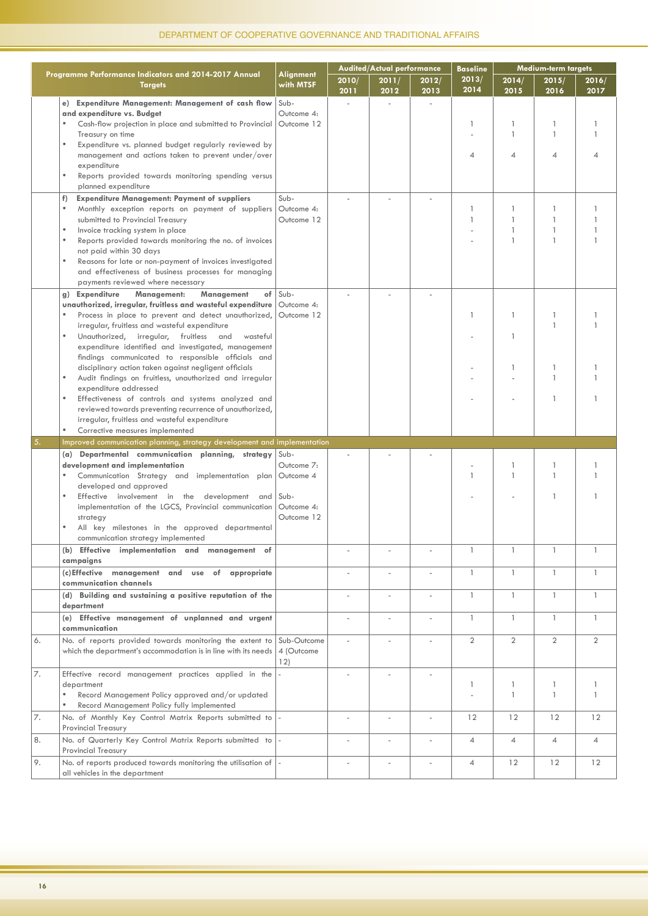|    |                                                                          |                        |               | <b>Audited/Actual performance</b> |               | <b>Baseline</b> | Medium-term targets      |                |                |
|----|--------------------------------------------------------------------------|------------------------|---------------|-----------------------------------|---------------|-----------------|--------------------------|----------------|----------------|
|    | Programme Performance Indicators and 2014-2017 Annual<br><b>Targets</b>  | Alignment<br>with MTSF | 2010/<br>2011 | 2011/<br>2012                     | 2012/<br>2013 | 2013/<br>2014   | 2014/<br>2015            | 2015/<br>2016  | 2016/<br>2017  |
|    | e) Expenditure Management: Management of cash flow Sub-                  |                        |               |                                   |               |                 |                          |                |                |
|    | and expenditure vs. Budget                                               | Outcome 4:             |               |                                   |               |                 |                          |                |                |
|    | Cash-flow projection in place and submitted to Provincial                | Outcome 12             |               |                                   |               | 1               | 1                        | -1             |                |
|    | Treasury on time                                                         |                        |               |                                   |               |                 | $\mathbf{1}$             | $\mathbf{1}$   | $\mathbf{1}$   |
|    | $\bullet$<br>Expenditure vs. planned budget regularly reviewed by        |                        |               |                                   |               |                 |                          |                |                |
|    | management and actions taken to prevent under/over                       |                        |               |                                   |               | 4               | $\overline{\mathcal{A}}$ | 4              | 4              |
|    | expenditure                                                              |                        |               |                                   |               |                 |                          |                |                |
|    | Reports provided towards monitoring spending versus                      |                        |               |                                   |               |                 |                          |                |                |
|    | planned expenditure                                                      |                        |               |                                   |               |                 |                          |                |                |
|    | f)<br><b>Expenditure Management: Payment of suppliers</b>                | Sub-                   |               |                                   |               |                 |                          |                |                |
|    | Monthly exception reports on payment of suppliers                        | Outcome 4:             |               |                                   |               | 1               | 1                        | -1             |                |
|    | submitted to Provincial Treasury                                         | Outcome 12             |               |                                   |               | 1               | 1                        | $\mathbf{1}$   |                |
|    | $\bullet$<br>Invoice tracking system in place                            |                        |               |                                   |               |                 | $\mathbf{1}$             | $\mathbf{1}$   |                |
|    | Reports provided towards monitoring the no. of invoices                  |                        |               |                                   |               |                 | $\mathbf{1}$             | $\mathbf{1}$   |                |
|    | not paid within 30 days                                                  |                        |               |                                   |               |                 |                          |                |                |
|    | Reasons for late or non-payment of invoices investigated                 |                        |               |                                   |               |                 |                          |                |                |
|    | and effectiveness of business processes for managing                     |                        |               |                                   |               |                 |                          |                |                |
|    | payments reviewed where necessary                                        |                        |               |                                   |               |                 |                          |                |                |
|    | g) Expenditure<br>Management<br>Management:<br>of                        | Sub-                   |               |                                   |               |                 |                          |                |                |
|    | unauthorized, irregular, fruitless and wasteful expenditure              | Outcome 4:             |               |                                   |               |                 |                          |                |                |
|    | Process in place to prevent and detect unauthorized,                     | Outcome 12             |               |                                   |               | 1               | 1                        | 1              |                |
|    | irregular, fruitless and wasteful expenditure                            |                        |               |                                   |               |                 |                          | $\mathbf{1}$   |                |
|    | $\bullet$<br>Unauthorized, irregular, fruitless and<br>wasteful          |                        |               |                                   |               |                 | 1                        |                |                |
|    | expenditure identified and investigated, management                      |                        |               |                                   |               |                 |                          |                |                |
|    | findings communicated to responsible officials and                       |                        |               |                                   |               |                 |                          |                |                |
|    | disciplinary action taken against negligent officials                    |                        |               |                                   |               |                 | 1                        | 1              |                |
|    | Audit findings on fruitless, unauthorized and irregular                  |                        |               |                                   |               |                 |                          | $\mathbf{1}$   |                |
|    | expenditure addressed                                                    |                        |               |                                   |               |                 |                          |                |                |
|    | Effectiveness of controls and systems analyzed and                       |                        |               |                                   |               |                 |                          | $\mathbf{1}$   |                |
|    | reviewed towards preventing recurrence of unauthorized,                  |                        |               |                                   |               |                 |                          |                |                |
|    | irregular, fruitless and wasteful expenditure                            |                        |               |                                   |               |                 |                          |                |                |
|    | Corrective measures implemented                                          |                        |               |                                   |               |                 |                          |                |                |
| 5. | Improved communication planning, strategy development and implementation |                        |               |                                   |               |                 |                          |                |                |
|    | Departmental communication planning, strategy<br>(a)                     | Sub-                   |               |                                   |               |                 |                          |                |                |
|    | development and implementation                                           | Outcome 7:             |               |                                   |               |                 | 1                        | 1              |                |
|    | Communication Strategy and implementation plan Outcome 4                 |                        |               |                                   |               | 1               | $\mathbf{1}$             | $\mathbf{1}$   |                |
|    | developed and approved                                                   |                        |               |                                   |               |                 |                          |                |                |
|    | Effective involvement in the development<br>and                          | Sub-                   |               |                                   |               |                 |                          | $\mathbf{1}$   |                |
|    | implementation of the LGCS, Provincial communication                     | Outcome 4:             |               |                                   |               |                 |                          |                |                |
|    | strategy                                                                 | Outcome 12             |               |                                   |               |                 |                          |                |                |
|    | All key milestones in the approved departmental                          |                        |               |                                   |               |                 |                          |                |                |
|    | communication strategy implemented                                       |                        |               |                                   |               |                 |                          |                |                |
|    | (b) Effective implementation and management of<br>campaigns              |                        |               |                                   |               |                 | 1                        | 1              | 1              |
|    | (c) Effective management and use of<br>appropriate                       |                        | ä,            |                                   |               | $\mathbf{1}$    | $\mathbf{1}$             | $\mathbf{1}$   | $\mathbf{1}$   |
|    | communication channels                                                   |                        |               |                                   |               |                 |                          |                |                |
|    | (d) Building and sustaining a positive reputation of the                 |                        | ä,            | J.                                | ×.            | $\mathbf{1}$    | $\mathbf{1}$             | $\mathbf{1}$   | $\mathbf{1}$   |
|    | department                                                               |                        |               |                                   |               |                 |                          |                |                |
|    | (e) Effective management of unplanned and urgent                         |                        | L,            |                                   |               | $\mathbf{1}$    | $\mathbf{1}$             | $\mathbf{1}$   | $\mathbf{1}$   |
|    | communication                                                            |                        |               |                                   |               |                 |                          |                |                |
| 6. | No. of reports provided towards monitoring the extent to                 | Sub-Outcome            | ÷,            | Î,                                |               | $\overline{2}$  | $\overline{2}$           | $\overline{2}$ | $\overline{2}$ |
|    | which the department's accommodation is in line with its needs           | 4 (Outcome             |               |                                   |               |                 |                          |                |                |
|    |                                                                          | 12)                    |               |                                   |               |                 |                          |                |                |
| 7. | Effective record management practices applied in the                     |                        | ä,            |                                   |               |                 |                          |                |                |
|    | department                                                               |                        |               |                                   |               | 1               | 1                        | 1              | $\mathbf{1}$   |
|    | Record Management Policy approved and/or updated                         |                        |               |                                   |               |                 | $\mathbf{1}$             | $\mathbf{1}$   | $\mathbf{1}$   |
|    | Record Management Policy fully implemented                               |                        |               |                                   |               |                 |                          |                |                |
| 7. | No. of Monthly Key Control Matrix Reports submitted to -                 |                        | ä,            | ÷                                 |               | 12              | 12                       | 12             | 12             |
|    | <b>Provincial Treasury</b>                                               |                        |               |                                   |               |                 |                          |                |                |
| 8. | No. of Quarterly Key Control Matrix Reports submitted to -               |                        | ÷,            | ÷                                 |               | 4               | 4                        | 4              | 4              |
|    | Provincial Treasury                                                      |                        |               |                                   |               |                 |                          |                |                |
| 9. | No. of reports produced towards monitoring the utilisation of $\vert$ -  |                        |               |                                   |               | $\overline{4}$  | 12                       | 12             | 12             |
|    | all vehicles in the department                                           |                        |               |                                   |               |                 |                          |                |                |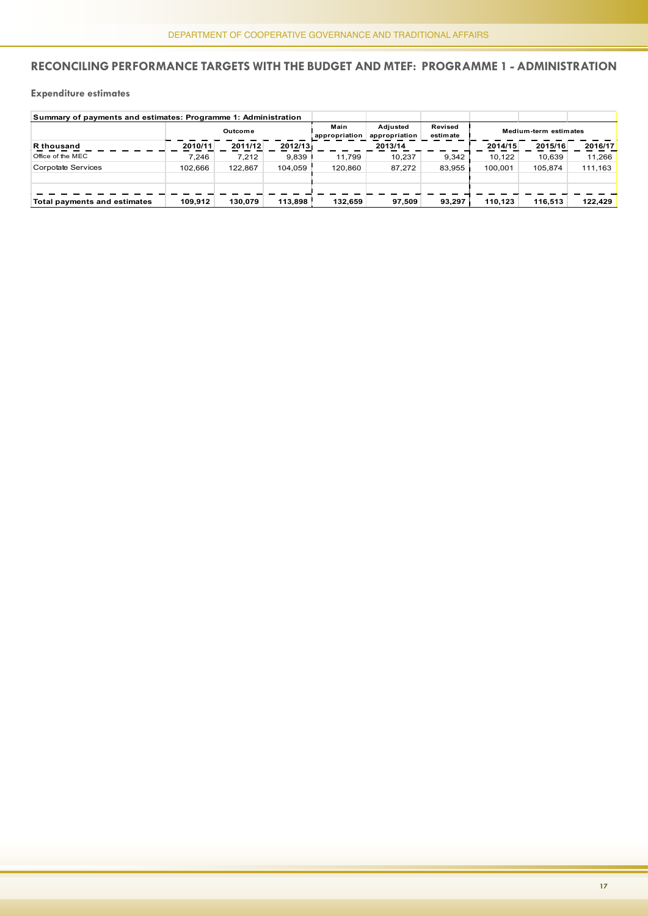#### **Reconciling performance targets with the Budget and MTEF: Programme 1 - Administration**

#### **Expenditure estimates**

| Summary of payments and estimates: Programme 1: Administration |         |         |         |                       |                           |                     |         |                       |         |
|----------------------------------------------------------------|---------|---------|---------|-----------------------|---------------------------|---------------------|---------|-----------------------|---------|
|                                                                |         | Outcome |         | Main<br>appropriation | Adiusted<br>appropriation | Revised<br>estimate |         | Medium-term estimates |         |
| <b>R</b> thousand                                              | 2010/11 | 2011/12 | 2012/13 |                       | 2013/14                   |                     | 2014/15 | 2015/16               | 2016/17 |
| Office of the MEC                                              | 7.246   | 7.212   | 9.839   | 11.799                | 10.237                    | 9.342               | 10.122  | 10.639                | 11.266  |
| Corpotate Services                                             | 102.666 | 122.867 | 104.059 | 120.860               | 87.272                    | 83.955              | 100.001 | 105.874               | 111.163 |
|                                                                |         |         |         |                       |                           |                     |         |                       |         |
| Total payments and estimates                                   | 109.912 | 130.079 | 113.898 | 132.659               | 97.509                    | 93.297              | 110.123 | 116.513               | 122.429 |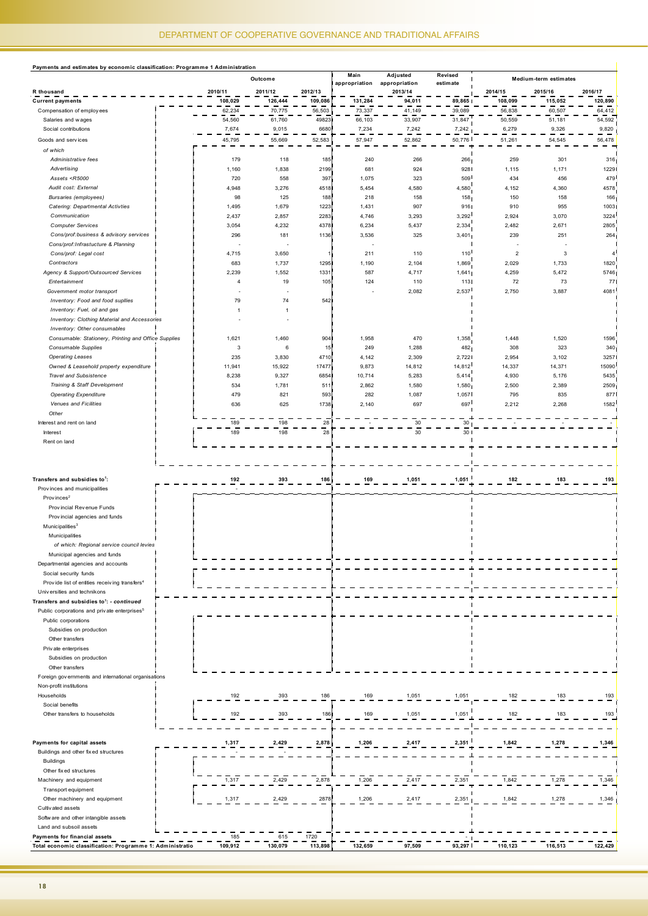| Payments and estimates by economic classification: Programme 1 Administration                                                                |                |                |                 |                       |                           |                     |                |                       |                |
|----------------------------------------------------------------------------------------------------------------------------------------------|----------------|----------------|-----------------|-----------------------|---------------------------|---------------------|----------------|-----------------------|----------------|
|                                                                                                                                              |                | Outcome        |                 | Main<br>appropriation | Adjusted<br>appropriation | Revised<br>estimate |                | Medium-term estimates |                |
| R thousand                                                                                                                                   | 2010/11        | 2011/12        | 2012/13         |                       | 2013/14                   |                     | 2014/15        | 2015/16               | 2016/17        |
| <b>Current payments</b>                                                                                                                      | 108,029        | 126,444        | 109,086         | 131,284               | 94,011                    | 89,865              | 108,099        | 115,052               | 120,890        |
| Compensation of employees                                                                                                                    | 62,234         | 70,775         | 56,503          | 73,337                | 41,149                    | 39,089              | 56,838         | 60,507                | 64,412         |
| Salaries and wages                                                                                                                           | 54,560         | 61,760         | 49823           | 66,103                | 33,907                    | 31,847              | 50,559         | 51,181                | 54,592         |
| Social contributions                                                                                                                         | 7,674          | 9,015          | 6680            | 7,234                 | 7,242                     | 7,242               | 6,279          | 9,326                 | 9,820          |
| Goods and services                                                                                                                           | 45,795         | 55,669         | 52,583          | 57,947                | 52,862                    | 50,776              | 51,261         | 54,545                | 56,478         |
|                                                                                                                                              |                |                |                 |                       |                           |                     |                |                       |                |
| of which                                                                                                                                     |                |                |                 |                       |                           |                     |                |                       |                |
| Administrative fees                                                                                                                          | 179            | 118            | 185             | 240                   | 266                       | 266                 | 259            | 301                   | 316            |
| Advertising                                                                                                                                  | 1,160          | 1,838          | 2199            | 681                   | 924                       | 928                 | 1,115          | 1,171                 | 1229           |
| Assets <r5000< td=""><td>720</td><td>558</td><td>397</td><td>1,075</td><td>323</td><td>509</td><td>434</td><td>456</td><td>479</td></r5000<> | 720            | 558            | 397             | 1,075                 | 323                       | 509                 | 434            | 456                   | 479            |
| Audit cost: External                                                                                                                         | 4,948          | 3,276          | 4518            | 5,454                 | 4,580                     | 4,580               | 4,152          | 4,360                 | 4578           |
| <b>Bursaries</b> (employees)                                                                                                                 | 98             | 125            | 188             | 218                   | 158                       | 158                 | 150            | 158                   | 166            |
| <b>Catering: Departmental Activties</b>                                                                                                      | 1,495          | 1,679          | 1223            | 1,431                 | 907                       | 916                 | 910            | 955                   | 1003           |
| Communication                                                                                                                                | 2,437          | 2,857          | 2283            | 4,746                 | 3,293                     | 3,292               | 2,924          | 3,070                 | 3224           |
| <b>Computer Services</b>                                                                                                                     | 3,054          | 4,232          | 4378            | 6,234                 | 5,437                     | 2,334               | 2,482          | 2,671                 | 2805           |
| Cons/prof:business & advisory services                                                                                                       | 296            | 181            | 1136            | 3,536                 | 325                       | 3,401               | 239            | 251                   | 264            |
| Cons/prof: Infrastucture & Planning                                                                                                          |                |                |                 |                       |                           |                     |                |                       |                |
| Cons/prof: Legal cost                                                                                                                        | 4,715          | 3,650          | 1 <sub>1</sub>  | 211                   | 110                       | 110                 | $\overline{2}$ | 3                     | $\overline{4}$ |
|                                                                                                                                              |                |                | 1295            |                       |                           |                     |                |                       | 1820           |
| Contractors                                                                                                                                  | 683            | 1,737          |                 | 1,190                 | 2,104                     | 1,869               | 2,029          | 1,733                 |                |
| Agency & Support/Outsourced Services                                                                                                         | 2,239          | 1,552          | 1331            | 587                   | 4,717                     | 1,641               | 4,259          | 5,472                 | 5746           |
| Entertainment                                                                                                                                | 4              | 19             | 105             | 124                   | 110                       | 113                 | 72             | 73                    | 77             |
| Government motor transport                                                                                                                   |                |                |                 |                       | 2,082                     | 2,537               | 2,750          | 3,887                 | 4081           |
| Inventory: Food and food supliies                                                                                                            | 79             | 74             | 5421            |                       |                           |                     |                |                       |                |
| Inventory: Fuel, oil and gas                                                                                                                 | $\overline{1}$ | $\overline{1}$ |                 |                       |                           |                     |                |                       |                |
| Inventory: Clothing Material and Accessories                                                                                                 |                |                |                 |                       |                           |                     |                |                       |                |
| Inventory: Other consumables                                                                                                                 |                |                |                 |                       |                           |                     |                |                       |                |
| Consumable: Stationery, Printing and Office Supplies                                                                                         | 1,621          | 1,460          | 904             | 1,958                 | 470                       | 1,358               | 1,448          | 1,520                 | 1596           |
| Consumable Supplies                                                                                                                          | 3              | 6              | 15              | 249                   | 1,288                     | 482                 | 308            | 323                   | 340            |
| <b>Operating Leases</b>                                                                                                                      | 235            | 3,830          | 4710            | 4,142                 | 2,309                     | 2,722               | 2,954          | 3,102                 | 3257           |
| Owned & Leasehold property expenditure                                                                                                       | 11,941         | 15,922         | 17477           | 9,873                 | 14,812                    | 14,812              | 14,337         | 14,371                | 15090          |
| <b>Travel and Subsistence</b>                                                                                                                |                |                | 6854            |                       | 5,283                     | 5,414               | 4,930          |                       | 5435           |
|                                                                                                                                              | 8,238          | 9,327          |                 | 10,714                |                           |                     |                | 5,176                 |                |
| Training & Staff Development                                                                                                                 | 534            | 1,781          | 511             | 2,862                 | 1,580                     | 1,580               | 2,500          | 2,389                 | 2509           |
| <b>Operating Expenditure</b>                                                                                                                 | 479            | 821            | 593             | 282                   | 1,087                     | 1,057               | 795            | 835                   | 877            |
| Venues and Ficilities                                                                                                                        | 636            | 625            | 1738            | 2,140                 | 697                       | 697                 | 2,212          | 2,268                 | 1582           |
| Other                                                                                                                                        |                |                |                 |                       |                           |                     |                |                       |                |
| Interest and rent on land                                                                                                                    | 189            | 198            | 28              |                       | 30                        | 30                  |                |                       |                |
| Interest                                                                                                                                     | 189            | 198            | $\overline{28}$ |                       | $\overline{30}$           | 30                  |                |                       |                |
| Rent on land                                                                                                                                 |                |                |                 |                       |                           |                     |                |                       |                |
|                                                                                                                                              |                |                |                 |                       |                           |                     |                |                       |                |
|                                                                                                                                              |                |                |                 |                       |                           |                     |                |                       |                |
|                                                                                                                                              |                |                |                 |                       |                           |                     |                |                       |                |
| Transfers and subsidies to <sup>1</sup> :                                                                                                    | 192            | 393            | 186             | 169                   | 1,051                     | 1,051               | 182            | 183                   | 193            |
| Provinces and municipalities                                                                                                                 |                |                |                 |                       |                           |                     |                |                       |                |
| Provinces <sup>2</sup>                                                                                                                       |                |                |                 |                       |                           |                     |                |                       |                |
| Provincial Revenue Funds                                                                                                                     |                |                |                 |                       |                           |                     |                |                       |                |
|                                                                                                                                              |                |                |                 |                       |                           |                     |                |                       |                |
| Provincial agencies and funds                                                                                                                |                |                |                 |                       |                           |                     |                |                       |                |
| Municipalities $3$                                                                                                                           |                |                |                 |                       |                           |                     |                |                       |                |
| Municipalities                                                                                                                               |                |                |                 |                       |                           |                     |                |                       |                |
| of which: Regional service council levies                                                                                                    |                |                |                 |                       |                           |                     |                |                       |                |
| Municipal agencies and funds                                                                                                                 |                |                |                 |                       |                           |                     |                |                       |                |
| Departmental agencies and accounts                                                                                                           |                |                |                 |                       |                           |                     |                |                       |                |
| Social security funds                                                                                                                        |                |                |                 |                       |                           |                     |                |                       |                |
| Provide list of entities receiving transfers <sup>4</sup>                                                                                    |                |                |                 |                       |                           |                     |                |                       |                |
| Universities and technikons                                                                                                                  |                |                |                 |                       |                           |                     |                |                       |                |
| Transfers and subsidies to <sup>1</sup> : - continued                                                                                        |                |                |                 |                       |                           |                     |                |                       |                |
| Public corporations and private enterprises <sup>5</sup>                                                                                     |                |                |                 |                       |                           |                     |                |                       |                |
| Public corporations                                                                                                                          |                |                |                 |                       |                           |                     |                |                       |                |
| Subsidies on production                                                                                                                      |                |                |                 |                       |                           |                     |                |                       |                |
| Other transfers                                                                                                                              |                |                |                 |                       |                           |                     |                |                       |                |
|                                                                                                                                              |                |                |                 |                       |                           |                     |                |                       |                |
| Private enterprises                                                                                                                          |                |                |                 |                       |                           |                     |                |                       |                |
| Subsidies on production                                                                                                                      |                |                |                 |                       |                           |                     |                |                       |                |
| Other transfers                                                                                                                              |                |                |                 |                       |                           |                     |                |                       |                |
| Foreign governments and international organisations                                                                                          |                |                |                 |                       |                           |                     |                |                       |                |
| Non-profit institutions                                                                                                                      |                |                |                 |                       |                           |                     |                |                       |                |
| Households                                                                                                                                   | 192            | 393            | 186             | 169                   | 1,051                     | 1,051               | 182            | 183                   | 193            |
| Social benefits                                                                                                                              |                |                |                 |                       |                           |                     |                |                       |                |
| Other transfers to households                                                                                                                | 192            | 393            | 186             | 169                   | 1,051                     | 1,051               | 182            | 183                   | 193            |
|                                                                                                                                              |                |                |                 |                       |                           |                     |                |                       |                |
|                                                                                                                                              |                |                |                 |                       |                           |                     |                |                       |                |
| Payments for capital assets                                                                                                                  | 1,317          | 2,429          | 2,878           | 1,206                 | 2,417                     | 2,351               | 1,842          | 1,278                 | 1,346          |
|                                                                                                                                              |                |                |                 |                       |                           |                     |                |                       |                |
| Buildings and other fix ed structures                                                                                                        |                |                |                 |                       |                           |                     |                |                       |                |
| <b>Buildings</b>                                                                                                                             |                |                |                 |                       |                           |                     |                |                       |                |
| Other fix ed structures                                                                                                                      |                |                |                 |                       |                           |                     |                |                       |                |
| Machinery and equipment                                                                                                                      | 1,317          | 2,429          | 2,878           | 1,206                 | 2,417                     | 2,351               | 1,842          | 1,278                 | 1,346          |
| Transport equipment                                                                                                                          |                |                |                 |                       |                           |                     |                |                       |                |
| Other machinery and equipment                                                                                                                | 1,317          | 2,429          | 2878            | 1,206                 | 2,417                     | 2,351               | 1,842          | 1,278                 | 1,346          |
| Cultivated assets                                                                                                                            |                |                |                 |                       |                           |                     |                |                       |                |
| Software and other intangible assets                                                                                                         |                |                |                 |                       |                           |                     |                |                       |                |
| Land and subsoil assets                                                                                                                      |                |                |                 |                       |                           |                     |                |                       |                |
| Payments for financial assets                                                                                                                | 185            | 615            | 1720            |                       |                           |                     |                |                       |                |
| Total economic classification: Programme 1: Administratio                                                                                    | 109,912        | 130,079        | 113,898         | 132,659               | 97,509                    | 93,297              | 110,123        | 116,513               | 122,429        |
|                                                                                                                                              |                |                |                 |                       |                           |                     |                |                       |                |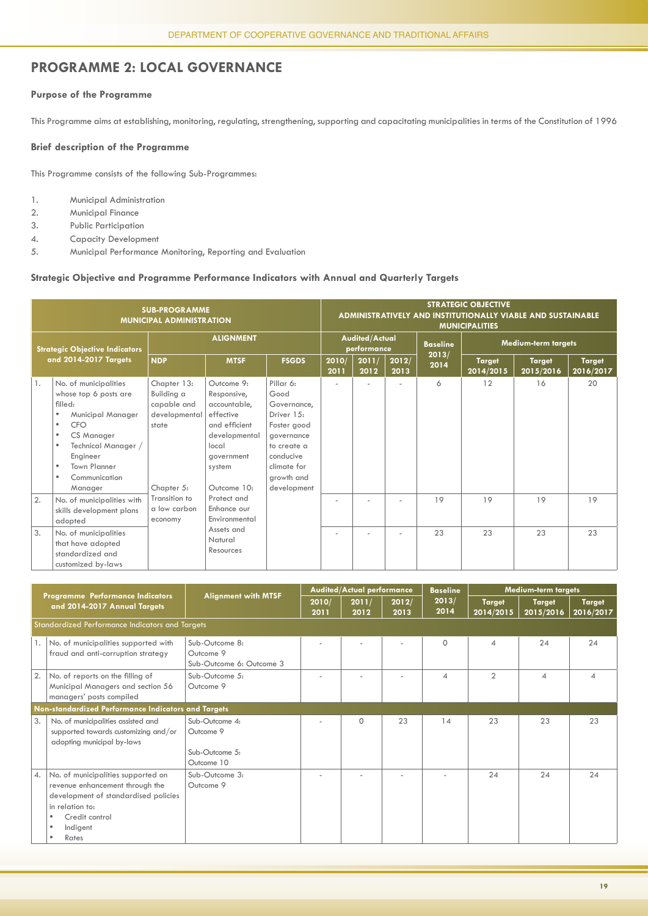#### **PROGRAMME 2: LOCAL GOVERNANCE**

#### **Purpose of the Programme**

This Programme aims at establishing, monitoring, regulating, strengthening, supporting and capacitating municipalities in terms of the Constitution of 1996

#### **Brief description of the Programme**

This Programme consists of the following Sub-Programmes:

- 1. Municipal Administration
- 2. Municipal Finance
- 3. Public Participation
- 4. Capacity Development
- 5. Municipal Performance Monitoring, Reporting and Evaluation

#### **Strategic Objective and Programme Performance Indicators with Annual and Quarterly Targets**

|                       |                                                                                                                                                                                                                                                 | <b>SUB-PROGRAMME</b><br><b>MUNICIPAL ADMINISTRATION</b>                          |                                                                                                                                          |                                                                                                                                                     | <b>STRATEGIC OBJECTIVE</b><br>ADMINISTRATIVELY AND INSTITUTIONALLY VIABLE AND SUSTAINABLE<br><b>MUNICIPALITIES</b> |               |               |                 |                            |                            |                     |  |  |  |
|-----------------------|-------------------------------------------------------------------------------------------------------------------------------------------------------------------------------------------------------------------------------------------------|----------------------------------------------------------------------------------|------------------------------------------------------------------------------------------------------------------------------------------|-----------------------------------------------------------------------------------------------------------------------------------------------------|--------------------------------------------------------------------------------------------------------------------|---------------|---------------|-----------------|----------------------------|----------------------------|---------------------|--|--|--|
|                       | <b>Strategic Objective Indicators</b>                                                                                                                                                                                                           | <b>ALIGNMENT</b>                                                                 |                                                                                                                                          |                                                                                                                                                     | <b>Audited/Actual</b><br>performance                                                                               |               |               | <b>Baseline</b> | Medium-term targets        |                            |                     |  |  |  |
| and 2014-2017 Targets |                                                                                                                                                                                                                                                 | <b>NDP</b>                                                                       | <b>MTSF</b>                                                                                                                              | <b>FSGDS</b>                                                                                                                                        | 2010/<br>2011                                                                                                      | 2011/<br>2012 | 2012/<br>2013 | 2013/<br>2014   | <b>Target</b><br>2014/2015 | <b>Target</b><br>2015/2016 | Target<br>2016/2017 |  |  |  |
| 1.                    | No. of municipalities<br>whose top 6 posts are<br>filled:<br>Municipal Manager<br>٠<br>CFO<br>$\bullet$<br>CS Manager<br>$\bullet$<br>Technical Manager /<br>٠<br>Engineer<br><b>Town Planner</b><br>$\bullet$<br>Communication<br>٠<br>Manager | Chapter 13:<br>Building a<br>capable and<br>developmental<br>state<br>Chapter 5: | Outcome 9:<br>Responsive,<br>accountable,<br>effective<br>and efficient<br>developmental<br>local<br>aovernment<br>system<br>Outcome 10: | Pillar 6:<br>Good<br>Governance.<br>Driver 15:<br>Foster good<br>governance<br>to create a<br>conducive<br>climate for<br>arowth and<br>development |                                                                                                                    |               |               | 6               | 12                         | 16                         | 20                  |  |  |  |
| 2.                    | No. of municipalities with<br>skills development plans<br>adopted                                                                                                                                                                               | Transition to<br>a low carbon<br>economy                                         | Protect and<br>Enhance our<br>Environmental                                                                                              |                                                                                                                                                     |                                                                                                                    |               |               | 19              | 19                         | 19                         | 19                  |  |  |  |
| 3.                    | No. of municipalities<br>that have adopted<br>standardized and<br>customized by-laws                                                                                                                                                            |                                                                                  | Assets and<br>Natural<br>Resources                                                                                                       |                                                                                                                                                     |                                                                                                                    |               | ٠             | 23              | 23                         | 23                         | 23                  |  |  |  |

|                  | Programme Performance Indicators                                                                                                                                                               | <b>Alignment with MTSF</b>                                  |               | <b>Audited/Actual performance</b> |               | <b>Baseline</b>          |                            | <b>Medium-term targets</b> |                            |
|------------------|------------------------------------------------------------------------------------------------------------------------------------------------------------------------------------------------|-------------------------------------------------------------|---------------|-----------------------------------|---------------|--------------------------|----------------------------|----------------------------|----------------------------|
|                  | and 2014-2017 Annual Targets                                                                                                                                                                   |                                                             | 2010/<br>2011 | 2011/<br>2012                     | 2012/<br>2013 | 2013/<br>2014            | <b>Target</b><br>2014/2015 | <b>Target</b><br>2015/2016 | <b>Target</b><br>2016/2017 |
|                  | Standardized Performance Indicators and Targets                                                                                                                                                |                                                             |               |                                   |               |                          |                            |                            |                            |
| 1.               | No. of municipalities supported with<br>fraud and anti-corruption strategy                                                                                                                     | Sub-Outcome 8:<br>Outcome 9<br>Sub-Outcome 6: Outcome 3     |               |                                   |               | $\Omega$                 | 4                          | 24                         | 24                         |
| 2.               | No. of reports on the filling of<br>Municipal Managers and section 56<br>managers' posts compiled                                                                                              | Sub-Outcome 5:<br>Outcome 9                                 |               |                                   |               | $\boldsymbol{\varDelta}$ | $\overline{2}$             | $\varDelta$                | 4                          |
|                  | Non-standardized Performance Indicators and Targets                                                                                                                                            |                                                             |               |                                   |               |                          |                            |                            |                            |
| 3.               | No. of municipalities assisted and<br>supported towards customizing and/or<br>adopting municipal by-laws                                                                                       | Sub-Outcome 4:<br>Outcome 9<br>Sub-Outcome 5:<br>Outcome 10 |               | $\Omega$                          | 23            | 14                       | 23                         | 23                         | 23                         |
| $\overline{4}$ . | No. of municipalities supported on<br>revenue enhancement through the<br>development of standardised policies<br>in relation to:<br>Credit control<br>٠<br>Indigent<br>$\bullet$<br>Rates<br>٠ | Sub-Outcome 3:<br>Outcome 9                                 |               |                                   |               |                          | 24                         | 24                         | 24                         |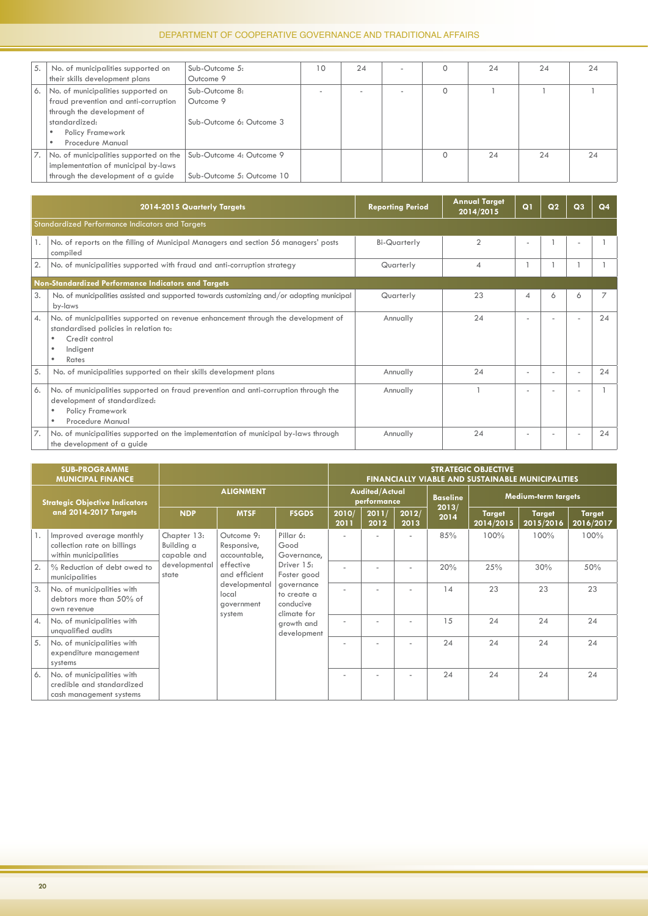| 5. | No. of municipalities supported on     | Sub-Outcome 5:            | 10 | 24 |  | 24 | 24 | 24 |
|----|----------------------------------------|---------------------------|----|----|--|----|----|----|
|    | their skills development plans         | Outcome 9                 |    |    |  |    |    |    |
| 6. | No. of municipalities supported on     | Sub-Outcome 8:            |    |    |  |    |    |    |
|    | fraud prevention and anti-corruption   | Outcome 9                 |    |    |  |    |    |    |
|    | through the development of             |                           |    |    |  |    |    |    |
|    | standardized:                          | Sub-Outcome 6: Outcome 3  |    |    |  |    |    |    |
|    | Policy Framework                       |                           |    |    |  |    |    |    |
|    | Procedure Manual                       |                           |    |    |  |    |    |    |
|    | No. of municipalities supported on the | Sub-Outcome 4: Outcome 9  |    |    |  | 24 | 24 | 24 |
|    | implementation of municipal by-laws    |                           |    |    |  |    |    |    |
|    | through the development of a guide     | Sub-Outcome 5: Outcome 10 |    |    |  |    |    |    |

|                 | 2014-2015 Quarterly Targets                                                                                                                                       | <b>Reporting Period</b> | <b>Annual Target</b><br>2014/2015 | Q1                       | Q <sub>2</sub> | Q <sub>3</sub> | Q <sub>4</sub> |
|-----------------|-------------------------------------------------------------------------------------------------------------------------------------------------------------------|-------------------------|-----------------------------------|--------------------------|----------------|----------------|----------------|
|                 | Standardized Performance Indicators and Targets                                                                                                                   |                         |                                   |                          |                |                |                |
|                 | No. of reports on the filling of Municipal Managers and section 56 managers' posts<br>compiled                                                                    | Bi-Quarterly            | $\mathfrak{D}$                    | $\overline{\phantom{a}}$ |                |                |                |
| 2.              | No. of municipalities supported with fraud and anti-corruption strategy                                                                                           | Quarterly               | 4                                 |                          |                |                |                |
|                 | Non-Standardized Performance Indicators and Targets                                                                                                               |                         |                                   |                          |                |                |                |
| 3.              | No. of municipalities assisted and supported towards customizing and/or adopting municipal<br>by-laws                                                             | Quarterly               | 23                                | 4                        | 6              | 6              |                |
| $\mathcal{A}$ . | No. of municipalities supported on revenue enhancement through the development of<br>standardised policies in relation to:<br>Credit control<br>Indigent<br>Rates | Annually                | 24                                |                          |                |                | 24             |
| 5.              | No. of municipalities supported on their skills development plans                                                                                                 | Annually                | 24                                |                          |                |                | 24             |
| 6.              | No. of municipalities supported on fraud prevention and anti-corruption through the<br>development of standardized:<br>Policy Framework<br>Procedure Manual       | Annually                |                                   |                          |                |                |                |
|                 | No. of municipalities supported on the implementation of municipal by-laws through<br>the development of a guide                                                  | Annually                | 24                                |                          |                |                | 24             |

|                         | <b>SUB-PROGRAMME</b><br><b>MUNICIPAL FINANCE</b>                                   |                                          |                                                                    |                                                                      | <b>STRATEGIC OBJECTIVE</b><br><b>FINANCIALLY VIABLE AND SUSTAINABLE MUNICIPALITIES</b> |  |                 |                            |                            |                     |      |     |  |
|-------------------------|------------------------------------------------------------------------------------|------------------------------------------|--------------------------------------------------------------------|----------------------------------------------------------------------|----------------------------------------------------------------------------------------|--|-----------------|----------------------------|----------------------------|---------------------|------|-----|--|
|                         | <b>Strategic Objective Indicators</b>                                              | <b>ALIGNMENT</b>                         |                                                                    | <b>Audited/Actual</b><br>performance                                 |                                                                                        |  | <b>Baseline</b> | Medium-term targets        |                            |                     |      |     |  |
|                         | and 2014-2017 Targets                                                              | <b>NDP</b>                               | <b>MTSF</b>                                                        | <b>FSGDS</b>                                                         | 2011/<br>2010/<br>2012/<br>2012<br>2011<br>2013                                        |  | 2013/<br>2014   | <b>Target</b><br>2014/2015 | <b>Target</b><br>2015/2016 | Target<br>2016/2017 |      |     |  |
|                         | Improved average monthly<br>collection rate on billings<br>within municipalities   | Chapter 13:<br>Building a<br>capable and | Outcome 9:<br>Responsive,<br>accountable,                          | Pillar 6:<br>Good<br>Governance,                                     |                                                                                        |  | ٠               | 85%                        | 100%                       | 100%                | 100% |     |  |
| 2.                      | % Reduction of debt owed to<br>municipalities                                      | developmental<br>state                   | effective<br>and efficient<br>developmental<br>local<br>aovernment | Driver 1.5:<br>Foster good<br>governance<br>to create a<br>conducive |                                                                                        |  |                 | ٠                          | 20%                        | 25%                 | 30%  | 50% |  |
| 3.                      | No. of municipalities with<br>debtors more than 50% of<br>own revenue              |                                          |                                                                    |                                                                      |                                                                                        |  |                 | 14                         | 23                         | 23                  | 23   |     |  |
| $\mathcal{A}_{\bullet}$ | No. of municipalities with<br>unqualified audits                                   |                                          | system                                                             | climate for<br>growth and<br>development                             |                                                                                        |  |                 | 15                         | 24                         | 24                  | 24   |     |  |
| 5.                      | No. of municipalities with<br>expenditure management<br>systems                    |                                          |                                                                    |                                                                      |                                                                                        |  |                 | 24                         | 24                         | 24                  | 24   |     |  |
| 6.                      | No. of municipalities with<br>credible and standardized<br>cash management systems |                                          |                                                                    |                                                                      |                                                                                        |  | ٠               | 24                         | 24                         | 24                  | 24   |     |  |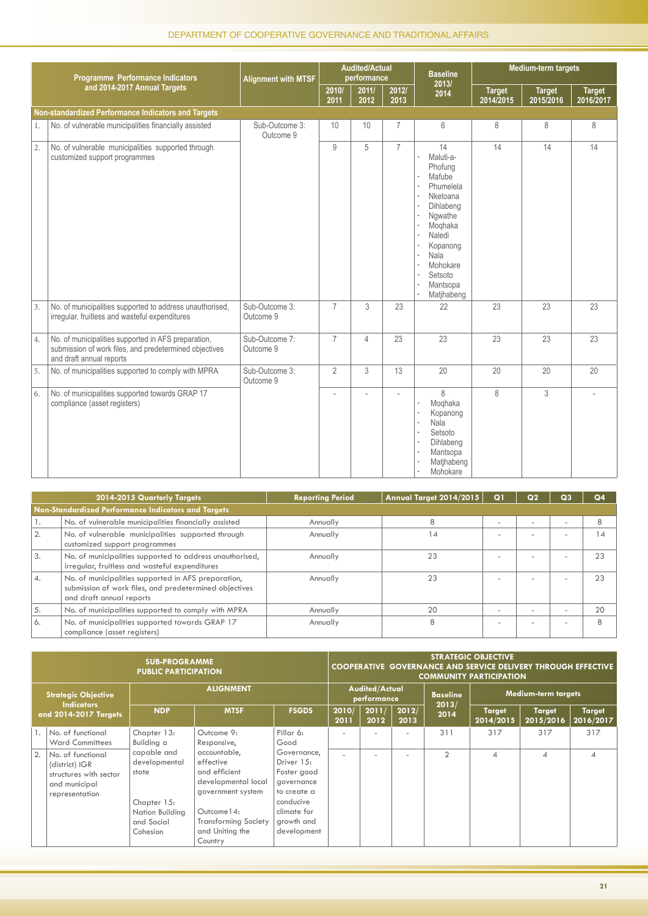|    | Programme Performance Indicators                                                                                                          | <b>Alignment with MTSF</b>  |                | <b>Audited/Actual</b><br>performance |                | <b>Baseline</b>                                                                                                                                                                                         |                            | Medium-term targets        |                            |
|----|-------------------------------------------------------------------------------------------------------------------------------------------|-----------------------------|----------------|--------------------------------------|----------------|---------------------------------------------------------------------------------------------------------------------------------------------------------------------------------------------------------|----------------------------|----------------------------|----------------------------|
|    | and 2014-2017 Annual Targets                                                                                                              |                             | 2010/<br>2011  | 2011/<br>2012                        | 2012/<br>2013  | 2013/<br>2014                                                                                                                                                                                           | <b>Target</b><br>2014/2015 | <b>Target</b><br>2015/2016 | <b>Target</b><br>2016/2017 |
|    | Non-standardized Performance Indicators and Targets                                                                                       |                             |                |                                      |                |                                                                                                                                                                                                         |                            |                            |                            |
| 1. | No. of vulnerable municipalities financially assisted                                                                                     | Sub-Outcome 3:<br>Outcome 9 | 10             | 10                                   | $\overline{7}$ | 6                                                                                                                                                                                                       | 8                          | 8                          | 8                          |
| 2. | No. of vulnerable municipalities supported through<br>customized support programmes                                                       |                             | 9              | 5                                    | $\overline{7}$ | 14<br>Maluti-a-<br>Phofung<br>Mafube<br>Phumelela<br>Nketoana<br>Dihlabeng<br>Ngwathe<br>$\ddot{\phantom{0}}$<br>Moghaka<br>Naledi<br>Kopanong<br>Nala<br>Mohokare<br>Setsoto<br>Mantsopa<br>Matjhabeng | 14                         | 14                         | 14                         |
| 3. | No. of municipalities supported to address unauthorised,<br>irregular, fruitless and wasteful expenditures                                | Sub-Outcome 3:<br>Outcome 9 | $\overline{7}$ | $\mathcal{S}$                        | 23             | 22                                                                                                                                                                                                      | 23                         | 23                         | 23                         |
| 4. | No. of municipalities supported in AFS preparation,<br>submission of work files, and predetermined objectives<br>and draft annual reports | Sub-Outcome 7:<br>Outcome 9 | $\overline{7}$ | $\overline{4}$                       | 23             | 23                                                                                                                                                                                                      | 23                         | 23                         | 23                         |
| 5. | No. of municipalities supported to comply with MPRA                                                                                       | Sub-Outcome 3:<br>Outcome 9 | $\overline{2}$ | 3                                    | 13             | 20                                                                                                                                                                                                      | 20                         | 20                         | 20                         |
| 6. | No. of municipalities supported towards GRAP 17<br>compliance (asset registers)                                                           |                             |                |                                      |                | 8<br>Moghaka<br>Kopanong<br>Nala<br>Setsoto<br>Dihlabeng<br>Mantsopa<br>Matjhabeng<br>Mohokare                                                                                                          | 8                          | 3                          |                            |

|  | F COOPERATIVE GOVERNANCE AND TRADITIONA<br><b>ENT OF</b><br>71 1 1 1 V 1 L | ,我们就会在这里,我们就会在这里,我们就会在这里,我们就会在这里,我们就会在这里,我们就会在这里,我们就会在这里,我们就会在这里,我们就会在这里,我们就会在这里<br>$-100111$ |
|--|----------------------------------------------------------------------------|-----------------------------------------------------------------------------------------------|
|--|----------------------------------------------------------------------------|-----------------------------------------------------------------------------------------------|

|                  | 2014-2015 Quarterly Targets                                                                                                               | <b>Reporting Period</b> | Annual Target 2014/2015 | Q <sub>1</sub>           | Q <sub>2</sub>           | Q <sub>3</sub>           | Q <sub>4</sub> |
|------------------|-------------------------------------------------------------------------------------------------------------------------------------------|-------------------------|-------------------------|--------------------------|--------------------------|--------------------------|----------------|
|                  | Non-Standardized Performance Indicators and Targets                                                                                       |                         |                         |                          |                          |                          |                |
| ٠.               | No. of vulnerable municipalities financially assisted                                                                                     | Annually                | 8                       | $\overline{\phantom{a}}$ | $\overline{\phantom{a}}$ | $\overline{\phantom{a}}$ | 8              |
| 2.               | No. of vulnerable municipalities supported through<br>customized support programmes                                                       | Annually                | 4                       | $\overline{\phantom{a}}$ |                          | $\overline{\phantom{a}}$ | 14             |
| 3.               | No. of municipalities supported to address unauthorised,<br>irregular, fruitless and wasteful expenditures                                | Annually                | 23                      | $\overline{\phantom{a}}$ |                          |                          | 23             |
| $\overline{4}$ . | No. of municipalities supported in AFS preparation,<br>submission of work files, and predetermined objectives<br>and draft annual reports | Annually                | 23                      | $\overline{\phantom{a}}$ |                          | $\overline{\phantom{a}}$ | 23             |
| 5.               | No. of municipalities supported to comply with MPRA                                                                                       | Annually                | 20                      | $\overline{\phantom{a}}$ |                          | $\overline{\phantom{a}}$ | 20             |
| 6.               | No. of municipalities supported towards GRAP 17<br>compliance (asset registers)                                                           | Annually                | 8                       | $\overline{\phantom{a}}$ |                          | $\overline{\phantom{a}}$ | 8              |

|                                                                          | <b>SUB-PROGRAMME</b><br><b>PUBLIC PARTICIPATION</b>                                              |                                                                                                   |                                                                                                                                                                    |                                                                                                                                | <b>STRATEGIC OBJECTIVE</b><br><b>COOPERATIVE GOVERNANCE AND SERVICE DELIVERY THROUGH EFFECTIVE</b><br><b>COMMUNITY PARTICIPATION</b> |                                      |               |                |                            |                            |                            |  |
|--------------------------------------------------------------------------|--------------------------------------------------------------------------------------------------|---------------------------------------------------------------------------------------------------|--------------------------------------------------------------------------------------------------------------------------------------------------------------------|--------------------------------------------------------------------------------------------------------------------------------|--------------------------------------------------------------------------------------------------------------------------------------|--------------------------------------|---------------|----------------|----------------------------|----------------------------|----------------------------|--|
| <b>Strategic Objective</b><br><b>Indicators</b><br>and 2014-2017 Targets |                                                                                                  | <b>ALIGNMENT</b>                                                                                  |                                                                                                                                                                    |                                                                                                                                |                                                                                                                                      | <b>Audited/Actual</b><br>performance |               |                | <b>Medium-term targets</b> |                            |                            |  |
|                                                                          |                                                                                                  | <b>NDP</b>                                                                                        | <b>MTSF</b>                                                                                                                                                        | <b>FSGDS</b>                                                                                                                   | 2010/<br>2011                                                                                                                        | 2011/<br>2012                        | 2012/<br>2013 | 2013/<br>2014  | <b>Target</b><br>2014/2015 | <b>Target</b><br>2015/2016 | <b>Target</b><br>2016/2017 |  |
|                                                                          | No. of functional<br><b>Ward Committees</b>                                                      | Chapter 13:<br>Building a                                                                         | Outcome 9:<br>Responsive,                                                                                                                                          | Pillar 6:<br>Good                                                                                                              |                                                                                                                                      |                                      |               | 311            | 317                        | 317                        | 317                        |  |
| 2.                                                                       | No. of functional<br>(district) IGR<br>structures with sector<br>and municipal<br>representation | capable and<br>developmental<br>state<br>Chapter 15:<br>Nation Building<br>and Social<br>Cohesion | accountable,<br>effective<br>and efficient<br>developmental local<br>government system<br>Outcome 14:<br><b>Transforming Society</b><br>and Uniting the<br>Country | Governance,<br>Driver 15:<br>Foster good<br>governance<br>to create a<br>conducive<br>climate for<br>growth and<br>development |                                                                                                                                      |                                      |               | $\mathfrak{D}$ | 4                          | $\boldsymbol{\Delta}$      | $\Delta$                   |  |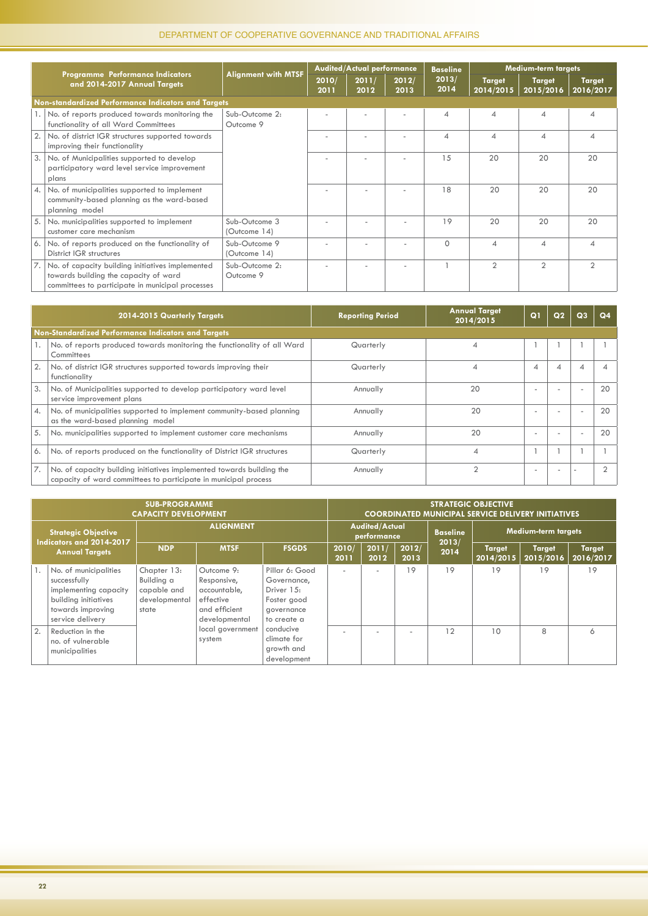|     |                                                                                                                                               |                               |               | <b>Audited/Actual performance</b> |               | <b>Baseline</b> |                            | <b>Medium-term targets</b> |                            |
|-----|-----------------------------------------------------------------------------------------------------------------------------------------------|-------------------------------|---------------|-----------------------------------|---------------|-----------------|----------------------------|----------------------------|----------------------------|
|     | Programme Performance Indicators<br>and 2014-2017 Annual Targets                                                                              | <b>Alignment with MTSF</b>    | 2010/<br>2011 | 2011/<br>2012                     | 2012/<br>2013 | 2013/<br>2014   | <b>Target</b><br>2014/2015 | <b>Target</b><br>2015/2016 | <b>Target</b><br>2016/2017 |
|     | Non-standardized Performance Indicators and Targets                                                                                           |                               |               |                                   |               |                 |                            |                            |                            |
|     | 1. No. of reports produced towards monitoring the<br>functionality of all Ward Committees                                                     | Sub-Outcome 2:<br>Outcome 9   |               |                                   |               |                 | 4                          | ⊿                          | ⊿                          |
|     | No. of district IGR structures supported towards<br>improving their functionality                                                             |                               |               |                                   |               | ⊿               | ⊿                          |                            |                            |
| 3.1 | No. of Municipalities supported to develop<br>participatory ward level service improvement<br>plans                                           |                               |               |                                   |               | 15              | 20                         | 20                         | 20                         |
|     | 4. No. of municipalities supported to implement<br>community-based planning as the ward-based<br>planning model                               |                               |               |                                   |               | 18              | 20                         | 20                         | 20                         |
|     | 5. No. municipalities supported to implement<br>customer care mechanism                                                                       | Sub-Outcome 3<br>(Outcome 14) |               |                                   |               | 19              | 20                         | 20                         | 20                         |
|     | 6. No. of reports produced on the functionality of<br>District IGR structures                                                                 | Sub-Outcome 9<br>(Outcome 14) |               |                                   |               | $\Omega$        |                            |                            |                            |
| 7.1 | No. of capacity building initiatives implemented<br>towards building the capacity of ward<br>committees to participate in municipal processes | Sub-Outcome 2:<br>Outcome 9   |               |                                   |               |                 | $\mathcal{P}$              | $\mathfrak{D}$             | $\mathfrak{D}$             |

|                  | 2014-2015 Quarterly Targets                                                                                                              | <b>Reporting Period</b> | <b>Annual Target</b><br>2014/2015 | Q <sub>1</sub> | Q <sub>2</sub> | Q <sub>3</sub>           | Q <sub>4</sub> |
|------------------|------------------------------------------------------------------------------------------------------------------------------------------|-------------------------|-----------------------------------|----------------|----------------|--------------------------|----------------|
|                  | Non-Standardized Performance Indicators and Targets                                                                                      |                         |                                   |                |                |                          |                |
|                  | No. of reports produced towards monitoring the functionality of all Ward<br>Committees                                                   | Quarterly               |                                   |                |                |                          |                |
|                  | No. of district IGR structures supported towards improving their<br>functionality                                                        | Quarterly               |                                   | $\overline{A}$ | 4              | $\overline{A}$           |                |
| 3.               | No. of Municipalities supported to develop participatory ward level<br>service improvement plans                                         | Annually                | 20                                | ۰              |                | $\overline{a}$           | 20             |
| $\overline{A}$ . | No. of municipalities supported to implement community-based planning<br>as the ward-based planning model                                | Annually                | 20                                | ۰              |                | $\overline{\phantom{a}}$ | 20             |
| 5.               | No. municipalities supported to implement customer care mechanisms                                                                       | Annually                | 20                                | ۰              |                | . .                      | 20             |
| 6.               | No. of reports produced on the functionality of District IGR structures                                                                  | Quarterly               |                                   |                |                |                          |                |
|                  | No. of capacity building initiatives implemented towards building the<br>capacity of ward committees to participate in municipal process | Annually                |                                   | ۰              |                |                          |                |

|                                                                                 | <b>SUB-PROGRAMME</b><br><b>CAPACITY DEVELOPMENT</b>                                                                             |                                                                    |                                                                                          |                                                                                         |                                      | <b>STRATEGIC OBJECTIVE</b><br><b>COORDINATED MUNICIPAL SERVICE DELIVERY INITIATIVES</b> |                          |                 |                            |                            |                            |  |  |  |
|---------------------------------------------------------------------------------|---------------------------------------------------------------------------------------------------------------------------------|--------------------------------------------------------------------|------------------------------------------------------------------------------------------|-----------------------------------------------------------------------------------------|--------------------------------------|-----------------------------------------------------------------------------------------|--------------------------|-----------------|----------------------------|----------------------------|----------------------------|--|--|--|
| <b>Strategic Objective</b><br>Indicators and 2014-2017<br><b>Annual Targets</b> |                                                                                                                                 | <b>ALIGNMENT</b>                                                   |                                                                                          |                                                                                         | <b>Audited/Actual</b><br>performance |                                                                                         |                          | <b>Baseline</b> | <b>Medium-term targets</b> |                            |                            |  |  |  |
|                                                                                 |                                                                                                                                 | <b>NDP</b>                                                         | <b>MTSF</b>                                                                              | <b>FSGDS</b>                                                                            | 2010/<br>2011                        | 2011/<br>2012                                                                           | 2012/<br>2013            | 2013/<br>2014   | <b>Target</b><br>2014/2015 | <b>Target</b><br>2015/2016 | <b>Target</b><br>2016/2017 |  |  |  |
|                                                                                 | No. of municipalities<br>successfully<br>implementing capacity<br>building initiatives<br>towards improving<br>service delivery | Chapter 13:<br>Building a<br>capable and<br>developmental<br>state | Outcome 9:<br>Responsive,<br>accountable,<br>effective<br>and efficient<br>developmental | Pillar 6: Good<br>Governance,<br>Driver 15:<br>Foster good<br>governance<br>to create a |                                      | $\sim$                                                                                  | 19                       | 19              | 19                         | 19                         | 19                         |  |  |  |
| 2.                                                                              | Reduction in the<br>no. of vulnerable<br>municipalities                                                                         |                                                                    | local government<br>system                                                               | conducive<br>climate for<br>growth and<br>development                                   |                                      |                                                                                         | $\overline{\phantom{a}}$ | 12              | 10                         | 8                          | 6                          |  |  |  |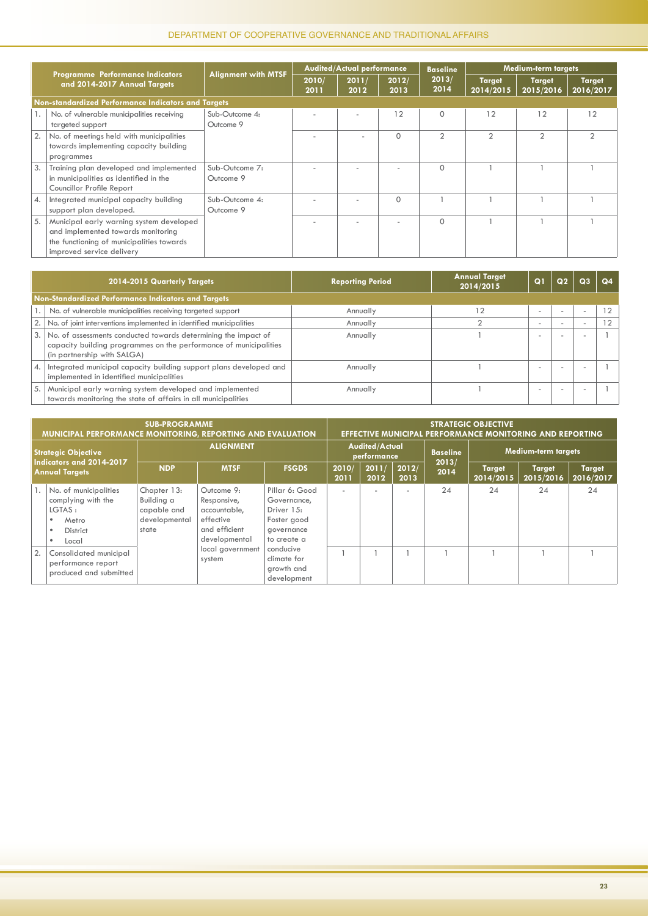|    |                                                                                                                                                          |                             |               | <b>Audited/Actual performance</b> |               | <b>Baseline</b> |                            | <b>Medium-term targets</b> |                            |
|----|----------------------------------------------------------------------------------------------------------------------------------------------------------|-----------------------------|---------------|-----------------------------------|---------------|-----------------|----------------------------|----------------------------|----------------------------|
|    | Programme Performance Indicators<br>and 2014-2017 Annual Targets                                                                                         | <b>Alignment with MTSF</b>  | 2010/<br>2011 | 2011/<br>2012                     | 2012/<br>2013 | 2013/<br>2014   | <b>Target</b><br>2014/2015 | <b>Target</b><br>2015/2016 | <b>Target</b><br>2016/2017 |
|    | Non-standardized Performance Indicators and Targets                                                                                                      |                             |               |                                   |               |                 |                            |                            |                            |
|    | No. of vulnerable municipalities receiving<br>targeted support                                                                                           | Sub-Outcome 4:<br>Outcome 9 |               |                                   | 12            | $\Omega$        | 12                         | 12                         | 12                         |
|    | No. of meetings held with municipalities<br>towards implementing capacity building<br>programmes                                                         |                             |               |                                   | $\Omega$      | $\overline{2}$  | $\overline{2}$             | $\overline{2}$             | $\mathfrak{D}$             |
| 3. | Training plan developed and implemented<br>in municipalities as identified in the<br>Councillor Profile Report                                           | Sub-Outcome 7:<br>Outcome 9 |               |                                   |               | $\Omega$        |                            |                            |                            |
| 4. | Integrated municipal capacity building<br>support plan developed.                                                                                        | Sub-Outcome 4:<br>Outcome 9 |               |                                   | $\Omega$      |                 |                            |                            |                            |
| 5. | Municipal early warning system developed<br>and implemented towards monitoring<br>the functioning of municipalities towards<br>improved service delivery |                             |               |                                   |               | $\Omega$        |                            |                            |                            |

|    | 2014-2015 Quarterly Targets                                                                                                                                        | <b>Reporting Period</b> | <b>Annual Target</b><br>2014/2015 | וס                       | $\Omega$ | Q <sub>3</sub>           | Q <sub>4</sub> |
|----|--------------------------------------------------------------------------------------------------------------------------------------------------------------------|-------------------------|-----------------------------------|--------------------------|----------|--------------------------|----------------|
|    | Non-Standardized Performance Indicators and Targets                                                                                                                |                         |                                   |                          |          |                          |                |
|    | No. of vulnerable municipalities receiving targeted support                                                                                                        | Annually                | 12                                |                          |          | $\overline{\phantom{a}}$ | 12             |
| 2. | No. of joint interventions implemented in identified municipalities                                                                                                | Annually                |                                   | $\overline{\phantom{a}}$ |          | $\overline{\phantom{a}}$ | 12             |
| 3. | No. of assessments conducted towards determining the impact of<br>capacity building programmes on the performance of municipalities<br>(in partnership with SALGA) | Annually                |                                   |                          |          | ۰                        |                |
| 4. | Integrated municipal capacity building support plans developed and<br>implemented in identified municipalities                                                     | Annually                |                                   |                          |          | ۰                        |                |
| 5. | Municipal early warning system developed and implemented<br>towards monitoring the state of affairs in all municipalities                                          | Annually                |                                   |                          |          | ۰                        |                |

|    | <b>MUNICIPAL PERFORMANCE MONITORING, REPORTING AND EVALUATION</b>                        | <b>SUB-PROGRAMME</b>                                               |                                                                                          |                                                                                         |                                      | <b>EFFECTIVE MUNICIPAL PERFORMANCE MONITORING AND REPORTING</b> |               |                 |                            |                            |                            |  |
|----|------------------------------------------------------------------------------------------|--------------------------------------------------------------------|------------------------------------------------------------------------------------------|-----------------------------------------------------------------------------------------|--------------------------------------|-----------------------------------------------------------------|---------------|-----------------|----------------------------|----------------------------|----------------------------|--|
|    | <b>Strategic Objective</b>                                                               |                                                                    | <b>ALIGNMENT</b>                                                                         |                                                                                         | <b>Audited/Actual</b><br>performance |                                                                 |               | <b>Baseline</b> | <b>Medium-term targets</b> |                            |                            |  |
|    | Indicators and 2014-2017<br><b>Annual Targets</b><br>No. of municipalities               | <b>NDP</b>                                                         | <b>MTSF</b>                                                                              | <b>FSGDS</b>                                                                            | 2010/<br>2011                        | 2011/<br>2012                                                   | 2012/<br>2013 | 2013/<br>2014   | <b>Target</b><br>2014/2015 | <b>Target</b><br>2015/2016 | <b>Target</b><br>2016/2017 |  |
|    | complying with the<br>LGTAS:<br>Metro<br>٠<br><b>District</b><br>$\bullet$<br>٠<br>Local | Chapter 13:<br>Building a<br>capable and<br>developmental<br>state | Outcome 9:<br>Responsive,<br>accountable,<br>effective<br>and efficient<br>developmental | Pillar 6: Good<br>Governance,<br>Driver 15:<br>Foster good<br>governance<br>to create a |                                      |                                                                 |               | 24              | 24                         | 24                         | 24                         |  |
| 2. | Consolidated municipal<br>performance report<br>produced and submitted                   |                                                                    | local government<br>system                                                               | conducive<br>climate for<br>growth and<br>development                                   |                                      |                                                                 |               |                 |                            |                            |                            |  |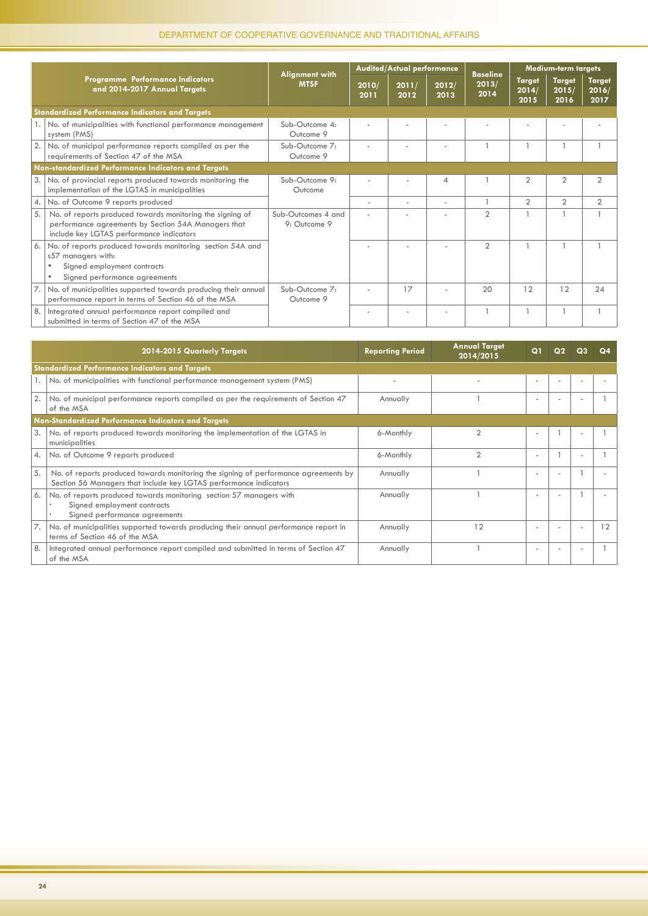|                  |                                                                                                                                                               |                                      |               | Audited/Actual performance |                          |                                  |                                | <b>Medium-term targets</b>     |                                |
|------------------|---------------------------------------------------------------------------------------------------------------------------------------------------------------|--------------------------------------|---------------|----------------------------|--------------------------|----------------------------------|--------------------------------|--------------------------------|--------------------------------|
|                  | Programme Performance Indicators<br>and 2014-2017 Annual Targets                                                                                              | <b>Alignment with</b><br><b>MTSF</b> | 2010/<br>2011 | 2011/<br>2012              | 2012/<br>2013            | <b>Baseline</b><br>2013/<br>2014 | <b>Target</b><br>2014/<br>2015 | <b>Target</b><br>2015/<br>2016 | <b>Target</b><br>2016/<br>2017 |
|                  | <b>Standardized Performance Indicators and Targets</b>                                                                                                        |                                      |               |                            |                          |                                  |                                |                                |                                |
|                  | 1. No. of municipalities with functional performance management<br>system (PMS)                                                                               | Sub-Outcome 4:<br>Outcome 9          |               |                            |                          |                                  |                                |                                |                                |
| 2.               | No. of municipal performance reports compiled as per the<br>requirements of Section 47 of the MSA                                                             | Sub-Outcome 7:<br>Outcome 9          |               |                            |                          |                                  |                                |                                |                                |
|                  | Non-standardized Performance Indicators and Targets                                                                                                           |                                      |               |                            |                          |                                  |                                |                                |                                |
| 3.               | No. of provincial reports produced towards monitoring the<br>implementation of the LGTAS in municipalities                                                    | $Sub-Outcome 9:$<br>Outcome          |               |                            | $\overline{\mathcal{A}}$ |                                  | $\overline{2}$                 | $\overline{2}$                 | $\overline{2}$                 |
| $\overline{4}$ . | No. of Outcome 9 reports produced                                                                                                                             |                                      | ٠             |                            | ٠                        |                                  | $\overline{2}$                 | $\overline{2}$                 | $\overline{2}$                 |
| 5.               | No. of reports produced towards monitoring the signing of<br>performance agreements by Section 54A Managers that<br>include key LGTAS performance indicators  | Sub-Outcomes 4 and<br>9: Outcome 9   |               |                            |                          | $\overline{2}$                   |                                |                                |                                |
| 6.               | No. of reports produced towards monitoring section 54A and<br>s57 managers with:<br>Signed employment contracts<br>Signed performance agreements<br>$\bullet$ |                                      |               |                            |                          | $\overline{2}$                   |                                |                                |                                |
|                  | No. of municipalities supported towards producing their annual<br>performance report in terms of Section 46 of the MSA                                        | Sub-Outcome 7:<br>Outcome 9          |               | 17                         |                          | 20                               | 12                             | 12                             | 24                             |
| 8.               | Integrated annual performance report compiled and<br>submitted in terms of Section 47 of the MSA                                                              |                                      |               |                            |                          |                                  |                                |                                |                                |

|      | 2014-2015 Quarterly Targets                                                                                                                              | <b>Reporting Period</b> | <b>Annual Target</b><br>2014/2015 | $\Omega$                 |                          |                          |    |
|------|----------------------------------------------------------------------------------------------------------------------------------------------------------|-------------------------|-----------------------------------|--------------------------|--------------------------|--------------------------|----|
|      | <b>Standardized Performance Indicators and Targets</b>                                                                                                   |                         |                                   |                          |                          |                          |    |
| 1. I | No. of municipalities with functional performance management system (PMS)                                                                                |                         |                                   |                          |                          |                          |    |
| 2.1  | No. of municipal performance reports compiled as per the requirements of Section 47<br>of the MSA                                                        | Annually                |                                   | $\overline{\phantom{a}}$ |                          |                          |    |
|      | Non-Standardized Performance Indicators and Targets                                                                                                      |                         |                                   |                          |                          |                          |    |
| 3.   | No. of reports produced towards monitoring the implementation of the LGTAS in<br>municipalities                                                          | 6-Monthly               |                                   |                          |                          |                          |    |
| 4.1  | No. of Outcome 9 reports produced                                                                                                                        | 6-Monthly               |                                   | $\overline{\phantom{a}}$ |                          | $\overline{\phantom{a}}$ |    |
| 5.   | No. of reports produced towards monitoring the signing of performance agreements by<br>Section 56 Managers that include key LGTAS performance indicators | Annually                |                                   | $\overline{\phantom{a}}$ | $\overline{\phantom{a}}$ |                          |    |
| 6.   | No. of reports produced towards monitoring section 57 managers with<br>Signed employment contracts<br>Signed performance agreements                      | Annually                |                                   |                          |                          |                          |    |
|      | No. of municipalities supported towards producing their annual performance report in<br>terms of Section 46 of the MSA                                   | Annually                | 12                                | $\overline{\phantom{a}}$ |                          | $\overline{\phantom{a}}$ | 12 |
| 8.   | Integrated annual performance report compiled and submitted in terms of Section 47<br>of the MSA                                                         | Annually                |                                   | $\overline{\phantom{a}}$ | $\overline{\phantom{a}}$ | $\overline{\phantom{a}}$ |    |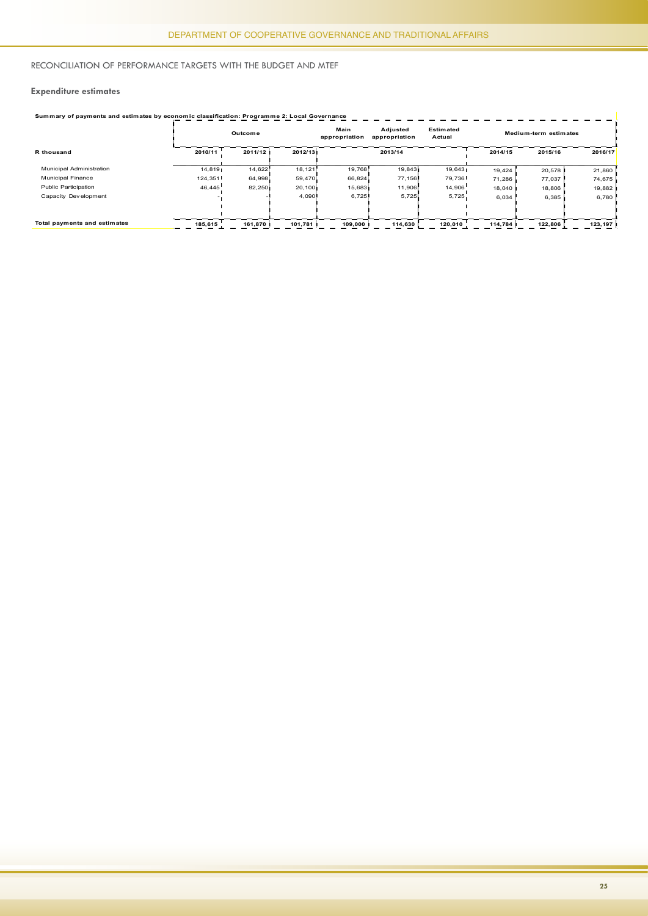#### Reconciliation of Performance Targets with the Budget and MTEF

#### **Expenditure estimates**

|                              | Summary of payments and estimates by economic classification: Programme 2: Local Governance |         |         |                       |                           |                            |         |                       |         |  |  |
|------------------------------|---------------------------------------------------------------------------------------------|---------|---------|-----------------------|---------------------------|----------------------------|---------|-----------------------|---------|--|--|
|                              |                                                                                             | Outcome |         | Main<br>appropriation | Adjusted<br>appropriation | <b>Estimated</b><br>Actual |         | Medium-term estimates |         |  |  |
| R thousand                   | 2010/11                                                                                     | 2011/12 | 2012/13 |                       | 2013/14                   |                            | 2014/15 | 2015/16               | 2016/17 |  |  |
| Municipal Administration     | 14,819                                                                                      | 14,622  | 18,121  | 19.768                | 19.843                    | 19,643                     | 19,424  | 20,578                | 21,860  |  |  |
| <b>Municipal Finance</b>     | 124,351                                                                                     | 64,998  | 59,470  | 66,824                | 77,156                    | 79,736                     | 71,286  | 77,037                | 74,675  |  |  |
| Public Participation         | 46,445                                                                                      | 82,250  | 20,100  | 15,683                | 11,906                    | 14,906                     | 18.040  | 18,806                | 19,882  |  |  |
| Capacity Dev elopment        |                                                                                             | - 1     | 4,090   | 6,725                 | 5,725                     | 5,725                      | 6,034   | 6,385                 | 6,780   |  |  |
|                              |                                                                                             |         |         |                       |                           |                            |         |                       |         |  |  |
|                              |                                                                                             |         |         |                       |                           |                            |         |                       |         |  |  |
| Total payments and estimates | 185,615                                                                                     | 161.870 | 101.781 | 109,000               | 114,630                   | 120,010                    | 114.784 | 122,806               | 123,197 |  |  |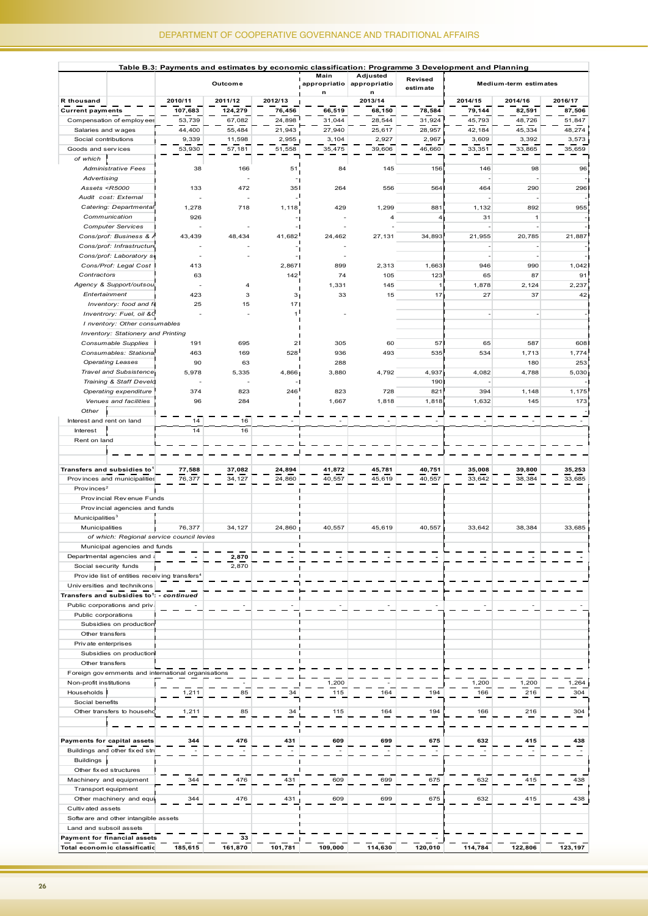| Table B.3: Payments and estimates by economic classification: Programme 3 Development and Planning                                                 |                                       |                                                           |                         |         |                           |                               |                     |                          |                          |                          |
|----------------------------------------------------------------------------------------------------------------------------------------------------|---------------------------------------|-----------------------------------------------------------|-------------------------|---------|---------------------------|-------------------------------|---------------------|--------------------------|--------------------------|--------------------------|
|                                                                                                                                                    |                                       |                                                           | Outcome                 |         | Main<br>appropriatio<br>n | Adjusted<br>appropriatio<br>n | Revised<br>estimate |                          | Medium-term estimates    |                          |
| R thousand                                                                                                                                         |                                       | 2010/11                                                   | 2011/12                 | 2012/13 |                           | 2013/14                       |                     | 2014/15                  | 2014/16                  | 2016/17                  |
| <b>Current payments</b>                                                                                                                            |                                       | 107,683                                                   | 124,279                 | 76,456  | 66,519                    | 68,150                        | 78,584              | 79,144                   | 82,591                   | 87,506                   |
|                                                                                                                                                    | Compensation of employ ees            | 53,739                                                    | 67,082                  | 24,898  | 31,044                    | 28,544                        | 31,924              | 45,793                   | 48,726                   | 51,847                   |
| Salaries and wages                                                                                                                                 |                                       | 44,400                                                    | 55,484                  | 21,943  | 27,940                    | 25,617                        | 28,957              | 42,184                   | 45,334                   | 48,274                   |
| Social contributions                                                                                                                               |                                       | 9,339                                                     | 11,598                  | 2,955   | 3,104                     | 2,927                         | 2,967               | 3,609                    | 3,392                    | 3,573                    |
| Goods and services                                                                                                                                 |                                       | 53,930                                                    | 57,181                  | 51,558  | 35,475                    | 39,606                        | 46,660              | 33,351                   | 33,865                   | 35,659                   |
| of which                                                                                                                                           |                                       |                                                           |                         |         |                           |                               |                     |                          |                          |                          |
|                                                                                                                                                    | <b>Administrative Fees</b>            | 38                                                        | 166                     | 51      | 84                        | 145                           | 156                 | 146                      | 98                       | 96                       |
| Advertising                                                                                                                                        |                                       |                                                           |                         |         |                           |                               |                     |                          |                          |                          |
| Assets <r5000< td=""><td></td><td>133</td><td>472</td><td>35</td><td>264</td><td>556</td><td>564</td><td>464</td><td>290</td><td>296</td></r5000<> |                                       | 133                                                       | 472                     | 35      | 264                       | 556                           | 564                 | 464                      | 290                      | 296                      |
| Audit cost: External                                                                                                                               |                                       |                                                           |                         |         |                           |                               |                     |                          |                          | ٦,                       |
|                                                                                                                                                    | Catering: Departmental                | 1,278                                                     | 718                     | 1,118   | 429                       | 1,299                         | 881                 | 1,132                    | 892                      | 955                      |
| Communication                                                                                                                                      |                                       | 926                                                       |                         |         |                           |                               | 4 <sub>1</sub>      | 31                       | $\mathbf{1}$             |                          |
|                                                                                                                                                    | <b>Computer Services</b>              |                                                           |                         |         |                           |                               |                     |                          |                          | $\overline{\phantom{a}}$ |
|                                                                                                                                                    | Cons/prof: Business & A               | 43,439                                                    | 48,434                  | 41,682  | 24,462                    | 27,131                        | 34,893              | 21,955                   | 20,785                   | 21,887                   |
|                                                                                                                                                    | Cons/prof: Infrastructure             |                                                           |                         |         |                           |                               |                     | ÷,                       |                          |                          |
|                                                                                                                                                    | Cons/prof: Laboratory so              |                                                           |                         |         |                           |                               |                     | ÷,                       |                          | -1                       |
|                                                                                                                                                    | Cons/Prof: Legal Cost 1               | 413                                                       |                         | 2,867   | 899                       | 2,313                         | 1,663               | 946                      | 990                      | 1,042                    |
| Contractors                                                                                                                                        |                                       | 63                                                        |                         | 142     | 74                        | 105                           | 123                 | 65                       | 87                       | 91                       |
|                                                                                                                                                    | Agency & Support/outsou               |                                                           | $\overline{\mathbf{A}}$ |         | 1,331                     | 145                           | 1,                  | 1,878                    | 2,124                    | 2,237                    |
| Entertainment                                                                                                                                      |                                       | 423                                                       | 3                       | з       | 33                        | 15                            | 17 <sub>1</sub>     | 27                       | 37                       | 42 <sub>1</sub>          |
|                                                                                                                                                    | Inventory: food and fo                | 25                                                        | 15                      | 17      |                           |                               |                     |                          |                          |                          |
|                                                                                                                                                    | Inventrory: Fuel, oil &C              |                                                           |                         | 1       |                           |                               |                     | $\overline{\phantom{a}}$ |                          |                          |
|                                                                                                                                                    | I nventory: Other consumables         |                                                           |                         |         |                           |                               |                     |                          |                          |                          |
|                                                                                                                                                    | Inventory: Stationery and Printing    |                                                           |                         |         |                           |                               |                     |                          |                          |                          |
|                                                                                                                                                    | Consumable Supplies                   | 191                                                       | 695                     | 2       | 305                       | 60                            | 57 I                | 65                       | 587                      | 608                      |
|                                                                                                                                                    | Consumables: Stational                | 463                                                       | 169                     | 528     | 936                       | 493                           | 535                 | 534                      | 1,713                    | 1,774                    |
| <b>Operating Leases</b>                                                                                                                            |                                       | 90                                                        | 63                      |         | 288                       |                               |                     |                          | 180                      | 253                      |
|                                                                                                                                                    | Travel and Subsistence                | 5,978                                                     | 5,335                   | 4,866   | 3,880                     | 4,792                         | 4,937               | 4,082                    | 4,788                    | 5,030                    |
|                                                                                                                                                    | Training & Staff Develd               |                                                           |                         |         |                           |                               | 190 <sup>1</sup>    |                          |                          |                          |
|                                                                                                                                                    | Operating expenditure                 | 374                                                       | 823                     | 246     | 823                       | 728                           | 821                 | 394                      | 1,148                    | 1,175                    |
|                                                                                                                                                    | Venues and facilities                 | 96                                                        | 284                     |         | 1,667                     | 1,818                         | 1,818               | 1,632                    | 145                      | 173                      |
| Other                                                                                                                                              |                                       |                                                           |                         |         |                           |                               |                     |                          |                          |                          |
| Interest and rent on land                                                                                                                          |                                       | 14                                                        | 16                      |         | $\sim$                    |                               |                     |                          | $\overline{\phantom{a}}$ |                          |
| Interest                                                                                                                                           |                                       | 14                                                        | 16                      |         |                           |                               |                     |                          |                          |                          |
| Rent on land                                                                                                                                       |                                       |                                                           |                         |         |                           |                               |                     |                          |                          |                          |
|                                                                                                                                                    |                                       |                                                           |                         |         |                           |                               |                     |                          |                          |                          |
|                                                                                                                                                    |                                       |                                                           |                         |         |                           |                               |                     |                          |                          |                          |
| Transfers and subsidies to <sup>1</sup>                                                                                                            |                                       | 77,588                                                    | 37,082                  | 24,894  | 41,872                    | 45,781                        | 40,751              | 35,008                   | 39,800                   | 35,253                   |
|                                                                                                                                                    | Provinces and municipalities          | 76,377                                                    | 34,127                  | 24,860  | 40,557                    | 45,619                        | 40,557              | 33,642                   | 38,384                   | 33,685                   |
| Prov inces <sup>2</sup>                                                                                                                            |                                       |                                                           |                         |         |                           |                               |                     |                          |                          |                          |
|                                                                                                                                                    | Provincial Revenue Funds              |                                                           |                         |         |                           |                               |                     |                          |                          |                          |
|                                                                                                                                                    | Provincial agencies and funds         |                                                           |                         |         |                           |                               |                     |                          |                          |                          |
| Municipalities <sup>3</sup>                                                                                                                        |                                       |                                                           |                         |         |                           |                               |                     |                          |                          |                          |
| Municipalities                                                                                                                                     |                                       | 76,377<br>of which: Regional service council levies       | 34,127                  | 24,860  | 40,557                    | 45,619                        | 40,557              | 33,642                   | 38,384                   | 33,685                   |
|                                                                                                                                                    | Municipal agencies and funds          |                                                           |                         |         |                           |                               |                     |                          |                          |                          |
|                                                                                                                                                    |                                       |                                                           |                         |         |                           |                               |                     |                          |                          |                          |
|                                                                                                                                                    | Departmental agencies and a           |                                                           | 2,870                   |         |                           |                               |                     |                          |                          |                          |
| Social security funds                                                                                                                              |                                       | Provide list of entities receiving transfers <sup>4</sup> | 2,870                   |         |                           |                               |                     |                          |                          |                          |
| Universities and technikons                                                                                                                        |                                       |                                                           |                         |         |                           |                               |                     |                          |                          |                          |
| Transfers and subsidies to <sup>1</sup> : - continued                                                                                              |                                       |                                                           |                         |         |                           |                               |                     |                          |                          |                          |
| Public corporations and priv.                                                                                                                      |                                       |                                                           |                         |         |                           |                               |                     |                          |                          |                          |
| Public corporations                                                                                                                                |                                       |                                                           |                         |         |                           |                               |                     |                          |                          |                          |
|                                                                                                                                                    | Subsidies on production               |                                                           |                         |         |                           |                               |                     |                          |                          |                          |
| Other transfers                                                                                                                                    |                                       |                                                           |                         |         |                           |                               |                     |                          |                          |                          |
| Priv ate enterprises                                                                                                                               |                                       |                                                           |                         |         |                           |                               |                     |                          |                          |                          |
|                                                                                                                                                    | Subsidies on production               |                                                           |                         |         |                           |                               |                     |                          |                          |                          |
| Other transfers                                                                                                                                    |                                       |                                                           |                         |         |                           |                               |                     |                          |                          |                          |
|                                                                                                                                                    |                                       | Foreign gov ernments and international organisations      |                         |         |                           |                               |                     |                          |                          |                          |
| Non-profit institutions                                                                                                                            |                                       |                                                           |                         |         | 1,200                     |                               |                     | 1,200                    | 1,200                    | 1,264                    |
| Households I                                                                                                                                       |                                       | 1,211                                                     | 85                      | 34      | 115                       | 164                           | 194                 | 166                      | 216                      | 304                      |
| Social benefits                                                                                                                                    |                                       |                                                           |                         |         |                           |                               |                     |                          |                          |                          |
|                                                                                                                                                    | Other transfers to househo            | 1,211                                                     | 85                      | 34      | 115                       | 164                           | 194                 | 166                      | 216                      | 304                      |
|                                                                                                                                                    |                                       |                                                           |                         |         |                           |                               |                     |                          |                          |                          |
|                                                                                                                                                    |                                       |                                                           |                         |         |                           |                               |                     |                          |                          |                          |
| Payments for capital assets                                                                                                                        |                                       | 344                                                       | 476                     | 431     | 609                       | 699                           | 675                 | 632                      | 415                      | 438                      |
|                                                                                                                                                    | Buildings and other fix ed stru       |                                                           |                         |         |                           |                               |                     |                          |                          |                          |
| Buildings                                                                                                                                          |                                       |                                                           |                         |         |                           |                               |                     |                          |                          |                          |
| Other fix ed structures                                                                                                                            |                                       |                                                           |                         |         |                           |                               |                     |                          |                          |                          |
| Machinery and equipment                                                                                                                            |                                       | 344                                                       | 476                     | 431     | 609                       | 699                           | 675                 | 632                      | 415                      | 438                      |
| Transport equipment                                                                                                                                |                                       |                                                           |                         |         |                           |                               |                     |                          |                          |                          |
|                                                                                                                                                    | Other machinery and equi-             | 344                                                       | 476                     | 431     | 609                       | 699                           | 675                 | 632                      | 415                      | 438                      |
| Cultiv ated assets                                                                                                                                 |                                       |                                                           |                         |         |                           |                               |                     |                          |                          |                          |
|                                                                                                                                                    | Softw are and other intangible assets |                                                           |                         |         |                           |                               |                     |                          |                          |                          |
| Land and subsoil assets                                                                                                                            |                                       |                                                           |                         |         |                           |                               |                     |                          |                          |                          |
| Payment for financial assets                                                                                                                       |                                       |                                                           | 33                      |         |                           |                               |                     |                          |                          |                          |
| Total economic classificatic                                                                                                                       |                                       | 185,615                                                   | 161,870                 | 101,781 | 109,000                   | 114,630                       | 120,010             | 114,784                  | 122,806                  | 123,197                  |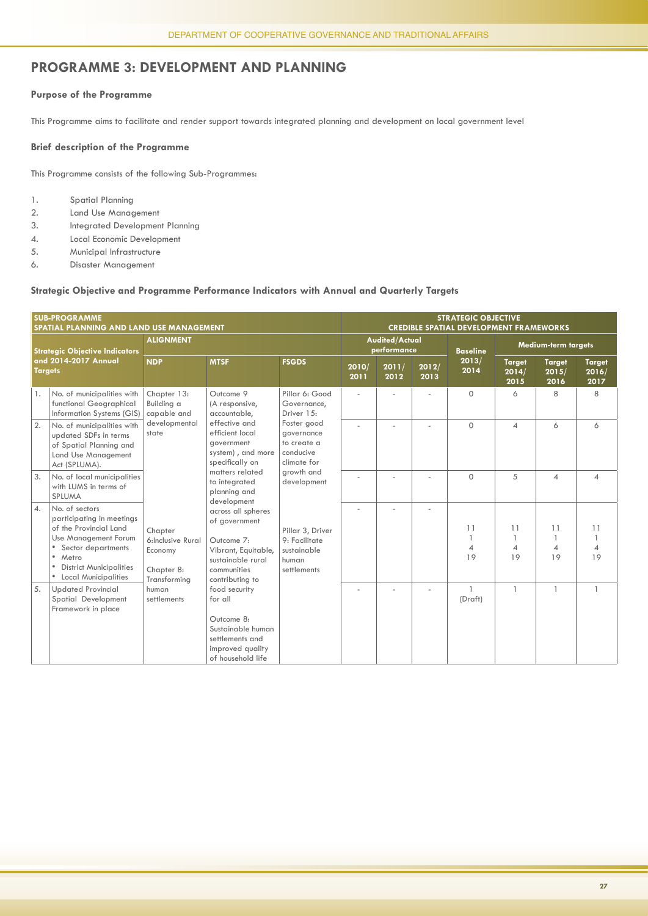#### **PROGRAMME 3: DEVELOPMENT AND PLANNING**

#### **Purpose of the Programme**

This Programme aims to facilitate and render support towards integrated planning and development on local government level

#### **Brief description of the Programme**

This Programme consists of the following Sub-Programmes:

- 1. Spatial Planning
- 2. Land Use Management
- 3. Integrated Development Planning
- 4. Local Economic Development
- 5. Municipal Infrastructure
- 6. Disaster Management

#### **Strategic Objective and Programme Performance Indicators with Annual and Quarterly Targets**

|                  | <b>SUB-PROGRAMME</b><br>SPATIAL PLANNING AND LAND USE MANAGEMENT                                                                                                                                      |                                                                       |                                                                                                                                 |                                                                          |               | <b>STRATEGIC OBJECTIVE</b><br><b>CREDIBLE SPATIAL DEVELOPMENT FRAMEWORKS</b><br>Audited/Actual<br>Medium-term targets<br>performance<br><b>Baseline</b><br>2013/<br><b>Target</b><br><b>Target</b><br><b>Target</b><br>2011/<br>2012/<br>2014<br>2016/<br>2014/<br>2015/<br>2012<br>2013<br>2015<br>2016<br>2017<br>8<br>8<br>$\circ$<br>6 |  |                         |                                 |                                              |                            |
|------------------|-------------------------------------------------------------------------------------------------------------------------------------------------------------------------------------------------------|-----------------------------------------------------------------------|---------------------------------------------------------------------------------------------------------------------------------|--------------------------------------------------------------------------|---------------|--------------------------------------------------------------------------------------------------------------------------------------------------------------------------------------------------------------------------------------------------------------------------------------------------------------------------------------------|--|-------------------------|---------------------------------|----------------------------------------------|----------------------------|
|                  | <b>Strategic Objective Indicators</b>                                                                                                                                                                 | <b>ALIGNMENT</b>                                                      |                                                                                                                                 |                                                                          |               |                                                                                                                                                                                                                                                                                                                                            |  |                         |                                 |                                              |                            |
| <b>Targets</b>   | and 2014-2017 Annual                                                                                                                                                                                  | <b>NDP</b>                                                            | <b>MTSF</b>                                                                                                                     | <b>FSGDS</b>                                                             | 2010/<br>2011 |                                                                                                                                                                                                                                                                                                                                            |  |                         |                                 |                                              |                            |
| 1.               | No. of municipalities with<br>functional Geographical<br>Information Systems (GIS)                                                                                                                    | Chapter 13:<br>Building a<br>capable and                              | Outcome 9<br>(A responsive,<br>accountable,                                                                                     | Pillar 6: Good<br>Governance,<br>Driver 15:                              |               |                                                                                                                                                                                                                                                                                                                                            |  |                         |                                 |                                              |                            |
| 2.               | No. of municipalities with<br>updated SDFs in terms<br>of Spatial Planning and<br>Land Use Management<br>Act (SPLUMA).                                                                                | developmental<br>state                                                | effective and<br>efficient local<br>government<br>system), and more<br>specifically on                                          | Foster good<br>governance<br>to create a<br>conducive<br>climate for     |               |                                                                                                                                                                                                                                                                                                                                            |  | $\circ$                 | $\overline{4}$                  | 6                                            | 6                          |
| 3.               | No. of local municipalities<br>with LUMS in terms of<br>SPLUMA                                                                                                                                        |                                                                       | matters related<br>to integrated<br>planning and<br>development                                                                 | growth and<br>development                                                |               |                                                                                                                                                                                                                                                                                                                                            |  | $\Omega$                | 5                               | $\varDelta$                                  | $\overline{\mathcal{A}}$   |
| $\overline{4}$ . | No. of sectors<br>participating in meetings<br>of the Provincial Land<br>Use Management Forum<br>Sector departments<br>$\bullet$<br>Metro<br><b>District Municipalities</b><br>• Local Municipalities | Chapter<br>6:Inclusive Rural<br>Economy<br>Chapter 8:<br>Transforming | across all spheres<br>of government<br>Outcome 7:<br>Vibrant, Equitable,<br>sustainable rural<br>communities<br>contributing to | Pillar 3, Driver<br>9: Facilitate<br>sustainable<br>human<br>settlements |               |                                                                                                                                                                                                                                                                                                                                            |  | 11<br>4<br>19           | 11<br>$\overline{1}$<br>4<br>19 | 11<br>$\overline{1}$<br>$\overline{A}$<br>19 | 11<br>$\overline{4}$<br>19 |
| 5.               | <b>Updated Provincial</b><br>Spatial Development<br>Framework in place                                                                                                                                | human<br>settlements                                                  | food security<br>for all<br>Outcome 8:<br>Sustainable human<br>settlements and<br>improved quality<br>of household life         |                                                                          |               |                                                                                                                                                                                                                                                                                                                                            |  | $\mathbf{1}$<br>(Draft) | $\overline{1}$                  | $\overline{1}$                               | $\mathbf{1}$               |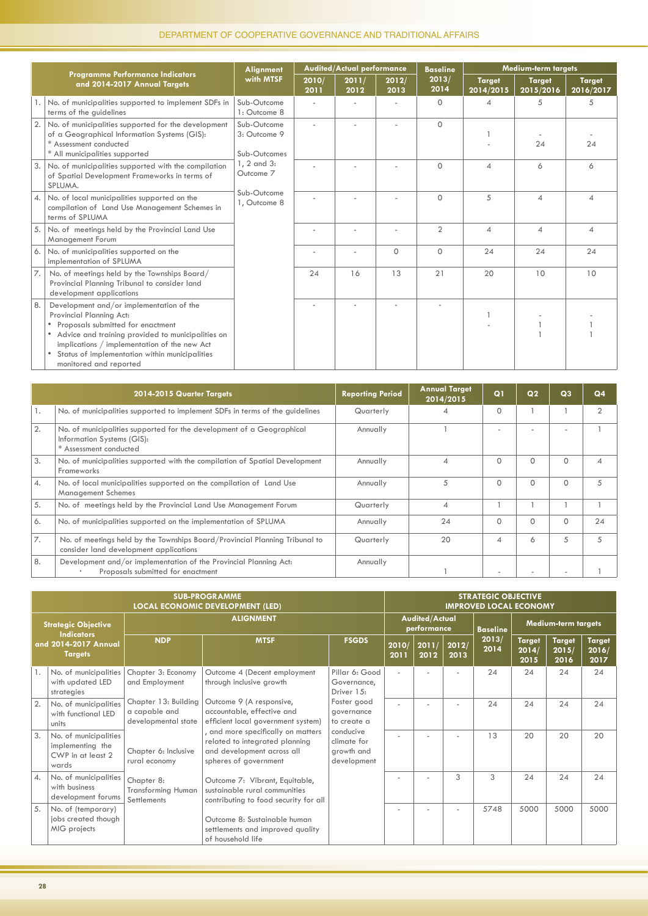|                         |                                                                                                                                                                                                                                                                                            | Alignment                                   |               | <b>Audited/Actual performance</b> |               | <b>Baseline</b> |                            | Medium-term targets        |                            |
|-------------------------|--------------------------------------------------------------------------------------------------------------------------------------------------------------------------------------------------------------------------------------------------------------------------------------------|---------------------------------------------|---------------|-----------------------------------|---------------|-----------------|----------------------------|----------------------------|----------------------------|
|                         | <b>Programme Performance Indicators</b><br>and 2014-2017 Annual Targets                                                                                                                                                                                                                    | with MTSF                                   | 2010/<br>2011 | 2011/<br>2012                     | 2012/<br>2013 | 2013/<br>2014   | <b>Target</b><br>2014/2015 | <b>Target</b><br>2015/2016 | <b>Target</b><br>2016/2017 |
|                         | No. of municipalities supported to implement SDFs in<br>terms of the guidelines                                                                                                                                                                                                            | Sub-Outcome<br>1: Outcome 8                 |               |                                   |               | $\Omega$        | 4                          | 5                          | 5                          |
| 2.                      | No. of municipalities supported for the development<br>of a Geographical Information Systems (GIS):<br>* Assessment conducted<br>* All municipalities supported                                                                                                                            | Sub-Outcome<br>3: Outcome 9<br>Sub-Outcomes |               |                                   |               | $\Omega$        |                            | 24                         | 24                         |
| 3.                      | No. of municipalities supported with the compilation<br>of Spatial Development Frameworks in terms of<br>SPLUMA.                                                                                                                                                                           | 1, 2 and 3:<br>Outcome <sub>7</sub>         |               |                                   |               | $\Omega$        | $\overline{A}$             | 6                          | 6                          |
| $\mathcal{A}_{\bullet}$ | No. of local municipalities supported on the<br>compilation of Land Use Management Schemes in<br>terms of SPLUMA                                                                                                                                                                           | Sub-Outcome<br>1, Outcome 8                 |               |                                   |               | $\Omega$        | 5                          | $\boldsymbol{\Delta}$      | 4                          |
| 5.                      | No. of meetings held by the Provincial Land Use<br>Management Forum                                                                                                                                                                                                                        |                                             |               |                                   |               | $\overline{2}$  | $\overline{4}$             | $\overline{\mathcal{A}}$   | 4                          |
| 6.                      | No. of municipalities supported on the<br>implementation of SPLUMA                                                                                                                                                                                                                         |                                             |               |                                   | $\Omega$      | $\Omega$        | 24                         | 24                         | 24                         |
| 17.                     | No. of meetings held by the Townships Board/<br>Provincial Planning Tribunal to consider land<br>development applications                                                                                                                                                                  |                                             | 24            | 16                                | 13            | 21              | 20                         | 10                         | 10                         |
| 8.                      | Development and/or implementation of the<br>Provincial Planning Act:<br>Proposals submitted for enactment<br>Advice and training provided to municipalities on<br>implications / implementation of the new Act<br>Status of implementation within municipalities<br>monitored and reported |                                             |               |                                   |               |                 |                            |                            |                            |

|    | 2014-2015 Quarter Targets                                                                                                     | <b>Reporting Period</b> | <b>Annual Target</b><br>2014/2015 | Q <sub>1</sub>              | Q <sub>2</sub> | Q <sub>3</sub>           | Q <sub>4</sub> |
|----|-------------------------------------------------------------------------------------------------------------------------------|-------------------------|-----------------------------------|-----------------------------|----------------|--------------------------|----------------|
| 1. | No. of municipalities supported to implement SDFs in terms of the guidelines                                                  | Quarterly               |                                   | $\Omega$                    |                |                          |                |
| 2. | No. of municipalities supported for the development of a Geographical<br>Information Systems (GIS):<br>* Assessment conducted | Annually                |                                   |                             |                | $\overline{\phantom{a}}$ |                |
| 3. | No. of municipalities supported with the compilation of Spatial Development<br>Frameworks                                     | Annually                | 4                                 | $\Omega$                    | $\Omega$       | $\Omega$                 | ⊿              |
| 4. | No. of local municipalities supported on the compilation of Land Use<br><b>Management Schemes</b>                             | Annually                | 5                                 | $\Omega$                    | $\Omega$       | $\Omega$                 | 5              |
| 5. | No. of meetings held by the Provincial Land Use Management Forum                                                              | Quarterly               | 4                                 |                             |                |                          |                |
| 6. | No. of municipalities supported on the implementation of SPLUMA                                                               | Annually                | 24                                | $\Omega$                    | 0              | $\Omega$                 | 24             |
| 7. | No. of meetings held by the Townships Board/Provincial Planning Tribunal to<br>consider land development applications         | Quarterly               | 20                                | $\boldsymbol{\vartriangle}$ | 6              | 5                        | 5              |
| 8. | Development and/or implementation of the Provincial Planning Act:<br>Proposals submitted for enactment                        | Annually                |                                   |                             |                |                          |                |

|                |                                                                         |                                                               | <b>SUB-PROGRAMME</b><br><b>LOCAL ECONOMIC DEVELOPMENT (LED)</b>                                                             |                                                       |                                      |               |               | <b>STRATEGIC OBJECTIVE</b><br><b>IMPROVED LOCAL ECONOMY</b> |                                |                                |                                |
|----------------|-------------------------------------------------------------------------|---------------------------------------------------------------|-----------------------------------------------------------------------------------------------------------------------------|-------------------------------------------------------|--------------------------------------|---------------|---------------|-------------------------------------------------------------|--------------------------------|--------------------------------|--------------------------------|
|                | <b>Strategic Objective</b>                                              |                                                               | <b>ALIGNMENT</b>                                                                                                            |                                                       | <b>Audited/Actual</b><br>performance |               |               | <b>Baseline</b>                                             | Medium-term targets            |                                |                                |
|                | <b>Indicators</b><br>and 2014-2017 Annual<br><b>Targets</b>             | <b>NDP</b>                                                    | <b>MTSF</b>                                                                                                                 | <b>FSGDS</b>                                          | 2010/<br>2011                        | 2011/<br>2012 | 2012/<br>2013 | 2013/<br>2014                                               | <b>Target</b><br>2014/<br>2015 | <b>Target</b><br>2015/<br>2016 | <b>Target</b><br>2016/<br>2017 |
|                | No. of municipalities<br>with updated LED<br>strategies                 | Chapter 3: Economy<br>and Employment                          | Outcome 4 (Decent employment<br>through inclusive growth                                                                    | Pillar 6: Good<br>Governance,<br>Driver 15:           |                                      |               | ٠             | 24                                                          | 24                             | 24                             | 24                             |
| 2.             | No. of municipalities<br>with functional LED<br>units                   | Chapter 13: Building<br>a capable and<br>developmental state  | Outcome 9 (A responsive,<br>accountable, effective and<br>efficient local government system)                                | Foster good<br>governance<br>to create a              |                                      |               |               | 24                                                          | 24                             | 24                             | 24                             |
| 3.             | No. of municipalities<br>implementing the<br>CWP in at least 2<br>wards | Chapter 6: Inclusive<br>rural economy                         | , and more specifically on matters<br>related to integrated planning<br>and development across all<br>spheres of government | conducive<br>climate for<br>growth and<br>development |                                      |               |               | 13                                                          | 20                             | 20                             | 20                             |
| $\overline{4}$ | No. of municipalities<br>with business<br>development forums            | Chapter 8:<br><b>Transforming Human</b><br><b>Settlements</b> | Outcome 7: Vibrant, Equitable,<br>sustainable rural communities<br>contributing to food security for all                    |                                                       |                                      |               | 3             | 3                                                           | 24                             | 24                             | 24                             |
| 5.             | No. of (temporary)<br>jobs created though<br>MIG projects               |                                                               | Outcome 8: Sustainable human<br>settlements and improved quality<br>of household life                                       |                                                       |                                      |               |               | 5748                                                        | 5000                           | 5000                           | 5000                           |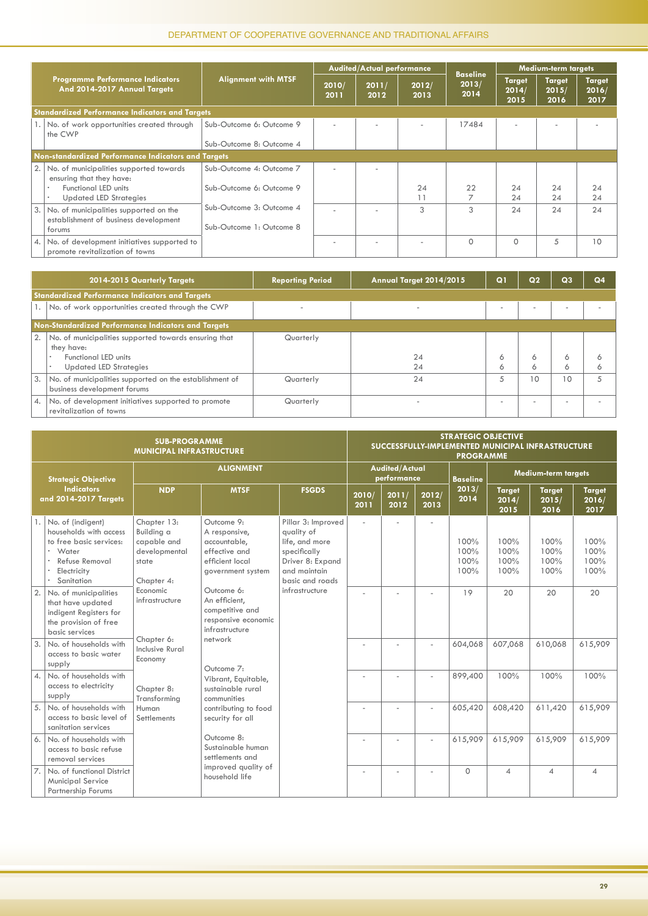|      |                                                                                 |                            |               | <b>Audited/Actual performance</b> |               |                                  |                                | <b>Medium-term targets</b>     |                                |
|------|---------------------------------------------------------------------------------|----------------------------|---------------|-----------------------------------|---------------|----------------------------------|--------------------------------|--------------------------------|--------------------------------|
|      | <b>Programme Performance Indicators</b><br>And 2014-2017 Annual Targets         | <b>Alignment with MTSF</b> | 2010/<br>2011 | 2011/<br>2012                     | 2012/<br>2013 | <b>Baseline</b><br>2013/<br>2014 | <b>Target</b><br>2014/<br>2015 | <b>Target</b><br>2015/<br>2016 | <b>Target</b><br>2016/<br>2017 |
|      | <b>Standardized Performance Indicators and Targets</b>                          |                            |               |                                   |               |                                  |                                |                                |                                |
|      | 1. No. of work opportunities created through<br>the CWP                         | Sub-Outcome 6: Outcome 9   |               |                                   |               | 17484                            |                                |                                |                                |
|      |                                                                                 | Sub-Outcome 8: Outcome 4   |               |                                   |               |                                  |                                |                                |                                |
|      | Non-standardized Performance Indicators and Targets                             |                            |               |                                   |               |                                  |                                |                                |                                |
| 2.1  | No. of municipalities supported towards<br>ensuring that they have:             | Sub-Outcome 4: Outcome 7   |               |                                   |               |                                  |                                |                                |                                |
|      | Functional LED units<br>٠<br><b>Updated LED Strategies</b><br>٠                 | Sub-Outcome 6: Outcome 9   |               |                                   | 24            | 22                               | 24<br>24                       | 24<br>24                       | 24<br>24                       |
| 13.1 | No. of municipalities supported on the<br>establishment of business development | Sub-Outcome 3: Outcome 4   |               |                                   | 3             | 3                                | 24                             | 24                             | 24                             |
|      | forums                                                                          | Sub-Outcome 1: Outcome 8   |               |                                   |               |                                  |                                |                                |                                |
| 4.1  | No. of development initiatives supported to<br>promote revitalization of towns  |                            |               |                                   |               | $\Omega$                         | $\Omega$                       | 5                              | 10                             |

|                 | 2014-2015 Quarterly Targets                                                                                                                            | <b>Reporting Period</b> | Annual Target 2014/2015  | Q                        | Q <sub>2</sub>           | Q <sub>3</sub>           | Q <sub>4</sub> |
|-----------------|--------------------------------------------------------------------------------------------------------------------------------------------------------|-------------------------|--------------------------|--------------------------|--------------------------|--------------------------|----------------|
|                 | <b>Standardized Performance Indicators and Targets</b>                                                                                                 |                         |                          |                          |                          |                          |                |
|                 | 1.   No. of work opportunities created through the CWP                                                                                                 |                         | $\overline{\phantom{a}}$ | $\overline{\phantom{a}}$ | $\overline{\phantom{a}}$ | $\overline{\phantom{a}}$ |                |
|                 | Non-Standardized Performance Indicators and Targets                                                                                                    |                         |                          |                          |                          |                          |                |
| 2.              | No. of municipalities supported towards ensuring that<br>they have:<br>Functional LED units<br>$\bullet$<br><b>Updated LED Strategies</b><br>$\bullet$ | Quarterly               | 24<br>24                 | Ô<br>6                   | 6<br>6                   | 6<br>6                   | Ô              |
| 3.              | No. of municipalities supported on the establishment of<br>business development forums                                                                 | Quarterly               | 24                       | 5                        | 10                       | 10                       |                |
| $\mathcal{A}$ . | No. of development initiatives supported to promote<br>revitalization of towns                                                                         | Quarterly               | $\overline{\phantom{a}}$ | $\overline{\phantom{a}}$ | $\overline{\phantom{a}}$ | $\overline{\phantom{a}}$ |                |

|                            |                                                                                                                                | <b>SUB-PROGRAMME</b><br><b>MUNICIPAL INFRASTRUCTURE</b>                          |                                                                                                      |                                                                                                                           |               |                                      |                | <b>STRATEGIC OBJECTIVE</b><br>SUCCESSFULLY-IMPLEMENTED MUNICIPAL INFRASTRUCTURE<br><b>PROGRAMME</b> |                                |                                |                                |
|----------------------------|--------------------------------------------------------------------------------------------------------------------------------|----------------------------------------------------------------------------------|------------------------------------------------------------------------------------------------------|---------------------------------------------------------------------------------------------------------------------------|---------------|--------------------------------------|----------------|-----------------------------------------------------------------------------------------------------|--------------------------------|--------------------------------|--------------------------------|
|                            | <b>Strategic Objective</b>                                                                                                     |                                                                                  | <b>ALIGNMENT</b>                                                                                     |                                                                                                                           |               | <b>Audited/Actual</b><br>performance |                | <b>Baseline</b>                                                                                     |                                | <b>Medium-term targets</b>     |                                |
|                            | <b>Indicators</b><br>and 2014-2017 Targets                                                                                     | <b>NDP</b>                                                                       | <b>MTSF</b>                                                                                          | <b>FSGDS</b>                                                                                                              | 2010/<br>2011 | 2011/<br>2012                        | 2012/<br>2013  | 2013/<br>2014                                                                                       | <b>Target</b><br>2014/<br>2015 | <b>Target</b><br>2015/<br>2016 | <b>Target</b><br>2016/<br>2017 |
|                            | No. of (indigent)<br>households with access<br>to free basic services:<br>Water<br>Refuse Removal<br>Electricity<br>Sanitation | Chapter 13:<br>Building a<br>capable and<br>developmental<br>state<br>Chapter 4: | Outcome 9:<br>A responsive,<br>accountable,<br>effective and<br>efficient local<br>government system | Pillar 3: Improved<br>quality of<br>life, and more<br>specifically<br>Driver 8: Expand<br>and maintain<br>basic and roads |               |                                      | ä,             | 100%<br>100%<br>100%<br>100%                                                                        | 100%<br>100%<br>100%<br>100%   | 100%<br>100%<br>100%<br>100%   | 100%<br>100%<br>100%<br>100%   |
| 2.                         | No. of municipalities<br>that have updated<br>indigent Registers for<br>the provision of free<br>basic services                | Economic<br>infrastructure                                                       | Outcome 6:<br>An efficient,<br>competitive and<br>responsive economic<br>infrastructure              | infrastructure                                                                                                            |               |                                      |                | 19                                                                                                  | 20                             | 20                             | 20                             |
| 3.                         | No. of households with<br>access to basic water<br>supply                                                                      | Chapter 6:<br><b>Inclusive Rural</b><br>Economy                                  | network<br>Outcome 7:                                                                                |                                                                                                                           |               |                                      |                | 604,068                                                                                             | 607,068                        | 610,068                        | 615,909                        |
| $\mathcal{A}_{\mathbf{a}}$ | No. of households with<br>access to electricity<br>supply                                                                      | Chapter 8:<br>Transforming                                                       | Vibrant, Equitable,<br>sustainable rural<br>communities                                              |                                                                                                                           |               |                                      |                | 899,400                                                                                             | 100%                           | 100%                           | 100%                           |
| 5.                         | No. of households with<br>access to basic level of<br>sanitation services                                                      | Human<br>Settlements                                                             | contributing to food<br>security for all                                                             |                                                                                                                           |               |                                      |                | 605,420                                                                                             | 608,420                        | 611,420                        | 615,909                        |
| 6.                         | No. of households with<br>access to basic refuse<br>removal services                                                           |                                                                                  | Outcome 8:<br>Sustainable human<br>settlements and                                                   |                                                                                                                           |               |                                      | $\overline{a}$ | 615,909                                                                                             | 615,909                        | 615,909                        | 615,909                        |
| 7.                         | No. of functional District<br><b>Municipal Service</b><br><b>Partnership Forums</b>                                            |                                                                                  | improved quality of<br>household life                                                                |                                                                                                                           |               |                                      |                | $\Omega$                                                                                            | $\varDelta$                    | $\varDelta$                    | 4                              |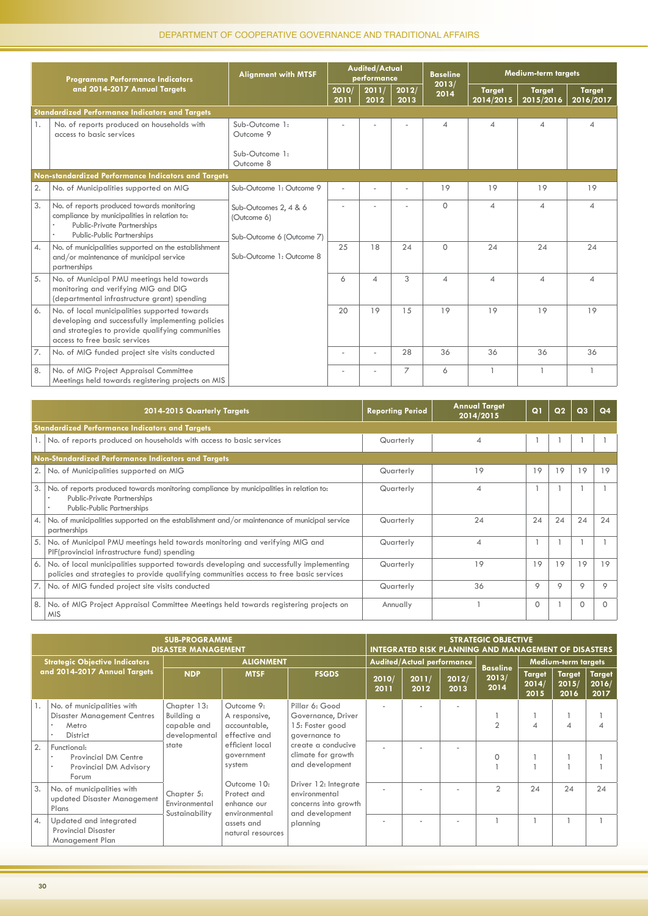|    | <b>Programme Performance Indicators</b>                                                                                                                                                 | <b>Alignment with MTSF</b>                                        |               | <b>Audited/Actual</b><br>performance |               | <b>Baseline</b>          |                            | <b>Medium-term targets</b> |                            |
|----|-----------------------------------------------------------------------------------------------------------------------------------------------------------------------------------------|-------------------------------------------------------------------|---------------|--------------------------------------|---------------|--------------------------|----------------------------|----------------------------|----------------------------|
|    | and 2014-2017 Annual Targets                                                                                                                                                            |                                                                   | 2010/<br>2011 | 2011/<br>2012                        | 2012/<br>2013 | 2013/<br>2014            | <b>Target</b><br>2014/2015 | <b>Target</b><br>2015/2016 | <b>Target</b><br>2016/2017 |
|    | <b>Standardized Performance Indicators and Targets</b>                                                                                                                                  |                                                                   |               |                                      |               |                          |                            |                            |                            |
| 1. | No. of reports produced on households with<br>access to basic services                                                                                                                  | Sub-Outcome 1:<br>Outcome 9                                       |               |                                      |               | $\boldsymbol{\varDelta}$ | $\overline{\mathcal{A}}$   | 4                          | $\overline{\mathcal{A}}$   |
|    |                                                                                                                                                                                         | Sub-Outcome 1:<br>Outcome 8                                       |               |                                      |               |                          |                            |                            |                            |
|    | Non-standardized Performance Indicators and Targets                                                                                                                                     |                                                                   |               |                                      |               |                          |                            |                            |                            |
| 2. | No. of Municipalities supported on MIG                                                                                                                                                  | Sub-Outcome 1: Outcome 9                                          |               |                                      |               | 19                       | 19                         | 19                         | 19                         |
| 3. | No. of reports produced towards monitoring<br>compliance by municipalities in relation to:<br>Public-Private Partnerships<br><b>Public-Public Partnerships</b><br>$\bullet$             | Sub-Outcomes 2, 4 & 6<br>(Outcome 6)<br>Sub-Outcome 6 (Outcome 7) |               |                                      |               | $\Omega$                 | $\overline{A}$             | $\overline{4}$             | $\overline{4}$             |
| 4. | No. of municipalities supported on the establishment<br>and/or maintenance of municipal service<br>partnerships                                                                         | Sub-Outcome 1: Outcome 8                                          | 25            | 18                                   | 24            | $\Omega$                 | 24                         | 24                         | 24                         |
| 5. | No. of Municipal PMU meetings held towards<br>monitoring and verifying MIG and DIG<br>(departmental infrastructure grant) spending                                                      |                                                                   | 6             | 4                                    | 3             | $\overline{A}$           | $\Delta$                   | $\overline{A}$             | 4                          |
| 6. | No. of local municipalities supported towards<br>developing and successfully implementing policies<br>and strategies to provide qualifying communities<br>access to free basic services |                                                                   | 20            | 19                                   | 15            | 19                       | 19                         | 19                         | 19                         |
| 7. | No. of MIG funded project site visits conducted                                                                                                                                         |                                                                   |               | ٠                                    | 28            | 36                       | 36                         | 36                         | 36                         |
| 8. | No. of MIG Project Appraisal Committee<br>Meetings held towards registering projects on MIS                                                                                             |                                                                   |               |                                      | 7             | 6                        |                            | $\mathbf{1}$               | $\mathbf{1}$               |

|    | 2014-2015 Quarterly Targets                                                                                                                                                       | <b>Reporting Period</b> | <b>Annual Target</b><br>2014/2015 | Q <sub>1</sub> | Q <sub>2</sub> | Q <sub>3</sub> | Q <sub>4</sub> |
|----|-----------------------------------------------------------------------------------------------------------------------------------------------------------------------------------|-------------------------|-----------------------------------|----------------|----------------|----------------|----------------|
|    | <b>Standardized Performance Indicators and Targets</b>                                                                                                                            |                         |                                   |                |                |                |                |
|    | 1. No. of reports produced on households with access to basic services                                                                                                            | Quarterly               | $\overline{A}$                    |                |                |                |                |
|    | Non-Standardized Performance Indicators and Targets                                                                                                                               |                         |                                   |                |                |                |                |
|    | 2.   No. of Municipalities supported on MIG                                                                                                                                       | Quarterly               | 19                                | 19             | 19             | 19             | 19             |
| 3. | No. of reports produced towards monitoring compliance by municipalities in relation to:<br><b>Public-Private Partnerships</b><br>Public-Public Partnerships                       | Quarterly               | 4                                 |                |                |                |                |
| 4. | No. of municipalities supported on the establishment and/or maintenance of municipal service<br>partnerships                                                                      | Quarterly               | 24                                | 24             | 24             | 24             | 24             |
| 5. | No. of Municipal PMU meetings held towards monitoring and verifying MIG and<br>PIF(provincial infrastructure fund) spending                                                       | Quarterly               | 4                                 |                |                |                |                |
| 6. | No. of local municipalities supported towards developing and successfully implementing<br>policies and strategies to provide qualifying communities access to free basic services | Quarterly               | 19                                | 19             | 19             | 19             | 19             |
|    | 7.   No. of MIG funded project site visits conducted                                                                                                                              | Quarterly               | 36                                | 9              | 9              | 9              | 9              |
| 8. | No. of MIG Project Appraisal Committee Meetings held towards registering projects on<br><b>MIS</b>                                                                                | Annually                |                                   | $\Omega$       |                | $\Omega$       | $\Omega$       |

|                         |                                                                                              | <b>SUB-PROGRAMME</b><br><b>DISASTER MANAGEMENT</b>        |                                                              |                                                                                  |               | <b>STRATEGIC OBJECTIVE</b><br><b>INTEGRATED RISK PLANNING AND MANAGEMENT OF DISASTERS</b> |               |                                  |                                |                                |                                |
|-------------------------|----------------------------------------------------------------------------------------------|-----------------------------------------------------------|--------------------------------------------------------------|----------------------------------------------------------------------------------|---------------|-------------------------------------------------------------------------------------------|---------------|----------------------------------|--------------------------------|--------------------------------|--------------------------------|
|                         | <b>Strategic Objective Indicators</b>                                                        |                                                           | <b>ALIGNMENT</b>                                             |                                                                                  |               | Audited/Actual performance                                                                |               |                                  |                                | <b>Medium-term targets</b>     |                                |
|                         | and 2014-2017 Annual Targets                                                                 | <b>NDP</b>                                                | <b>MTSF</b>                                                  | <b>FSGDS</b>                                                                     | 2010/<br>2011 | 2011/<br>2012                                                                             | 2012/<br>2013 | <b>Baseline</b><br>2013/<br>2014 | <b>Target</b><br>2014/<br>2015 | <b>Target</b><br>2015/<br>2016 | <b>Target</b><br>2016/<br>2017 |
|                         | No. of municipalities with<br><b>Disaster Management Centres</b><br>Metro<br><b>District</b> | Chapter 13:<br>Building a<br>capable and<br>developmental | Outcome 9:<br>A responsive,<br>accountable,<br>effective and | Pillar 6: Good<br>Governance, Driver<br>15: Foster good<br>governance to         |               |                                                                                           |               | $\mathfrak{D}$                   | $\overline{\mathcal{A}}$       | Δ                              |                                |
| 2.                      | Functional:<br>Provincial DM Centre<br>Provincial DM Advisory<br>Forum                       | state                                                     | efficient local<br>government<br>system                      | create a conducive<br>climate for growth<br>and development                      |               |                                                                                           |               | 0                                |                                |                                |                                |
| 3.                      | No. of municipalities with<br>updated Disaster Management<br>Plans                           | Chapter 5:<br>Environmental<br>Sustainability             | Outcome 10:<br>Protect and<br>enhance our<br>environmental   | Driver 12: Integrate<br>environmental<br>concerns into growth<br>and development |               |                                                                                           |               | $\overline{2}$                   | 24                             | 24                             | 24                             |
| $\mathcal{A}_{\bullet}$ | Updated and integrated<br><b>Provincial Disaster</b><br>Management Plan                      |                                                           | assets and<br>natural resources                              | planning                                                                         |               |                                                                                           |               |                                  |                                |                                |                                |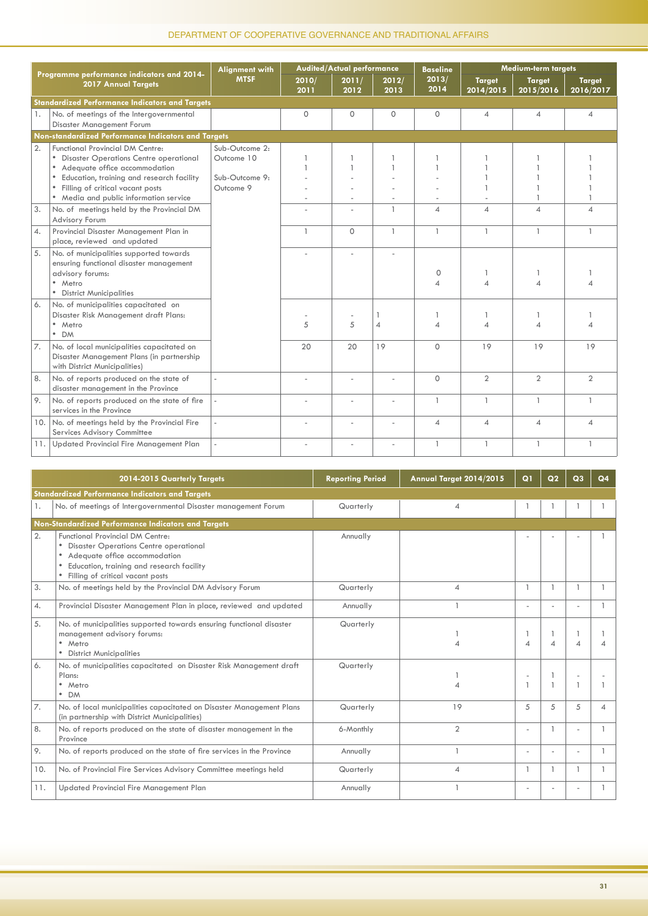|     |                                                                                                                                                                                                                                                     | <b>Alignment with</b>                                       |               | Audited/Actual performance |                     | <b>Baseline</b>          |                            | Medium-term targets        |                            |
|-----|-----------------------------------------------------------------------------------------------------------------------------------------------------------------------------------------------------------------------------------------------------|-------------------------------------------------------------|---------------|----------------------------|---------------------|--------------------------|----------------------------|----------------------------|----------------------------|
|     | Programme performance indicators and 2014-<br>2017 Annual Targets                                                                                                                                                                                   | <b>MTSF</b>                                                 | 2010/<br>2011 | 2011/<br>2012              | 2012/<br>2013       | 2013/<br>2014            | <b>Target</b><br>2014/2015 | <b>Target</b><br>2015/2016 | <b>Target</b><br>2016/2017 |
|     | <b>Standardized Performance Indicators and Targets</b>                                                                                                                                                                                              |                                                             |               |                            |                     |                          |                            |                            |                            |
| 1.  | No. of meetings of the Intergovernmental<br>Disaster Management Forum                                                                                                                                                                               |                                                             | $\mathbf 0$   | $\circ$                    | $\circ$             | $\Omega$                 | $\overline{A}$             | 4                          | $\overline{4}$             |
|     | Non-standardized Performance Indicators and Targets                                                                                                                                                                                                 |                                                             |               |                            |                     |                          |                            |                            |                            |
| 2.  | <b>Functional Provincial DM Centre:</b><br>• Disaster Operations Centre operational<br>• Adequate office accommodation<br>Education, training and research facility<br>• Filling of critical vacant posts<br>• Media and public information service | Sub-Outcome 2:<br>Outcome 10<br>Sub-Outcome 9:<br>Outcome 9 |               | ä,                         | ۰.                  |                          |                            |                            |                            |
| 3.  | No. of meetings held by the Provincial DM<br>Advisory Forum                                                                                                                                                                                         |                                                             |               | ä,                         | $\mathbf{1}$        | $\overline{\mathcal{A}}$ | $\overline{4}$             | $\boldsymbol{\Delta}$      | $\Delta$                   |
| 4.  | Provincial Disaster Management Plan in<br>place, reviewed and updated                                                                                                                                                                               |                                                             | $\mathbf{1}$  | $\Omega$                   | $\mathbf{1}$        | $\overline{1}$           | $\overline{1}$             | $\overline{1}$             | $\mathbf{1}$               |
| 5.  | No. of municipalities supported towards<br>ensuring functional disaster management<br>advisory forums:<br>• Metro<br>• District Municipalities                                                                                                      |                                                             |               |                            |                     | $\circ$<br>4             |                            |                            |                            |
| 6.  | No. of municipalities capacitated on<br>Disaster Risk Management draft Plans:<br>• Metro<br>• DM                                                                                                                                                    |                                                             | 5             | 5                          | 1<br>$\overline{4}$ |                          |                            |                            |                            |
| 7.  | No. of local municipalities capacitated on<br>Disaster Management Plans (in partnership<br>with District Municipalities)                                                                                                                            |                                                             | 20            | 20                         | 19                  | $\circ$                  | 19                         | 19                         | 19                         |
| 8.  | No. of reports produced on the state of<br>disaster management in the Province                                                                                                                                                                      |                                                             |               |                            |                     | $\Omega$                 | $\overline{2}$             | $\overline{2}$             | $\overline{2}$             |
| 9.  | No. of reports produced on the state of fire<br>services in the Province                                                                                                                                                                            |                                                             |               |                            |                     | $\mathbf{1}$             | $\mathbf{1}$               | $\mathbf{1}$               |                            |
| 10. | No. of meetings held by the Provincial Fire<br>Services Advisory Committee                                                                                                                                                                          |                                                             |               |                            | ٠                   | 4                        | $\overline{4}$             | $\overline{\mathcal{A}}$   | 4                          |
| 11. | Updated Provincial Fire Management Plan                                                                                                                                                                                                             |                                                             |               |                            | ٠                   | $\overline{1}$           | $\mathbf{1}$               |                            |                            |

|                         | 2014-2015 Quarterly Targets                                                                                                                                                                                | <b>Reporting Period</b> | Annual Target 2014/2015 | $\Omega$                 | Q <sub>2</sub> | Q3 |   |
|-------------------------|------------------------------------------------------------------------------------------------------------------------------------------------------------------------------------------------------------|-------------------------|-------------------------|--------------------------|----------------|----|---|
|                         | <b>Standardized Performance Indicators and Targets</b>                                                                                                                                                     |                         |                         |                          |                |    |   |
| 1.                      | No. of meetings of Intergovernmental Disaster management Forum                                                                                                                                             | Quarterly               | $\overline{4}$          |                          |                |    |   |
|                         | Non-Standardized Performance Indicators and Targets                                                                                                                                                        |                         |                         |                          |                |    |   |
| 2.                      | <b>Functional Provincial DM Centre:</b><br><b>Disaster Operations Centre operational</b><br>Adequate office accommodation<br>Education, training and research facility<br>Filling of critical vacant posts | Annually                |                         |                          |                |    |   |
| 3.                      | No. of meetings held by the Provincial DM Advisory Forum                                                                                                                                                   | Quarterly               | $\overline{A}$          |                          | $\mathbf{1}$   |    |   |
| $\mathcal{A}_{\bullet}$ | Provincial Disaster Management Plan in place, reviewed and updated                                                                                                                                         | Annually                |                         |                          |                |    |   |
| 5.                      | No. of municipalities supported towards ensuring functional disaster<br>management advisory forums:<br>· Metro<br><b>District Municipalities</b>                                                           | Quarterly               |                         | $\overline{\mathcal{A}}$ | $\Delta$       |    |   |
| 6.                      | No. of municipalities capacitated on Disaster Risk Management draft<br>Plans:<br>• Metro<br>$\bullet$ DM                                                                                                   | Quarterly               |                         |                          | $\overline{1}$ |    |   |
| $\overline{7}$ .        | No. of local municipalities capacitated on Disaster Management Plans<br>(in partnership with District Municipalities)                                                                                      | Quarterly               | 19                      | 5                        | 5              | 5  | 4 |
| 8.                      | No. of reports produced on the state of disaster management in the<br>Province                                                                                                                             | 6-Monthly               | $\overline{2}$          |                          |                |    |   |
| 9.                      | No. of reports produced on the state of fire services in the Province                                                                                                                                      | Annually                |                         |                          |                |    |   |
| 10.                     | No. of Provincial Fire Services Advisory Committee meetings held                                                                                                                                           | Quarterly               | $\overline{4}$          |                          |                |    |   |
| 11.                     | Updated Provincial Fire Management Plan                                                                                                                                                                    | Annually                |                         |                          |                |    |   |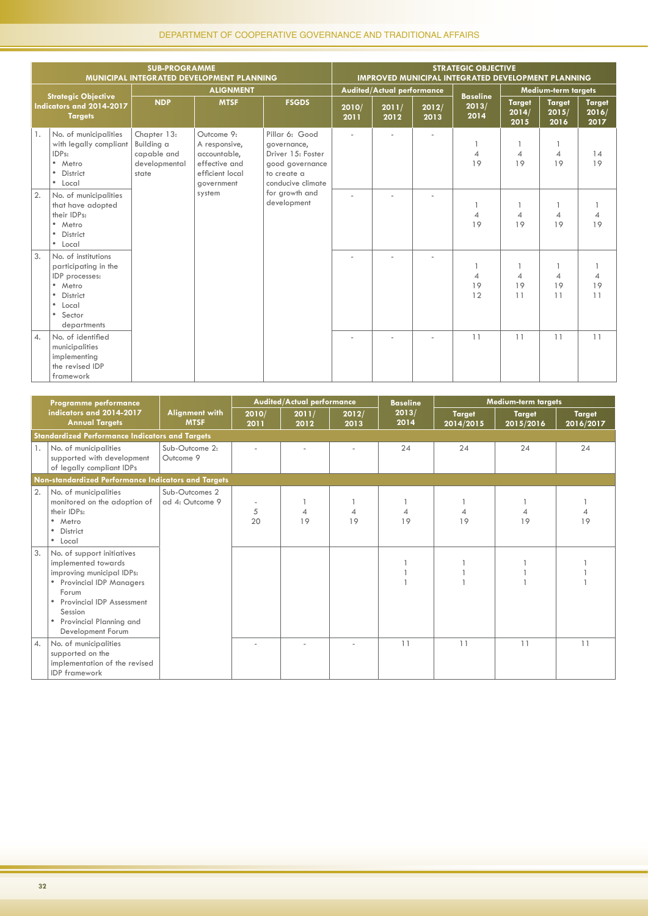|                |                                                                                                                                                                      | <b>SUB-PROGRAMME</b>                                               | MUNICIPAL INTEGRATED DEVELOPMENT PLANNING                                                     |                                                                                                           |               |                                   |               | <b>STRATEGIC OBJECTIVE</b><br>IMPROVED MUNICIPAL INTEGRATED DEVELOPMENT PLANNING |                                |                                |                                |
|----------------|----------------------------------------------------------------------------------------------------------------------------------------------------------------------|--------------------------------------------------------------------|-----------------------------------------------------------------------------------------------|-----------------------------------------------------------------------------------------------------------|---------------|-----------------------------------|---------------|----------------------------------------------------------------------------------|--------------------------------|--------------------------------|--------------------------------|
|                |                                                                                                                                                                      |                                                                    | <b>ALIGNMENT</b>                                                                              |                                                                                                           |               | <b>Audited/Actual performance</b> |               |                                                                                  |                                | <b>Medium-term targets</b>     |                                |
|                | <b>Strategic Objective</b><br>Indicators and 2014-2017<br><b>Targets</b>                                                                                             | <b>NDP</b>                                                         | <b>MTSF</b>                                                                                   | <b>FSGDS</b>                                                                                              | 2010/<br>2011 | 2011/<br>2012                     | 2012/<br>2013 | <b>Baseline</b><br>2013/<br>2014                                                 | <b>Target</b><br>2014/<br>2015 | <b>Target</b><br>2015/<br>2016 | <b>Target</b><br>2016/<br>2017 |
| 1.             | No. of municipalities<br>with legally compliant<br>IDPs:<br>• Metro<br>• District<br>• Local                                                                         | Chapter 13:<br>Building a<br>capable and<br>developmental<br>state | Outcome 9:<br>A responsive,<br>accountable,<br>effective and<br>efficient local<br>government | Pillar 6: Good<br>governance,<br>Driver 15: Foster<br>good governance<br>to create a<br>conducive climate |               |                                   |               | $\overline{4}$<br>19                                                             | $\overline{4}$<br>19           | 4<br>19                        | 14<br>19                       |
| 2.             | No. of municipalities<br>that have adopted<br>their IDPs:<br>· Metro<br>• District<br>• Local                                                                        |                                                                    | system                                                                                        | for growth and<br>development                                                                             |               |                                   |               | $\overline{4}$<br>19                                                             | $\overline{4}$<br>19           | 1<br>4<br>19                   | 4<br>19                        |
| 3.             | No. of institutions<br>participating in the<br>IDP processes:<br>• Metro<br><b>District</b><br>$\bullet$<br>$\bullet$<br>Local<br>Sector<br>$\bullet$<br>departments |                                                                    |                                                                                               |                                                                                                           |               |                                   |               | $\overline{4}$<br>19<br>12                                                       | $\overline{4}$<br>19<br>11     | 1<br>4<br>19<br>11             | $\overline{4}$<br>19<br>11     |
| $\overline{4}$ | No. of identified<br>municipalities<br>implementing<br>the revised IDP<br>framework                                                                                  |                                                                    |                                                                                               |                                                                                                           |               |                                   |               | 11                                                                               | 11                             | 11                             | 11                             |

|                | Programme performance                                                                                                                                                                                                                       |                                      |               | Audited/Actual performance |               | <b>Baseline</b> |                            | <b>Medium-term targets</b> |                            |
|----------------|---------------------------------------------------------------------------------------------------------------------------------------------------------------------------------------------------------------------------------------------|--------------------------------------|---------------|----------------------------|---------------|-----------------|----------------------------|----------------------------|----------------------------|
|                | indicators and 2014-2017<br><b>Annual Targets</b>                                                                                                                                                                                           | <b>Alignment with</b><br><b>MTSF</b> | 2010/<br>2011 | 2011/<br>2012              | 2012/<br>2013 | 2013/<br>2014   | <b>Target</b><br>2014/2015 | <b>Target</b><br>2015/2016 | <b>Target</b><br>2016/2017 |
|                | <b>Standardized Performance Indicators and Targets</b>                                                                                                                                                                                      |                                      |               |                            |               |                 |                            |                            |                            |
| $\mathbf{1}$ . | No. of municipalities<br>supported with development<br>of legally compliant IDPs                                                                                                                                                            | Sub-Outcome 2:<br>Outcome 9          |               |                            |               | 24              | 24                         | 24                         | 24                         |
|                | Non-standardized Performance Indicators and Targets                                                                                                                                                                                         |                                      |               |                            |               |                 |                            |                            |                            |
| 2.             | No. of municipalities<br>monitored on the adoption of<br>their IDPs:<br>• Metro<br>District<br>$\bullet$<br>• Local                                                                                                                         | Sub-Outcomes 2<br>ad 4: Outcome 9    | 5<br>20       | 19                         | 19            | 19              | 19                         | 19                         | 19                         |
| 3.             | No. of support initiatives<br>implemented towards<br>improving municipal IDPs:<br><b>Provincial IDP Managers</b><br>Forum<br>Provincial IDP Assessment<br>$\bullet$<br>Session<br>Provincial Planning and<br>$\bullet$<br>Development Forum |                                      |               |                            |               |                 |                            |                            |                            |
| $\overline{4}$ | No. of municipalities<br>supported on the<br>implementation of the revised<br><b>IDP</b> framework                                                                                                                                          |                                      |               |                            |               | 11              | 11                         | 11                         | 11                         |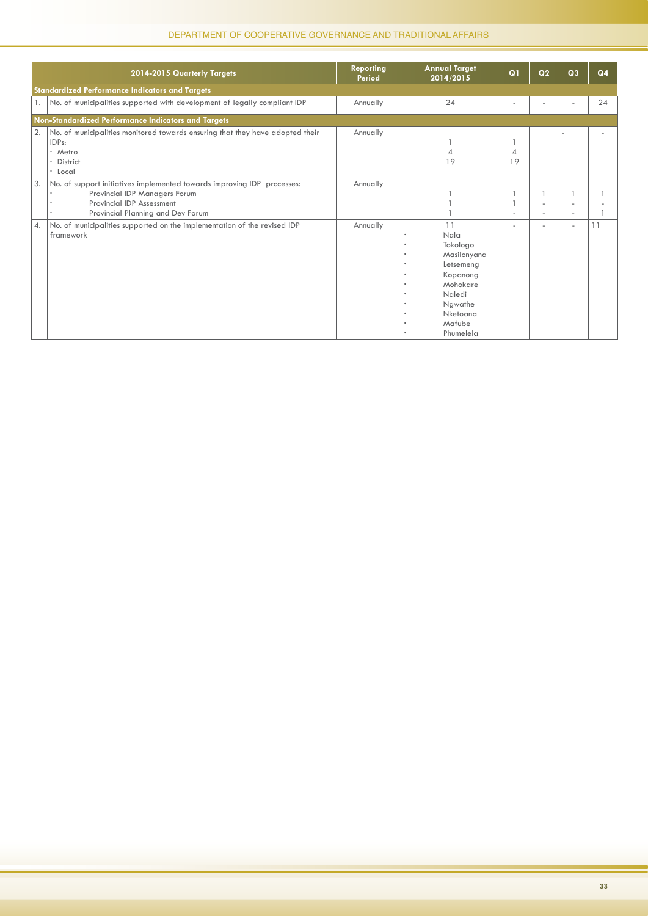|                         | 2014-2015 Quarterly Targets                                                                                                                                                | <b>Reporting</b><br>Period | <b>Annual Target</b><br>2014/2015                                                                                                  | Q1      | Q <sub>2</sub> | Q <sub>3</sub> | Q4 |
|-------------------------|----------------------------------------------------------------------------------------------------------------------------------------------------------------------------|----------------------------|------------------------------------------------------------------------------------------------------------------------------------|---------|----------------|----------------|----|
|                         | <b>Standardized Performance Indicators and Targets</b>                                                                                                                     |                            |                                                                                                                                    |         |                |                |    |
|                         | No. of municipalities supported with development of legally compliant IDP                                                                                                  | Annually                   | 24                                                                                                                                 |         |                |                | 24 |
|                         | Non-Standardized Performance Indicators and Targets                                                                                                                        |                            |                                                                                                                                    |         |                |                |    |
| 2.                      | No. of municipalities monitored towards ensuring that they have adopted their<br>IDP <sub>s:</sub><br>* Metro<br><b>District</b><br>$\bullet$<br>* Local                   | Annually                   | 19                                                                                                                                 | 4<br>19 |                |                |    |
| 3.                      | No. of support initiatives implemented towards improving IDP processes:<br>Provincial IDP Managers Forum<br>Provincial IDP Assessment<br>Provincial Planning and Dev Forum | Annually                   |                                                                                                                                    |         |                |                |    |
| $\mathcal{A}_{\bullet}$ | No. of municipalities supported on the implementation of the revised IDP<br>framework                                                                                      | Annually                   | 11<br>Nala<br>Tokologo<br>Masilonyana<br>Letsemeng<br>Kopanong<br>Mohokare<br>Naledi<br>Ngwathe<br>Nketoana<br>Mafube<br>Phumelela |         |                | ٠              |    |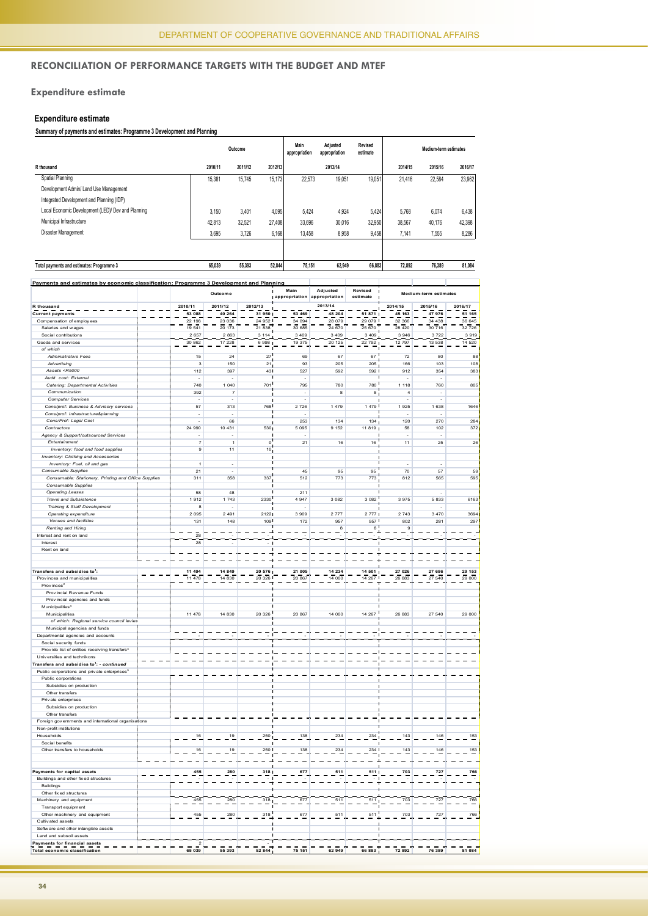#### **Reconciliation of Performance Targets with the Budget and MTEF**

#### **Expenditure estimate**

#### **Expenditure estimate**

#### **Summary of payments and estimates: Programme 3 Development and Planning**

|                                                    |         | Outcome |         | Main<br>appropriation | Adiusted<br>appropriation | Revised<br>estimate |         | Medium-term estimates |         |
|----------------------------------------------------|---------|---------|---------|-----------------------|---------------------------|---------------------|---------|-----------------------|---------|
| R thousand                                         | 2010/11 | 2011/12 | 2012/13 |                       | 2013/14                   |                     | 2014/15 | 2015/16               | 2016/17 |
| Spatial Planning                                   | 15.381  | 15.745  | 15.173  | 22.573                | 19.051                    | 19.051              | 21,416  | 22,584                | 23,962  |
| Development Admin/ Land Use Management             |         |         |         |                       |                           |                     |         |                       |         |
| Integrated Development and Planning (IDP)          |         |         |         |                       |                           |                     |         |                       |         |
| Local Economic Development (LED)/ Dev and Planning | 3.150   | 3.401   | 4,095   | 5.424                 | 4.924                     | 5,424               | 5.768   | 6,074                 | 6,438   |
| Municipal Infrastructure                           | 42.813  | 32.521  | 27.408  | 33.696                | 30.016                    | 32,950              | 38,567  | 40,176                | 42,398  |
| Disaster Management                                | 3,695   | 3,726   | 6,168   | 13.458                | 8,958                     | 9,458               | 7.141   | 7,555                 | 8,286   |
|                                                    |         |         |         |                       |                           |                     |         |                       |         |

| Total payments and estimates: Programme 3                                               | 65.039 | 55.393 | 52.844 | 75.151   | 62.949        | 66.883 | 72.892 | 76.389 | 81.084 |
|-----------------------------------------------------------------------------------------|--------|--------|--------|----------|---------------|--------|--------|--------|--------|
| Payments and estimates by economic classification: Programme 3 Development and Planning |        |        |        |          |               |        |        |        |        |
|                                                                                         |        |        |        | $\cdots$ | $1.11 - 1.11$ | .      |        |        |        |

|                                                                                                                                           | Outcome        |                | Main<br>Adjusted<br>appropriation appropriation |           | Revised<br>estimate | Medium-term estimates |                |         |         |
|-------------------------------------------------------------------------------------------------------------------------------------------|----------------|----------------|-------------------------------------------------|-----------|---------------------|-----------------------|----------------|---------|---------|
| R thousand                                                                                                                                | 2010/11        | 2011/12        | 2012/13                                         |           | 2013/14             |                       | 2014/15        | 2015/16 | 2016/17 |
| <b>Current payments</b>                                                                                                                   | 53 088         | 40 264         | 31 950                                          | 53 469    | 48 204              | 51 871                | 45163          | 47 976  | 51 165  |
| Compensation of employ ees                                                                                                                | 22 198         | 23 036         | 24 952                                          | 34 094    | 28 079              | 29 079                | 32 366         | 34 438  | 36 645  |
| Salaries and wages                                                                                                                        | 19 541         | 20 173         | 21838                                           | 30 685    | 24 670              | 25 670                | 28 4 20        | 30 716  | 32 726  |
| Social contributions                                                                                                                      | 2657           | 2863           | 3 1 1 4                                         | 3 4 0 9   | 3 4 0 9             | 3 4 0 9               | 3 9 4 6        | 3722    | 3919    |
| Goods and services                                                                                                                        | 30 862         | 17 228         | 6998                                            | 19 375    | 20 125              | 22 792                | 12.797         | 13.538  | 14520   |
| of which                                                                                                                                  |                |                |                                                 |           |                     |                       |                |         |         |
| <b>Administrative Fees</b>                                                                                                                | 15             | 24             | 27                                              | 69        | 67                  | 67                    | 72             | 80      | 88      |
| Advertising                                                                                                                               | 3              | 150            | 21                                              | 93        | 205                 | 205                   | 166            | 103     | 108     |
| Assets <r5000< td=""><td>112</td><td>397</td><td>43</td><td>527</td><td>592</td><td>592</td><td>912</td><td>354</td><td>383</td></r5000<> | 112            | 397            | 43                                              | 527       | 592                 | 592                   | 912            | 354     | 383     |
| Audit cost: External                                                                                                                      |                |                |                                                 |           |                     |                       |                |         |         |
| Catering: Departmental Activities                                                                                                         | 740            | 1 0 4 0        | 701                                             | 795       | 780                 | 780                   | 1 1 1 8        | 760     | 805     |
| Communication                                                                                                                             | 392            | $\overline{7}$ |                                                 | ÷,        | 8                   | 8                     | $\overline{a}$ | ä,      |         |
| <b>Computer Services</b>                                                                                                                  |                |                |                                                 |           |                     |                       |                |         |         |
| Cons/prof: Business & Advisory services                                                                                                   | 57             | 313            | 768                                             | 2 7 2 6   | 1479                | 1479                  | 1925           | 1 638   | 1646    |
| Cons/prof: Infrastructure&planning                                                                                                        |                |                |                                                 |           |                     |                       |                |         |         |
| Cons/Prof: Legal Cost                                                                                                                     |                | 66             |                                                 | 253       | 134                 | 134                   | 120            | 270     | 284     |
| Contractors                                                                                                                               | 24.990         | 10 431         | 530                                             | 5.095     | 9 1 5 2             | 11819                 | 58             | 102     | 3721    |
| Agency & Support/outsourced Services                                                                                                      |                |                |                                                 |           |                     |                       |                |         |         |
| Entertainmen                                                                                                                              | $\overline{7}$ | $\overline{1}$ | $\mathbf 0$                                     | 21        | 16                  | 16                    | 11             | 25      | 26      |
| Inventory: food and food supplies                                                                                                         | 9              | 11             | 10                                              |           |                     |                       |                |         |         |
| Inventory: Clothing and Accessories                                                                                                       |                |                |                                                 |           |                     |                       |                |         |         |
| Inventory: Fuel, oil and gas                                                                                                              | $\overline{1}$ | Ī,             |                                                 |           |                     |                       | J.             | J.      |         |
| Consumable Supplies                                                                                                                       | 21             | ł,             |                                                 | 45        | 95                  | 95                    | 70             | 57      | 59      |
| Consumable: Stationery, Printing and Office Supplies                                                                                      | 311            | 358            | 337                                             | 512       | 773                 | 773                   | 812            | 565     | 595     |
| Consumable Supplies                                                                                                                       |                |                |                                                 |           |                     |                       |                |         |         |
| <b>Operating Leases</b>                                                                                                                   | 58             | 48             |                                                 | 211       |                     |                       |                |         |         |
| <b>Travel and Subsistence</b>                                                                                                             | 1912           | 1743           | 2330                                            | 4 9 4 7   | 3 0 8 2             | 3 0 8 2               | 3975           | 5833    | 6163    |
| Training & Staff Development                                                                                                              | 8              |                |                                                 |           |                     |                       |                |         |         |
| Operating expenditure                                                                                                                     | 2 0 9 5        | 2 4 9 1        | 2122                                            | 3 9 0 9   | 2 7 7 7             | 2 7 7 7               | 2 7 4 3        | 3 4 7 0 | 3694    |
| Venues and facilities                                                                                                                     | 131            | 148            | 109                                             | 172       | 957                 | 957                   | 802            | 281     | 297     |
| <b>Renting and Hiring</b>                                                                                                                 |                |                |                                                 |           | 8                   | 8                     | 9              |         |         |
| Interest and rent on land                                                                                                                 | 28             |                |                                                 |           |                     |                       |                |         |         |
| Interest                                                                                                                                  | 28             |                |                                                 |           |                     |                       |                |         |         |
|                                                                                                                                           |                |                |                                                 |           |                     |                       |                |         |         |
| Rent on land                                                                                                                              |                |                |                                                 |           |                     |                       |                |         |         |
|                                                                                                                                           |                |                |                                                 |           |                     |                       |                |         |         |
|                                                                                                                                           |                |                |                                                 |           |                     |                       |                |         |         |
| Transfers and subsidies to <sup>1</sup> :                                                                                                 | 11 494         | 14 849         | 20 576                                          | 21 005    | 14 234              | 14 501                | 27 026         | 27 686  | 29 153  |
| Provinces and municipalities                                                                                                              | 11 478         | 14 830         | 20 326                                          | 20 867    | 14 000              | 14 267                | 26 883         | 27 540  | 29 000  |
| Provinces <sup>2</sup>                                                                                                                    |                |                |                                                 |           |                     |                       |                |         |         |
| Provincial Revenue Funds                                                                                                                  |                |                |                                                 |           |                     |                       |                |         |         |
| Provincial agencies and funds                                                                                                             |                |                |                                                 |           |                     |                       |                |         |         |
| Municipalities <sup>3</sup>                                                                                                               |                |                |                                                 |           |                     |                       |                |         |         |
| Municipalities                                                                                                                            | 11 478         | 14 830         | 20 326                                          | 20 867    | 14 000              | 14 267                | 26 883         | 27 540  | 29 000  |
| of which: Regional service council levies                                                                                                 |                |                |                                                 |           |                     |                       |                |         |         |
| Municipal agencies and funds                                                                                                              |                |                |                                                 |           |                     |                       |                |         |         |
| Departmental agencies and accounts                                                                                                        |                |                |                                                 |           |                     |                       |                |         |         |
| Social security funds                                                                                                                     |                |                |                                                 |           |                     |                       |                |         |         |
| Provide list of entities receiving transfers <sup>4</sup>                                                                                 |                |                |                                                 |           |                     |                       |                |         |         |
| Universities and technikons                                                                                                               |                |                |                                                 |           |                     |                       |                |         |         |
| Transfers and subsidies to <sup>1</sup> : - <i>continued</i>                                                                              |                |                |                                                 |           |                     |                       |                |         |         |
| Public corporations and private enterprises <sup>6</sup>                                                                                  |                |                |                                                 |           |                     |                       |                |         |         |
| Public corporations                                                                                                                       |                |                |                                                 |           |                     |                       |                |         |         |
| Subsidies on production                                                                                                                   |                |                |                                                 |           |                     |                       |                |         |         |
| Other transfers                                                                                                                           |                |                |                                                 |           |                     |                       |                |         |         |
| Private enterprises                                                                                                                       |                |                |                                                 |           |                     |                       |                |         |         |
| Subsidies on production                                                                                                                   |                |                |                                                 |           |                     |                       |                |         |         |
| Other transfers                                                                                                                           |                |                |                                                 |           |                     |                       |                |         |         |
| Foreign governments and international organisations                                                                                       |                |                |                                                 |           |                     |                       |                |         |         |
| Non-profit institutions                                                                                                                   |                |                |                                                 |           |                     |                       |                |         |         |
| Households                                                                                                                                | $16\,$         | 19             | 250                                             | 138       | 234                 | 234                   | 143            | 146     | 153     |
| Social benefits                                                                                                                           |                |                |                                                 |           |                     |                       |                |         |         |
| Other transfers to households                                                                                                             | 16             | 19             | 250                                             | 138       | 234                 | 234                   | 143            | 146     | 153     |
|                                                                                                                                           |                |                |                                                 |           |                     |                       |                |         |         |
|                                                                                                                                           |                |                |                                                 |           |                     |                       |                |         |         |
| Payments for capital assets                                                                                                               | 455            | 280            | 318                                             | 677       | 511                 | 511                   | 703            | 727     | 766     |
| Buildings and other fix ed structures                                                                                                     |                |                |                                                 |           |                     |                       |                |         |         |
| <b>Buildings</b>                                                                                                                          |                |                |                                                 |           |                     |                       |                |         |         |
| Other fixed structures                                                                                                                    |                |                |                                                 |           |                     |                       |                |         |         |
| Machinery and equipment                                                                                                                   | 455            | 280            | 318                                             | 677       | 511                 | 511                   | 703            | 727     | 766     |
| Transport equipment                                                                                                                       |                |                |                                                 |           |                     |                       |                |         |         |
|                                                                                                                                           |                |                |                                                 |           |                     |                       |                |         |         |
| Other machinery and equipment<br>Cultivated assets                                                                                        | 455            | 280            | 318                                             | 677       | 511                 | 511                   | 703            | 727     | 766     |
|                                                                                                                                           |                |                |                                                 |           |                     |                       |                |         |         |
| Software and other intangible assets                                                                                                      |                |                |                                                 |           |                     |                       |                |         |         |
| Land and subsoil assets                                                                                                                   | $\overline{z}$ |                |                                                 |           |                     |                       |                |         |         |
| Payments for financial assets<br><b>Total economic classification</b>                                                                     | 65 039         | 55 393         | 52 844                                          | 151<br>75 | 62                  | 883                   | 892            | 76 389  | 81 084  |
|                                                                                                                                           |                |                |                                                 |           |                     |                       |                |         |         |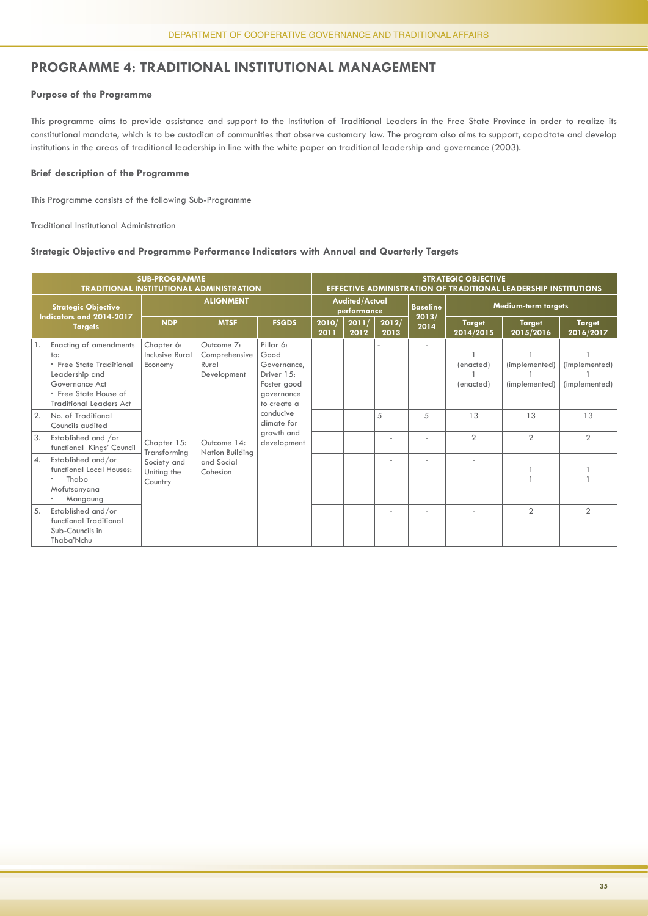#### **PROGRAMME 4: TRADITIONAL INSTITUTIONAL MANAGEMENT**

#### **Purpose of the Programme**

This programme aims to provide assistance and support to the Institution of Traditional Leaders in the Free State Province in order to realize its constitutional mandate, which is to be custodian of communities that observe customary law. The program also aims to support, capacitate and develop institutions in the areas of traditional leadership in line with the white paper on traditional leadership and governance (2003).

#### **Brief description of the Programme**

This Programme consists of the following Sub-Programme

Traditional Institutional Administration

#### **Strategic Objective and Programme Performance Indicators with Annual and Quarterly Targets**

|    |                                                                                                                                                          | <b>SUB-PROGRAMME</b><br><b>TRADITIONAL INSTITUTIONAL ADMINISTRATION</b> |                                                     |                                                                                            |               |                                      | <b>STRATEGIC OBJECTIVE</b><br><b>EFFECTIVE ADMINISTRATION OF TRADITIONAL LEADERSHIP INSTITUTIONS</b> |               |                            |                                |                                |  |  |  |
|----|----------------------------------------------------------------------------------------------------------------------------------------------------------|-------------------------------------------------------------------------|-----------------------------------------------------|--------------------------------------------------------------------------------------------|---------------|--------------------------------------|------------------------------------------------------------------------------------------------------|---------------|----------------------------|--------------------------------|--------------------------------|--|--|--|
|    | <b>Strategic Objective</b>                                                                                                                               |                                                                         | <b>ALIGNMENT</b>                                    |                                                                                            |               | <b>Audited/Actual</b><br>performance |                                                                                                      |               | <b>Medium-term targets</b> |                                |                                |  |  |  |
|    | Indicators and 2014-2017<br><b>Targets</b>                                                                                                               | <b>NDP</b>                                                              | <b>MTSF</b>                                         | <b>FSGDS</b>                                                                               | 2010/<br>2011 | 2011/<br>2012                        | 2012/<br>2013                                                                                        | 2013/<br>2014 | <b>Target</b><br>2014/2015 | <b>Target</b><br>2015/2016     | <b>Target</b><br>2016/2017     |  |  |  |
|    | Enacting of amendments<br>to:<br>· Free State Traditional<br>Leadership and<br>Governance Act<br>· Free State House of<br><b>Traditional Leaders Act</b> | Chapter 6:<br>Inclusive Rural<br>Economy                                | Outcome 7:<br>Comprehensive<br>Rural<br>Development | Pillar 6:<br>Good<br>Governance,<br>Driver 15:<br>Foster good<br>governance<br>to create a |               |                                      |                                                                                                      |               | (enacted)<br>(enacted)     | (implemented)<br>(implemented) | (implemented)<br>(implemented) |  |  |  |
| 2. | No. of Traditional<br>Councils audited                                                                                                                   |                                                                         |                                                     | conducive<br>climate for<br>growth and<br>development                                      |               |                                      | 5                                                                                                    | 5             | 13                         | 13                             | 13                             |  |  |  |
| 3. | Established and /or<br>functional Kings' Council                                                                                                         | Chapter 15:                                                             | Outcome 14:<br>Nation Building                      |                                                                                            |               |                                      |                                                                                                      |               | $\overline{2}$             | $\overline{2}$                 | $\overline{2}$                 |  |  |  |
| 4. | Established and/or<br>functional Local Houses:<br>Thabo<br>Mofutsanyana<br>Mangaung                                                                      | Transforming<br>Society and<br>Uniting the<br>Country                   | and Social<br>Cohesion                              |                                                                                            |               |                                      |                                                                                                      |               |                            |                                |                                |  |  |  |
| 5. | Established and/or<br>functional Traditional<br>Sub-Councils in<br>Thaba'Nchu                                                                            |                                                                         |                                                     |                                                                                            |               |                                      |                                                                                                      |               |                            | $\overline{2}$                 | $\overline{2}$                 |  |  |  |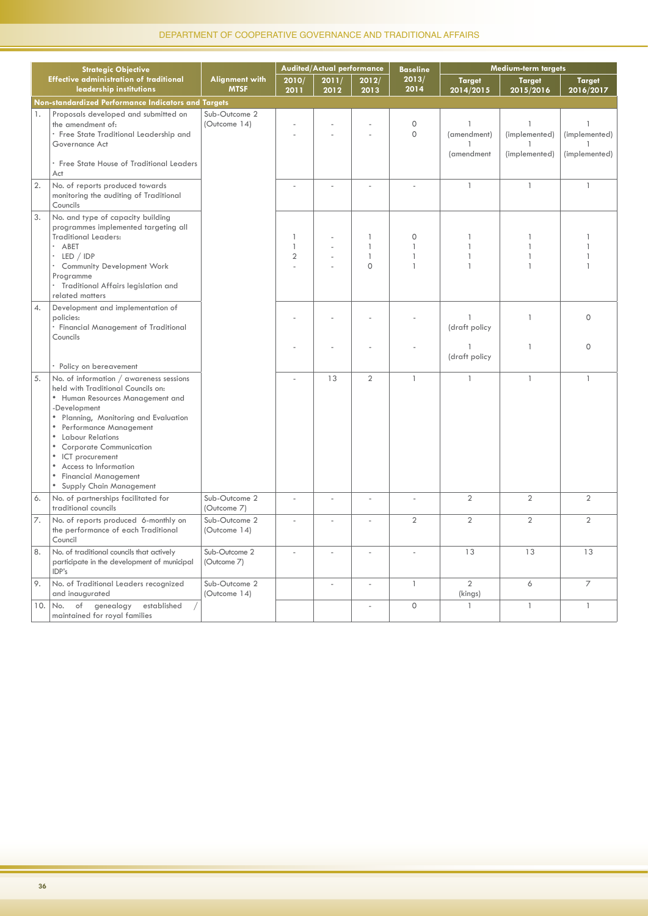|     | <b>Strategic Objective</b>                                                                                                                                                                                                                                                                                                                                                         |                                      |                                                | Audited/Actual performance |                                                          | <b>Baseline</b>                   | Medium-term targets                       |                                     |                                                |  |
|-----|------------------------------------------------------------------------------------------------------------------------------------------------------------------------------------------------------------------------------------------------------------------------------------------------------------------------------------------------------------------------------------|--------------------------------------|------------------------------------------------|----------------------------|----------------------------------------------------------|-----------------------------------|-------------------------------------------|-------------------------------------|------------------------------------------------|--|
|     | <b>Effective administration of traditional</b><br>leadership institutions                                                                                                                                                                                                                                                                                                          | <b>Alignment with</b><br><b>MTSF</b> | 2010/<br>2011                                  | 2011/<br>2012              | 2012/<br>2013                                            | 2013/<br>2014                     | <b>Target</b><br>2014/2015                | <b>Target</b><br>2015/2016          | <b>Target</b><br>2016/2017                     |  |
|     | Non-standardized Performance Indicators and Targets                                                                                                                                                                                                                                                                                                                                |                                      |                                                |                            |                                                          |                                   |                                           |                                     |                                                |  |
| 1.  | Proposals developed and submitted on<br>the amendment of:<br>· Free State Traditional Leadership and<br>Governance Act<br>• Free State House of Traditional Leaders<br>Act                                                                                                                                                                                                         | Sub-Outcome 2<br>(Outcome 14)        |                                                |                            |                                                          | $\circ$<br>$\Omega$               | $\mathbf{1}$<br>(amendment)<br>(amendment | 1<br>(implemented)<br>(implemented) | $\mathbf{1}$<br>(implemented)<br>(implemented) |  |
| 2.  | No. of reports produced towards<br>monitoring the auditing of Traditional<br>Councils                                                                                                                                                                                                                                                                                              |                                      |                                                |                            | ÷,                                                       |                                   | $\mathbf{1}$                              | $\mathbf{1}$                        | $\mathbf{1}$                                   |  |
| 3.  | No. and type of capacity building<br>programmes implemented targeting all<br><b>Traditional Leaders:</b><br>· ABET<br>LED / IDP<br>Community Development Work<br>×.<br>Programme<br>· Traditional Affairs legislation and<br>related matters                                                                                                                                       |                                      | $\mathbf{1}$<br>$\mathbf{1}$<br>$\overline{2}$ |                            | $\mathbf{1}$<br>$\mathbf{1}$<br>$\mathbf{1}$<br>$\Omega$ | $\mathbf{0}$<br>1<br>$\mathbf{1}$ |                                           | $\mathbf{1}$<br>1<br>$\mathbf{1}$   |                                                |  |
| 4.  | Development and implementation of<br>policies:<br>· Financial Management of Traditional<br>Councils                                                                                                                                                                                                                                                                                |                                      |                                                |                            |                                                          |                                   | $\mathbf{1}$<br>(draft policy             | $\mathbf{1}$                        | $\Omega$                                       |  |
|     | · Policy on bereavement                                                                                                                                                                                                                                                                                                                                                            |                                      |                                                |                            |                                                          |                                   | 1<br>(draft policy                        | $\mathbf{1}$                        | $\Omega$                                       |  |
| 5.  | No. of information / awareness sessions<br>held with Traditional Councils on:<br>• Human Resources Management and<br>-Development<br>• Planning, Monitoring and Evaluation<br>• Performance Management<br>• Labour Relations<br><b>Corporate Communication</b><br>$\bullet$<br>• ICT procurement<br>• Access to Information<br>• Financial Management<br>• Supply Chain Management |                                      |                                                | 13                         | $\overline{2}$                                           | $\mathbf{1}$                      | $\mathbf{1}$                              | $\mathbf{1}$                        | $\mathbf{1}$                                   |  |
| 6.  | No. of partnerships facilitated for<br>traditional councils                                                                                                                                                                                                                                                                                                                        | Sub-Outcome 2<br>(Outcome 7)         | J.                                             | J.                         | ÷,                                                       | $\mathcal{L}$                     | $\overline{2}$                            | $\overline{2}$                      | $\overline{2}$                                 |  |
| 7.  | No. of reports produced 6-monthly on<br>the performance of each Traditional<br>Council                                                                                                                                                                                                                                                                                             | Sub-Outcome 2<br>(Outcome 14)        | ÷,                                             | ÷,                         | ÷,                                                       | $\overline{2}$                    | $\overline{2}$                            | $\overline{2}$                      | $\overline{2}$                                 |  |
| 8.  | No. of traditional councils that actively<br>participate in the development of municipal<br>IDP's                                                                                                                                                                                                                                                                                  | Sub-Outcome 2<br>(Outcome 7)         |                                                |                            |                                                          |                                   | 13                                        | 13                                  | 13                                             |  |
| 9.  | No. of Traditional Leaders recognized<br>and inaugurated                                                                                                                                                                                                                                                                                                                           | Sub-Outcome 2<br>(Outcome 14)        |                                                | ä,                         | ÷,                                                       | $\mathbb{I}$                      | $\overline{2}$<br>(kings)                 | 6                                   | $\overline{7}$                                 |  |
| 10. | No. of genealogy<br>established<br>maintained for royal families                                                                                                                                                                                                                                                                                                                   |                                      |                                                |                            |                                                          | $\Omega$                          | $\mathbf{1}$                              | $\mathbf{1}$                        | $\mathbf{1}$                                   |  |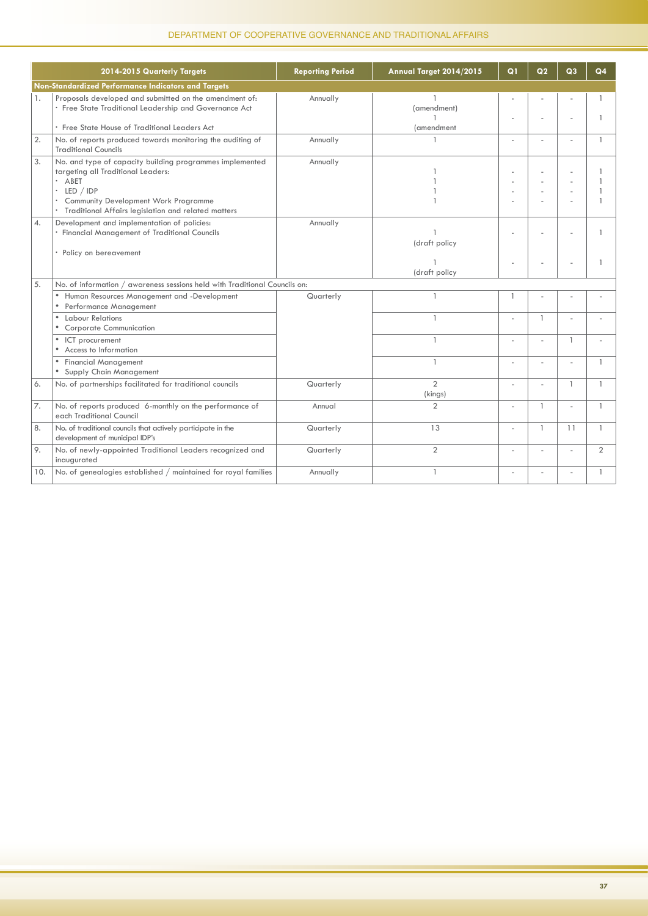|                  | 2014-2015 Quarterly Targets                                                                                                                                                                                                    | <b>Reporting Period</b> | Annual Target 2014/2015                          | Q1           | Q <sub>2</sub> | Q3           | Q <sub>4</sub> |
|------------------|--------------------------------------------------------------------------------------------------------------------------------------------------------------------------------------------------------------------------------|-------------------------|--------------------------------------------------|--------------|----------------|--------------|----------------|
|                  | Non-Standardized Performance Indicators and Targets                                                                                                                                                                            |                         |                                                  |              |                |              |                |
| 1.               | Proposals developed and submitted on the amendment of:<br>· Free State Traditional Leadership and Governance Act<br>• Free State House of Traditional Leaders Act                                                              | Annually                | (amendment)<br>$\mathbf{1}$<br><i>(amendment</i> |              |                |              | $\overline{1}$ |
| 2.               | No. of reports produced towards monitoring the auditing of<br><b>Traditional Councils</b>                                                                                                                                      | Annually                | $\overline{1}$                                   |              |                |              | $\mathbf{1}$   |
| 3.               | No. and type of capacity building programmes implemented<br>targeting all Traditional Leaders:<br>· ABET<br>$\cdot$ LED / IDP<br>. Community Development Work Programme<br>Traditional Affairs legislation and related matters | Annually                |                                                  | ä,           |                |              | $\mathbf{1}$   |
| $\overline{4}$ . | Development and implementation of policies:<br>· Financial Management of Traditional Councils<br>· Policy on bereavement                                                                                                       | Annually                | $\mathbf{1}$<br>(draft policy                    |              |                |              |                |
|                  |                                                                                                                                                                                                                                |                         | (draft policy                                    |              |                |              |                |
| 5.               | No. of information / awareness sessions held with Traditional Councils on:                                                                                                                                                     |                         |                                                  |              |                |              |                |
|                  | Human Resources Management and -Development<br>Performance Management                                                                                                                                                          | Quarterly               | $\mathbf{1}$                                     | $\mathbf{1}$ |                |              |                |
|                  | Labour Relations<br>$\bullet$<br><b>Corporate Communication</b><br>$\bullet$                                                                                                                                                   |                         | $\mathbf{1}$                                     |              | $\mathbf{1}$   |              |                |
|                  | • ICT procurement<br>• Access to Information                                                                                                                                                                                   |                         | $\mathbf{1}$                                     |              | ÷,             | $\mathbf{1}$ |                |
|                  | <b>Financial Management</b><br>Supply Chain Management                                                                                                                                                                         |                         | $\mathbf{1}$                                     |              |                |              | $\overline{1}$ |
| 6.               | No. of partnerships facilitated for traditional councils                                                                                                                                                                       | Quarterly               | $\overline{2}$<br>(kings)                        | L,           |                | $\mathbf{1}$ | $\mathbf{1}$   |
| 7.               | No. of reports produced 6-monthly on the performance of<br>each Traditional Council                                                                                                                                            | Annual                  | $\overline{2}$                                   | L,           | $\mathbf{1}$   |              | $\mathbf{1}$   |
| 8.               | No. of traditional councils that actively participate in the<br>development of municipal IDP's                                                                                                                                 | Quarterly               | 13                                               |              | $\mathbf{1}$   | 11           | $\mathbf{1}$   |
| 9.               | No. of newly-appointed Traditional Leaders recognized and<br>inaugurated                                                                                                                                                       | Quarterly               | $\overline{2}$                                   |              |                |              | $\overline{2}$ |
| 10.              | No. of genealogies established / maintained for royal families                                                                                                                                                                 | Annually                | $\mathbf{1}$                                     |              |                |              | $\mathbf{1}$   |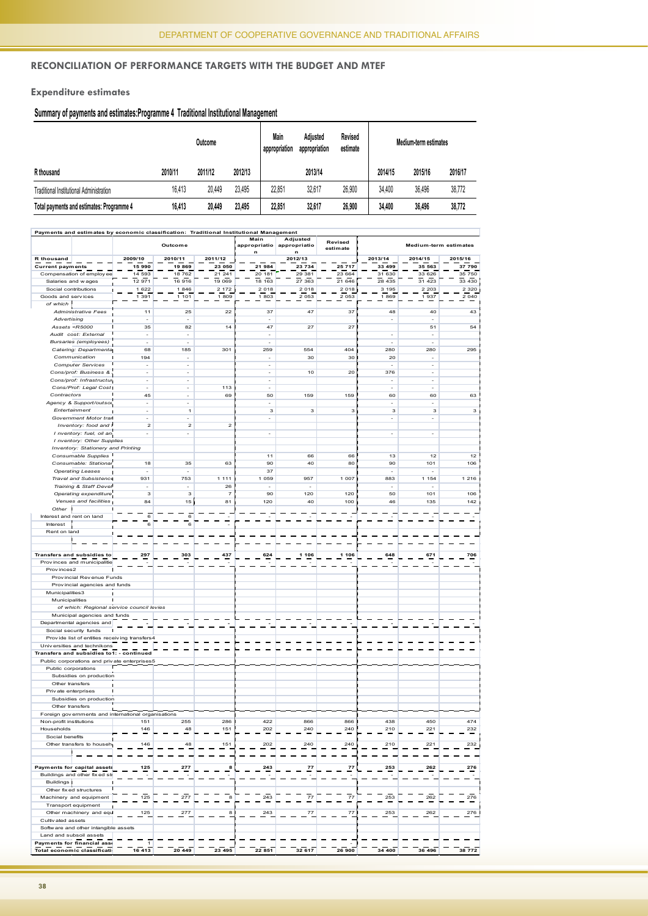#### **Reconciliation of Performance Targets with the Budget and MTEF**

**Expenditure estimates**

#### **Summary of payments and estimates:Programme 4 Traditional Institutional Management**

| Outcome                                   |         |         | Main<br>appropriation | Adiusted<br>appropriation | Revised<br>estimate | Medium-term estimates |         |         |         |
|-------------------------------------------|---------|---------|-----------------------|---------------------------|---------------------|-----------------------|---------|---------|---------|
| R thousand                                | 2010/11 | 2011/12 | 2012/13               |                           | 2013/14             |                       | 2014/15 | 2015/16 | 2016/17 |
| Traditional Institutional Administration  | 16.413  | 20.449  | 23.495                | 22.851                    | 32.617              | 26.900                | 34.400  | 36.496  | 38.772  |
| Total payments and estimates: Programme 4 | 16.413  | 20.449  | 23.495                | 22.851                    | 32,617              | 26,900                | 34.400  | 36,496  | 38,772  |

| Payments and estimates by economic classification: Traditional Institutional Management |                          |                                |                  |                          |                          |                     |                          |                       |                    |
|-----------------------------------------------------------------------------------------|--------------------------|--------------------------------|------------------|--------------------------|--------------------------|---------------------|--------------------------|-----------------------|--------------------|
|                                                                                         | Outcome                  |                                |                  | Main<br>appropriatio     | Adjusted<br>appropriatio | Revised<br>estimate |                          | Medium-term estimates |                    |
|                                                                                         |                          |                                |                  | n                        | n                        |                     |                          |                       |                    |
| R thousand                                                                              | 2009/10                  | 2010/11                        | 2011/12          |                          | 2012/13                  |                     | 2013/14                  | 2014/15               | 2015/16            |
| <b>Current payments</b>                                                                 | 15 990                   | 19 869                         | 23 050           | 21 984                   | 23 734                   | 25 717              | 33 499                   | 35 563                | 37 790             |
| Compensation of employ ee                                                               | 14 593<br>12 971         | 18 762<br>16 916               | 21 241<br>19 069 | 20 181<br>18 163         | 29 381<br>27 363         | 23 664<br>21 646    | 31 630<br>28 4 35        | 33 626<br>31 4 23     | 35 750             |
| Salaries and wages<br>Social contributions                                              |                          |                                | 2 172            |                          | 2 0 1 8                  |                     |                          | 2 2 0 3               | 33 430             |
| Goods and services                                                                      | 1 6 2 2<br>1 391         | 1846<br>1 101                  | 1809             | 2 0 1 8<br>1803          | 2 0 5 3                  | 2 0 1 8<br>2 0 5 3  | 3 1 9 5<br>1869          | 1937                  | 2 3 2 0<br>2 0 4 0 |
| of which                                                                                |                          |                                |                  |                          |                          |                     |                          |                       |                    |
| Administrative Fees                                                                     | $11$                     | 25                             | 22               | 37                       | 47                       | 37                  | 48                       | 40                    | 43                 |
| Advertising                                                                             | ÷                        |                                |                  |                          |                          |                     | ×,                       |                       |                    |
| Assets < $R5000$                                                                        | 35                       | 82                             | 14 <sup>1</sup>  | 47                       | 27                       | 27 <sub>1</sub>     |                          | 51                    | 54                 |
| Audit cost: External                                                                    | $\blacksquare$           | ×,                             |                  | ÷,                       |                          |                     | $\bar{z}$                | ÷,                    |                    |
| Bursaries (employees)                                                                   | ÷.                       | ÷.                             |                  | ÷.                       |                          |                     | ÷.                       | ÷,                    |                    |
| Catering: Departmenta                                                                   | 68                       | 185                            | 301              | 259                      | 554                      | 404 <sub>1</sub>    | 280                      | 280                   | 295                |
| Communication                                                                           | 194                      | ×,                             |                  | ÷,                       | 30                       | 30 <sub>1</sub>     | 20                       | ÷,                    |                    |
| <b>Computer Services</b>                                                                | L.                       | ×.                             |                  | ÷.                       |                          |                     |                          | ÷.                    |                    |
| Cons/prof: Business &                                                                   | ×,                       | $\sim$                         |                  | $\overline{\phantom{a}}$ | 10                       | 20                  | 376                      | $\sim$                |                    |
| Cons/prof: Infrastructur                                                                | $\Box$                   | ×,                             |                  | $\overline{\phantom{a}}$ |                          |                     | ÷.                       | $\sim$                |                    |
|                                                                                         | ÷.                       | ÷                              |                  | ÷,                       |                          |                     | ÷.                       | J.                    |                    |
| Cons/Prof: Legal Cost                                                                   | 45                       |                                | 1131<br>69       |                          | 159                      | 159                 | 60                       | 60                    | 63                 |
| Contractors                                                                             |                          | $\overline{\phantom{a}}$<br>×. |                  | 50<br>÷,                 |                          |                     | ×,                       | ÷,                    |                    |
| Agency & Support/outsou                                                                 | $\overline{\phantom{a}}$ |                                |                  |                          |                          |                     |                          |                       |                    |
| Entertainment                                                                           | ÷,                       | $\mathbf{1}$                   |                  | 3                        | 3                        | 3 <sub>1</sub>      | 3                        | 3                     | 3                  |
| Government Motor tran                                                                   | ۰                        |                                |                  |                          |                          |                     | $\overline{\phantom{a}}$ | ٠                     |                    |
| Inventory: food and i                                                                   | $\mathbf 2$              | $\mathbf 2$                    | 2                |                          |                          |                     |                          |                       |                    |
| I nventory: fuel, oil an                                                                |                          |                                |                  | ÷.                       |                          |                     | ÷.                       | ä,                    |                    |
| I nventory: Other Supplies                                                              |                          |                                |                  |                          |                          |                     |                          |                       |                    |
| Inventory: Stationery and Printing                                                      |                          |                                |                  |                          |                          |                     |                          |                       |                    |
| Consumable Supplies                                                                     |                          |                                |                  | 11                       | 66                       | 66 <sup>'</sup>     | 13                       | 12                    | 12                 |
| Consumable: Stationar                                                                   | 18                       | 35                             | 63               | 90                       | 40                       | 80                  | 90                       | 101                   | 106                |
| <b>Operating Leases</b>                                                                 | ÷,                       | ÷,                             |                  | 37                       |                          |                     | ÷,                       |                       |                    |
| <b>Travel and Subsistence</b>                                                           | 931                      | 753                            | 11111            | 1 0 5 9                  | 957                      | 1 007               | 883                      | 1 1 5 4               | 1 2 1 6            |
| Training & Staff Devel                                                                  |                          |                                | 26               |                          |                          |                     |                          |                       |                    |
| Operating expenditure                                                                   | 3                        | 3                              | 7                | 90                       | 120                      | 120                 | 50                       | 101                   | 106                |
| Venues and facilities                                                                   | 84                       | 15 <sub>1</sub>                | 81               | 120                      | 40                       | 100 <sub>1</sub>    | 46                       | 135                   | 142                |
| Other 1                                                                                 |                          |                                |                  |                          |                          |                     |                          |                       |                    |
| Interest and rent on land                                                               | 6                        | 6                              |                  |                          |                          |                     |                          |                       |                    |
| Interest                                                                                | 6                        | 6                              |                  |                          |                          |                     |                          |                       |                    |
| Rent on land                                                                            |                          |                                |                  |                          |                          |                     |                          |                       |                    |
| п                                                                                       |                          |                                |                  |                          |                          |                     |                          |                       |                    |
|                                                                                         |                          |                                |                  |                          |                          |                     |                          |                       |                    |
| Transfers and subsidies to                                                              | 297                      | 303                            | 437              | 624                      | 1 106                    | 106<br>1            | 648                      | 671                   | 706                |
| Provinces and municipalitie                                                             |                          |                                |                  |                          |                          |                     |                          |                       |                    |
| Prov inces2                                                                             |                          |                                |                  |                          |                          |                     |                          |                       |                    |
| Provincial Revenue Funds                                                                |                          |                                |                  |                          |                          |                     |                          |                       |                    |
| Provincial agencies and funds                                                           |                          |                                |                  |                          |                          |                     |                          |                       |                    |
| Municipalities3                                                                         |                          |                                |                  |                          |                          |                     |                          |                       |                    |
| Municipalities                                                                          |                          |                                |                  |                          |                          |                     |                          |                       |                    |
| of which: Regional service council levies                                               |                          |                                |                  |                          |                          |                     |                          |                       |                    |
| Municipal agencies and funds                                                            |                          |                                |                  |                          |                          |                     |                          |                       |                    |
| Departmental agencies and                                                               |                          |                                |                  |                          |                          |                     |                          |                       |                    |
| Social security funds                                                                   |                          |                                |                  |                          |                          |                     |                          |                       |                    |
| Provide list of entities receiving transfers4                                           |                          |                                |                  |                          |                          |                     |                          |                       |                    |
| Universities and technikons                                                             |                          |                                |                  |                          |                          |                     |                          |                       |                    |
| Transfers and subsidies to1: - continued                                                |                          |                                |                  |                          |                          |                     |                          |                       |                    |
| Public corporations and private enterprises5                                            |                          |                                |                  |                          |                          | п                   |                          |                       |                    |
| Public corporations                                                                     |                          |                                |                  |                          |                          |                     |                          |                       |                    |
| Subsidies on production                                                                 |                          |                                |                  |                          |                          |                     |                          |                       |                    |
| Other transfers                                                                         |                          |                                |                  |                          |                          |                     |                          |                       |                    |
| Priv ate enterprises                                                                    |                          |                                |                  |                          |                          |                     |                          |                       |                    |
| Subsidies on production                                                                 |                          |                                |                  |                          |                          |                     |                          |                       |                    |
| Other transfers                                                                         |                          |                                |                  |                          |                          |                     |                          |                       |                    |
| Foreign governments and international organisations                                     |                          |                                |                  |                          |                          |                     |                          |                       |                    |
| Non-profit institutions                                                                 | 151                      | 255                            | 286              | 422                      | 866                      | 866                 | 438                      | 450                   | 474                |
| Households                                                                              | 146                      | 48                             | 151              | 202                      | 240                      | $240$ <sup>1</sup>  | 210                      | 221                   | 232                |
| Social benefits                                                                         |                          |                                |                  |                          |                          |                     |                          |                       |                    |
| Other transfers to househ                                                               | 146                      | 48                             | 151              | 202                      | 240                      | 240                 | 210                      | 221                   | 232                |
| $\blacksquare$                                                                          |                          |                                |                  |                          |                          | п<br>٦              |                          |                       |                    |
|                                                                                         |                          |                                |                  |                          |                          |                     |                          |                       |                    |
| Payments for capital assets                                                             | 125                      | 277                            | 8                | 243                      | 77                       | 77                  | 253                      | 262                   | 276                |
| Buildings and other fixed st                                                            |                          |                                |                  |                          |                          |                     |                          |                       |                    |
| <b>Buildings</b>                                                                        |                          |                                |                  |                          |                          |                     |                          |                       |                    |
| Other fix ed structures                                                                 |                          |                                |                  |                          |                          |                     |                          |                       |                    |
| Machinery and equipment                                                                 | 125                      | 277                            | 8                | 243                      | 77                       | 77                  | 253                      | 262                   | 276                |
| Transport equipment                                                                     |                          |                                |                  |                          |                          | $\blacksquare$      |                          |                       |                    |
| Other machinery and equ                                                                 | 125                      | 277                            | 8                | 243                      | 77                       | 771                 | 253                      | 262                   | 276                |
| Cultivated assets                                                                       |                          |                                |                  |                          |                          | П                   |                          |                       |                    |
| Software and other intangible assets                                                    |                          |                                |                  |                          |                          |                     |                          |                       |                    |
| Land and subsoil assets                                                                 |                          |                                |                  |                          |                          |                     |                          |                       |                    |
| Payments for financial asse                                                             | $\mathbf{1}$             |                                |                  |                          |                          | п                   |                          |                       |                    |
| Total economic classificati                                                             | 16 413                   | 20 449                         | 23 495           | 22 851                   | 32 617                   | 26 900              | 34 400                   | 36 496                | 38 772             |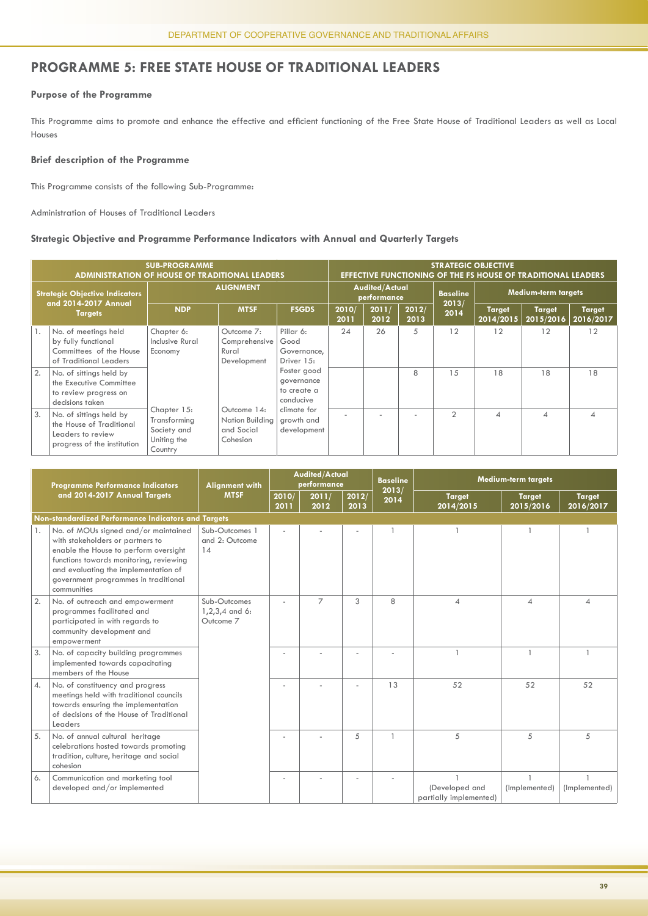#### **PROGRAMME 5: FREE STATE HOUSE OF TRADITIONAL LEADERS**

#### **Purpose of the Programme**

This Programme aims to promote and enhance the effective and efficient functioning of the Free State House of Traditional Leaders as well as Local Houses

#### **Brief description of the Programme**

This Programme consists of the following Sub-Programme:

Administration of Houses of Traditional Leaders

#### **Strategic Objective and Programme Performance Indicators with Annual and Quarterly Targets**

|    | <b>SUB-PROGRAMME</b><br><b>ADMINISTRATION OF HOUSE OF TRADITIONAL LEADERS</b>                           |                                                                      | <b>STRATEGIC OBJECTIVE</b><br><b>EFFECTIVE FUNCTIONING OF THE FS HOUSE OF TRADITIONAL LEADERS</b>    |                                                       |               |                                      |               |                |                            |                            |                            |  |
|----|---------------------------------------------------------------------------------------------------------|----------------------------------------------------------------------|------------------------------------------------------------------------------------------------------|-------------------------------------------------------|---------------|--------------------------------------|---------------|----------------|----------------------------|----------------------------|----------------------------|--|
|    | <b>Strategic Objective Indicators</b><br>and 2014-2017 Annual                                           | <b>ALIGNMENT</b>                                                     |                                                                                                      |                                                       |               | <b>Audited/Actual</b><br>performance |               |                | Medium-term targets        |                            |                            |  |
|    | <b>Targets</b>                                                                                          | <b>NDP</b>                                                           | <b>MTSF</b>                                                                                          | <b>FSGDS</b>                                          | 2010/<br>2011 | 2011/<br>2012                        | 2012/<br>2013 | 2013/<br>2014  | <b>Target</b><br>2014/2015 | <b>Target</b><br>2015/2016 | <b>Target</b><br>2016/2017 |  |
|    | No. of meetings held<br>by fully functional<br>Committees of the House<br>of Traditional Leaders        | Chapter 6:<br>Inclusive Rural<br>Economy                             | Outcome 7:<br>Comprehensive<br>Rural<br>Development                                                  | Pillar 6:<br>Good<br>Governance,<br>Driver 15:        | 24            | 26                                   | 5             | 12             | 12                         | 12                         | 12                         |  |
| 2. | No. of sittings held by<br>the Executive Committee<br>to review progress on<br>decisions taken          |                                                                      |                                                                                                      | Foster good<br>governance<br>to create a<br>conducive |               |                                      | 8             | 15             | 18                         | 18                         | 18                         |  |
| 3. | No. of sittings held by<br>the House of Traditional<br>Leaders to review<br>progress of the institution | Chapter 15:<br>Transforming<br>Society and<br>Uniting the<br>Country | climate for<br>Outcome 14:<br>Nation Building<br>growth and<br>and Social<br>development<br>Cohesion |                                                       |               |                                      |               | $\overline{2}$ | ⊿                          | $\overline{\mathcal{A}}$   | 4                          |  |

|    | <b>Programme Performance Indicators</b>                                                                                                                                                                                                                     | <b>Alignment with</b>                         | <b>Audited/Actual</b><br>performance |               |               | <b>Baseline</b> | <b>Medium-term targets</b>               |                            |                            |  |  |
|----|-------------------------------------------------------------------------------------------------------------------------------------------------------------------------------------------------------------------------------------------------------------|-----------------------------------------------|--------------------------------------|---------------|---------------|-----------------|------------------------------------------|----------------------------|----------------------------|--|--|
|    | and 2014-2017 Annual Targets                                                                                                                                                                                                                                | <b>MTSF</b>                                   | 2010/<br>2011                        | 2011/<br>2012 | 2012/<br>2013 | 2013/<br>2014   | <b>Target</b><br>2014/2015               | <b>Target</b><br>2015/2016 | <b>Target</b><br>2016/2017 |  |  |
|    | Non-standardized Performance Indicators and Targets                                                                                                                                                                                                         |                                               |                                      |               |               |                 |                                          |                            |                            |  |  |
| 1. | No. of MOUs signed and/or maintained<br>with stakeholders or partners to<br>enable the House to perform oversight<br>functions towards monitoring, reviewing<br>and evaluating the implementation of<br>government programmes in traditional<br>communities | Sub-Outcomes 1<br>and 2: Outcome<br>14        |                                      |               |               |                 |                                          |                            |                            |  |  |
| 2. | No. of outreach and empowerment<br>programmes facilitated and<br>participated in with regards to<br>community development and<br>empowerment                                                                                                                | Sub-Outcomes<br>$1,2,3,4$ and 6:<br>Outcome 7 |                                      | 7             | 3             | 8               | $\overline{4}$                           | $\overline{\mathcal{A}}$   | 4                          |  |  |
| 3. | No. of capacity building programmes<br>implemented towards capacitating<br>members of the House                                                                                                                                                             |                                               |                                      |               |               |                 |                                          |                            |                            |  |  |
| 4. | No. of constituency and progress<br>meetings held with traditional councils<br>towards ensuring the implementation<br>of decisions of the House of Traditional<br>Leaders                                                                                   |                                               |                                      |               |               | 13              | 52                                       | 52                         | 52                         |  |  |
| 5. | No. of annual cultural heritage<br>celebrations hosted towards promoting<br>tradition, culture, heritage and social<br>cohesion                                                                                                                             |                                               |                                      |               | 5             | $\mathbf{1}$    | 5                                        | 5                          | 5                          |  |  |
| 6. | Communication and marketing tool<br>developed and/or implemented                                                                                                                                                                                            |                                               |                                      |               |               |                 | (Developed and<br>partially implemented) | (Implemented)              | (Implemented)              |  |  |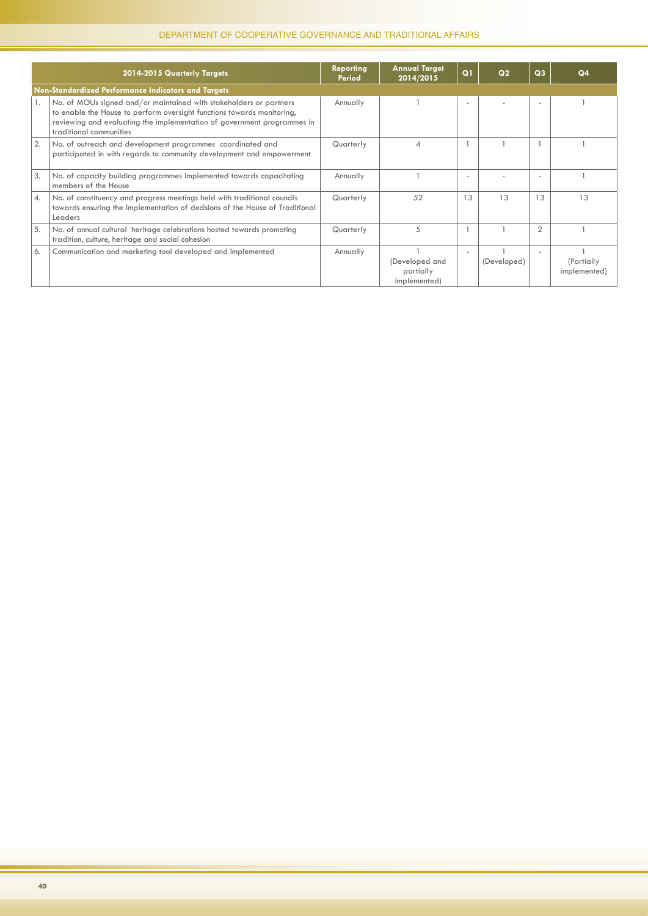|    | 2014-2015 Quarterly Targets                                                                                                                                                                                                                        | <b>Reporting</b><br><b>Period</b> | <b>Annual Target</b><br>2014/2015           | Q1                       | Q <sub>2</sub> | Q <sub>3</sub> | Q <sub>4</sub>             |
|----|----------------------------------------------------------------------------------------------------------------------------------------------------------------------------------------------------------------------------------------------------|-----------------------------------|---------------------------------------------|--------------------------|----------------|----------------|----------------------------|
|    | Non-Standardized Performance Indicators and Targets                                                                                                                                                                                                |                                   |                                             |                          |                |                |                            |
| 1. | No. of MOUs signed and/or maintained with stakeholders or partners<br>to enable the House to perform oversight functions towards monitoring,<br>reviewing and evaluating the implementation of government programmes in<br>traditional communities | Annually                          |                                             |                          |                |                |                            |
| 2. | No. of outreach and development programmes coordinated and<br>participated in with regards to community development and empowerment                                                                                                                | Quarterly                         | 4                                           |                          |                |                |                            |
| 3. | No. of capacity building programmes implemented towards capacitating<br>members of the House                                                                                                                                                       | Annually                          |                                             | ٠                        |                | ۰              |                            |
| 4. | No. of constituency and progress meetings held with traditional councils<br>towards ensuring the implementation of decisions of the House of Traditional<br>Leaders                                                                                | Quarterly                         | 52                                          | 13                       | 13             | 13             | 13                         |
| 5. | No. of annual cultural heritage celebrations hosted towards promoting<br>tradition, culture, heritage and social cohesion                                                                                                                          | Quarterly                         | 5                                           |                          |                | $\overline{2}$ |                            |
| 6. | Communication and marketing tool developed and implemented                                                                                                                                                                                         | Annually                          | (Developed and<br>partially<br>implemented) | $\overline{\phantom{a}}$ | (Developed)    | ٠              | (Partially<br>implemented) |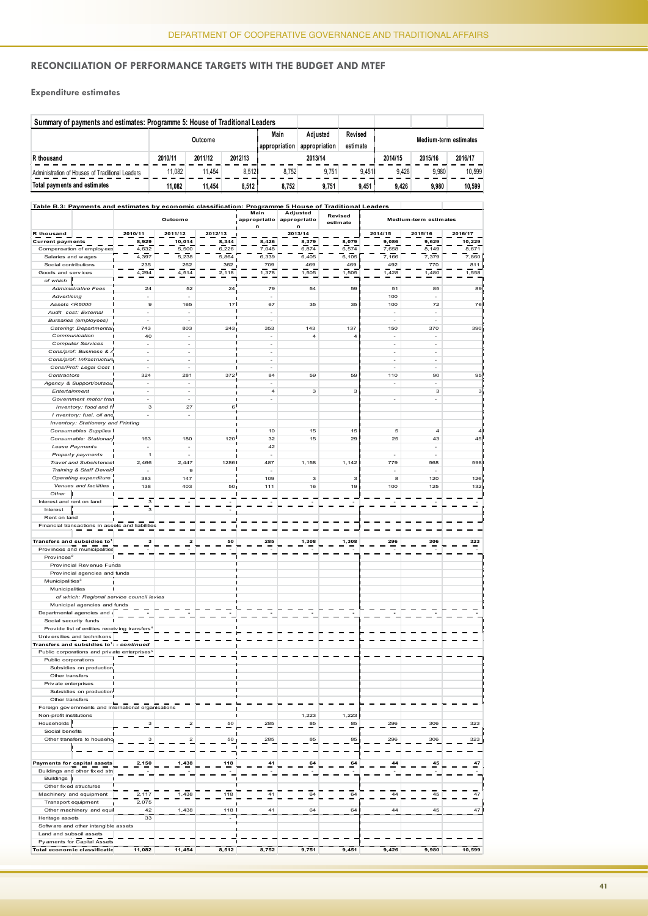#### **Reconciliation of Performance Targets with the Budget and MTEF**

**Expenditure estimates** 

| Summary of payments and estimates: Programme 5: House of Traditional Leaders |         |         |         |                       |                           |                     |                       |         |         |  |
|------------------------------------------------------------------------------|---------|---------|---------|-----------------------|---------------------------|---------------------|-----------------------|---------|---------|--|
|                                                                              | Outcome |         |         | Main<br>appropriation | Adiusted<br>appropriation | Revised<br>estimate | Medium-term estimates |         |         |  |
| R thousand                                                                   | 2010/11 | 2011/12 | 2012/13 |                       | 2013/14                   |                     | 2014/15               | 2015/16 | 2016/17 |  |
| Administration of Houses of Traditional Leaders                              | 11.082  | 11.454  | 8.512   | 8.752                 | 9.751                     | 9.451               | 9.426                 | 9.980   | 10.599  |  |
| Total payments and estimates                                                 | 11.082  | 11.454  | 8.512   | 8.752                 | 9.751                     | 9.451               | 9.426                 | 9.980   | 10,599  |  |
|                                                                              |         |         |         |                       |                           |                     |                       |         |         |  |

| Table B.3: Payments and estimates by economic classification: Programme 5 House of Traditional Leaders                                                  |                                                          |                                                     |                          |                  |                                  |                          |                     |                          |                          |         |
|---------------------------------------------------------------------------------------------------------------------------------------------------------|----------------------------------------------------------|-----------------------------------------------------|--------------------------|------------------|----------------------------------|--------------------------|---------------------|--------------------------|--------------------------|---------|
|                                                                                                                                                         |                                                          |                                                     | Outcome                  |                  | Main<br>appropriatio             | Adjusted<br>appropriatio | Revised<br>estimate |                          | Medium-term estimates    |         |
| R thousand                                                                                                                                              |                                                          | 2010/11                                             |                          |                  | n                                |                          |                     |                          | 2015/16                  | 2016/17 |
| <b>Current payments</b>                                                                                                                                 |                                                          | 8,929                                               | 2011/12<br>10,014        | 2012/13<br>8,344 | 8,426                            | 2013/14<br>8,379         | 8,079               | 2014/15<br>9,086         | 9,629                    | 10,229  |
|                                                                                                                                                         | Compensation of employees                                | 4,632                                               | 5,500                    | 6,226            | 7,048                            | 6,874                    | 6,574               | 7,658                    | 8,149                    | 8,671   |
| Salaries and wages                                                                                                                                      |                                                          | 4,397                                               | 5,238                    | 5,864            | 6,339                            | 6,405                    | 6,105               | 7,166                    | 7,379                    | 7,860   |
| Social contributions                                                                                                                                    |                                                          | 235                                                 | 262                      | 362              | 709                              | 469                      | 469                 | 492                      | 770                      | 811     |
| Goods and services                                                                                                                                      |                                                          | 4,294                                               | 4,514                    | 2,118            | 1,378                            | 1,505                    | 1,505               | 1,428                    | 1,480                    | 1,558   |
| of which                                                                                                                                                |                                                          |                                                     |                          |                  |                                  |                          |                     |                          |                          |         |
|                                                                                                                                                         | <b>Administrative Fees</b>                               | 24                                                  | 52                       | 24               | 79                               | 54                       | 59                  | 51                       | 85                       | 89      |
| Advertising                                                                                                                                             |                                                          | $\overline{\phantom{a}}$                            | ÷,                       |                  |                                  |                          |                     | 100                      | $\overline{\phantom{0}}$ |         |
| Assets <r5000< td=""><td></td><td>9</td><td>165</td><td>17<sup>1</sup></td><td>67</td><td>35</td><td>35</td><td>100</td><td>72</td><td>76</td></r5000<> |                                                          | 9                                                   | 165                      | 17 <sup>1</sup>  | 67                               | 35                       | 35                  | 100                      | 72                       | 76      |
|                                                                                                                                                         | Audit cost: External                                     | ÷                                                   | ÷                        |                  | ÷,                               |                          |                     | ÷,                       | Ĭ.                       |         |
|                                                                                                                                                         | <b>Bursaries</b> (employees)                             | $\overline{\phantom{a}}$                            | $\sim$                   |                  | $\overline{a}$                   |                          |                     | ÷                        | ÷                        |         |
|                                                                                                                                                         | Catering: Departmental                                   | 743                                                 | 803                      | 243              | 353                              | 143                      | 137 <sub>1</sub>    | 150                      | 370                      | 390     |
|                                                                                                                                                         | Communication                                            | 40                                                  | $\overline{\phantom{a}}$ |                  | $\overline{a}$                   | 4                        | 41                  | $\overline{\phantom{a}}$ | ÷                        |         |
|                                                                                                                                                         | <b>Computer Services</b>                                 | $\sim$                                              | $\overline{\phantom{a}}$ |                  | ÷,                               |                          |                     | $\overline{\phantom{a}}$ | ÷,                       |         |
|                                                                                                                                                         | Cons/prof: Business &.                                   | $\overline{\phantom{a}}$                            | ÷                        |                  | $\frac{1}{2}$                    |                          |                     | ÷,                       | $\overline{\phantom{0}}$ |         |
|                                                                                                                                                         | Cons/prof: Infrastructure                                | $\overline{\phantom{a}}$                            | $\overline{\phantom{a}}$ |                  | $\overline{a}$<br>$\overline{a}$ |                          |                     | ÷,<br>$\overline{a}$     | ÷                        |         |
|                                                                                                                                                         | Cons/Prof: Legal Cost                                    | ÷<br>324                                            | ٠<br>281                 | 372              | 84                               | 59                       | 59                  | п                        | $\overline{a}$<br>90     | 95      |
| Contractors                                                                                                                                             | Agency & Support/outsou                                  | ÷,                                                  | ÷,                       |                  | $\overline{a}$                   |                          |                     | 110<br>÷,                | $\overline{a}$           |         |
| Entertainment                                                                                                                                           |                                                          | $\sim$                                              | $\overline{\phantom{a}}$ |                  | $\overline{4}$                   | 3                        | 3 <sub>1</sub>      | ш                        | 3                        | 3       |
|                                                                                                                                                         | Government motor tran                                    | ÷                                                   | $\overline{\phantom{a}}$ |                  | ÷                                |                          |                     | ÷                        | ÷                        |         |
|                                                                                                                                                         | Inventory: food and f                                    | 3                                                   | 27                       | $6^{\prime}$     |                                  |                          |                     |                          |                          |         |
|                                                                                                                                                         | I nventory: fuel, oil and                                | $\sim$                                              | $\overline{\phantom{a}}$ |                  |                                  |                          |                     |                          |                          |         |
|                                                                                                                                                         | Inventory: Stationery and Printing                       |                                                     |                          |                  |                                  |                          |                     |                          |                          |         |
|                                                                                                                                                         | Consumables Supplies                                     |                                                     |                          |                  | 10                               | 15                       | 15 <sup>1</sup>     | 5                        | $\overline{4}$           | 4       |
|                                                                                                                                                         | Consumable: Stationary                                   | 163                                                 | 180                      | 120              | 32                               | 15                       | 29 <sup>1</sup>     | 25                       | 43                       | 45      |
|                                                                                                                                                         | Lease Payments                                           | ÷,                                                  | $\overline{a}$           |                  | 42                               |                          |                     |                          | $\overline{\phantom{0}}$ |         |
|                                                                                                                                                         | Property payments                                        | $\overline{1}$                                      | ÷                        |                  |                                  |                          |                     | ÷                        | ÷                        |         |
|                                                                                                                                                         | Travel and Subsistence                                   | 2,466                                               | 2,447                    | 12861            | 487                              | 1,158                    | 1,142               | 779                      | 568                      | 598     |
|                                                                                                                                                         | Training & Staff Develo                                  | $\sim$                                              | 9                        |                  | ٠                                |                          |                     | п<br>$\overline{a}$      | ٠                        |         |
|                                                                                                                                                         | Operating expenditure                                    | 383                                                 | 147                      |                  | 109                              | з                        | 3                   | 8                        | 120                      | 126     |
|                                                                                                                                                         | Venues and facilities                                    | 138                                                 | 403                      | 50 <sub>1</sub>  | 111                              | 16                       | 19 <sub>1</sub>     | 100                      | 125                      | 132     |
| Other                                                                                                                                                   |                                                          |                                                     |                          |                  |                                  |                          |                     |                          |                          |         |
| Interest and rent on land                                                                                                                               |                                                          | 3                                                   |                          |                  |                                  |                          |                     |                          |                          |         |
| Interest                                                                                                                                                |                                                          | 3                                                   |                          |                  |                                  |                          |                     |                          |                          |         |
| Rent on land                                                                                                                                            |                                                          |                                                     |                          |                  |                                  |                          |                     |                          |                          |         |
|                                                                                                                                                         |                                                          | Financial transactions in assets and liabilities    |                          |                  |                                  |                          |                     |                          |                          |         |
|                                                                                                                                                         |                                                          |                                                     |                          |                  |                                  |                          |                     |                          |                          |         |
|                                                                                                                                                         | Transfers and subsidies to <sup>1</sup>                  | з                                                   | $\mathbf{z}$             | 50               | 285                              | 1,308                    | 1,308               | 296                      | 306                      | 323     |
|                                                                                                                                                         | Provinces and municipalities                             |                                                     |                          |                  |                                  |                          |                     |                          |                          |         |
| Provinces <sup>2</sup>                                                                                                                                  |                                                          |                                                     |                          |                  |                                  |                          |                     |                          |                          |         |
|                                                                                                                                                         | Provincial Revenue Funds                                 |                                                     |                          |                  |                                  |                          |                     |                          |                          |         |
|                                                                                                                                                         | Provincial agencies and funds                            |                                                     |                          |                  |                                  |                          |                     |                          |                          |         |
| Municipalities <sup>3</sup><br>Municipalities                                                                                                           |                                                          |                                                     |                          |                  |                                  |                          |                     |                          |                          |         |
|                                                                                                                                                         |                                                          | of which: Regional service council levies           |                          |                  |                                  |                          |                     |                          |                          |         |
|                                                                                                                                                         | Municipal agencies and funds                             |                                                     |                          |                  |                                  |                          |                     |                          |                          |         |
|                                                                                                                                                         | Departmental agencies and a                              |                                                     |                          |                  |                                  |                          |                     |                          |                          |         |
|                                                                                                                                                         | Social security funds                                    |                                                     |                          |                  |                                  |                          |                     |                          |                          |         |
|                                                                                                                                                         | Provide list of entities receiving transfers'            |                                                     |                          |                  |                                  |                          |                     |                          |                          |         |
|                                                                                                                                                         | Universities and technikons                              |                                                     |                          |                  |                                  |                          |                     |                          |                          |         |
|                                                                                                                                                         | Transfers and subsidies to <sup>1</sup> : - continued    |                                                     |                          |                  |                                  |                          |                     |                          |                          |         |
|                                                                                                                                                         | Public corporations and private enterprises <sup>5</sup> |                                                     |                          |                  |                                  |                          |                     |                          |                          |         |
| Public corporations                                                                                                                                     |                                                          |                                                     |                          |                  |                                  |                          |                     |                          |                          |         |
|                                                                                                                                                         | Subsidies on production                                  |                                                     |                          |                  |                                  |                          |                     |                          |                          |         |
| Other transfers                                                                                                                                         |                                                          |                                                     |                          |                  |                                  |                          |                     |                          |                          |         |
| Private enterprises                                                                                                                                     |                                                          |                                                     |                          |                  |                                  |                          |                     |                          |                          |         |
|                                                                                                                                                         | Subsidies on production                                  |                                                     |                          |                  |                                  |                          |                     |                          |                          |         |
| Other transfers                                                                                                                                         |                                                          |                                                     |                          |                  |                                  |                          |                     |                          |                          |         |
|                                                                                                                                                         |                                                          | Foreign governments and international organisations |                          |                  |                                  |                          |                     |                          |                          |         |
| Non-profit institutions                                                                                                                                 |                                                          |                                                     |                          |                  |                                  | 1,223                    | 1,223               |                          |                          |         |
| Households                                                                                                                                              |                                                          | 3                                                   | $\mathbf 2$              | 50               | 285                              | 85                       | 85                  | 296                      | 306                      | 323     |
| Social benefits                                                                                                                                         |                                                          |                                                     |                          |                  |                                  |                          |                     |                          |                          |         |
|                                                                                                                                                         | Other transfers to househo                               | з                                                   | 2                        | $50\,$           | 285                              | 85                       | 85<br><b>I</b>      | 296                      | 306                      | 323     |
|                                                                                                                                                         |                                                          |                                                     |                          |                  |                                  |                          | ٦                   |                          |                          |         |
|                                                                                                                                                         | Payments for capital assets                              | 2,150                                               | 1,438                    | 118              | 41                               | 64                       | 64                  | 44                       | 45                       | 47      |
|                                                                                                                                                         | Buildings and other fixed str                            |                                                     |                          |                  |                                  |                          |                     |                          |                          |         |
| Buildings                                                                                                                                               |                                                          |                                                     |                          |                  |                                  |                          |                     |                          |                          |         |
|                                                                                                                                                         | Other fixed structures                                   |                                                     |                          |                  |                                  |                          |                     |                          |                          |         |
|                                                                                                                                                         | Machinery and equipment                                  | 2,117                                               | 1,438                    | 118              | 41                               | 64                       | 64                  | 44                       | 45                       | 47      |
|                                                                                                                                                         | Transport equipment                                      | 2,075                                               |                          |                  |                                  |                          |                     |                          |                          |         |
|                                                                                                                                                         | Other machinery and equi                                 | 42                                                  | 1,438                    | 118              | 41                               | 64                       | 64                  | 44                       | 45                       | 47      |
| Heritage assets                                                                                                                                         |                                                          | 33                                                  |                          | $\overline{a}$   |                                  |                          |                     |                          |                          |         |
|                                                                                                                                                         | Software and other intangible assets                     |                                                     |                          |                  |                                  |                          |                     |                          |                          |         |
| Land and subsoil assets                                                                                                                                 |                                                          |                                                     |                          |                  |                                  |                          |                     |                          |                          |         |
|                                                                                                                                                         | Py aments for Capital Assets                             |                                                     |                          |                  |                                  |                          |                     |                          |                          |         |
|                                                                                                                                                         | Total economic classificatic                             | 11,082                                              | 11,454                   | 8,512            | 8,752                            | 9,751                    | 9,451               | 9,426                    | 9,980                    | 10,599  |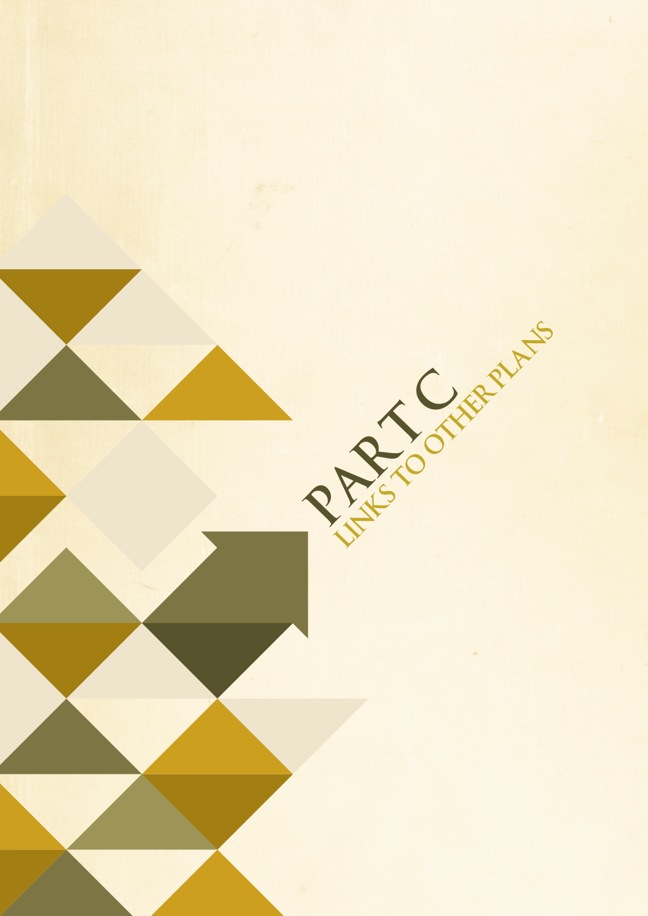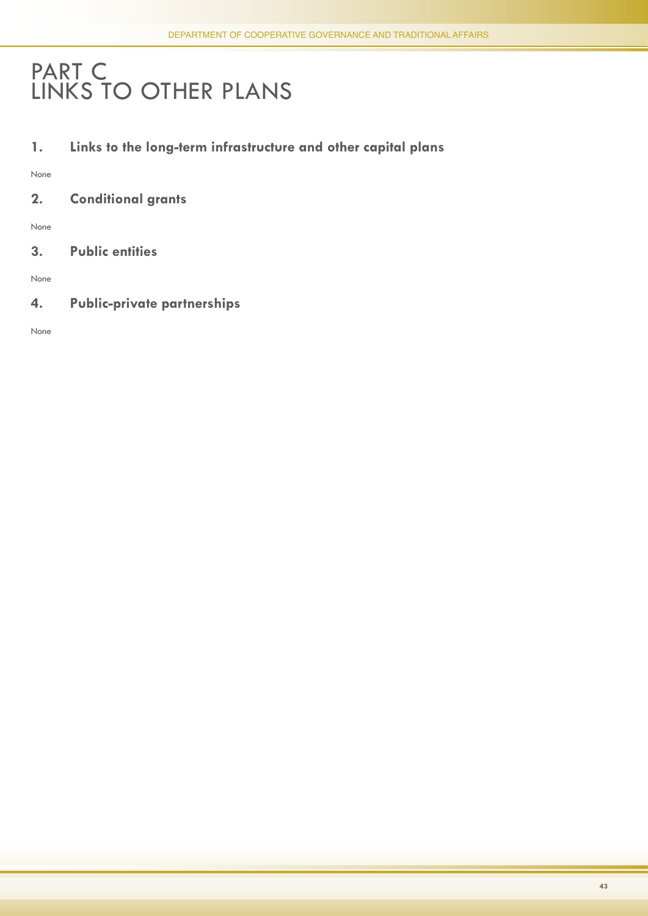## PART C LINKS TO OTHER PLANS

**1. Links to the long-term infrastructure and other capital plans**

None

**2. Conditional grants**

None

**3. Public entities** 

None

**4. Public-private partnerships** 

None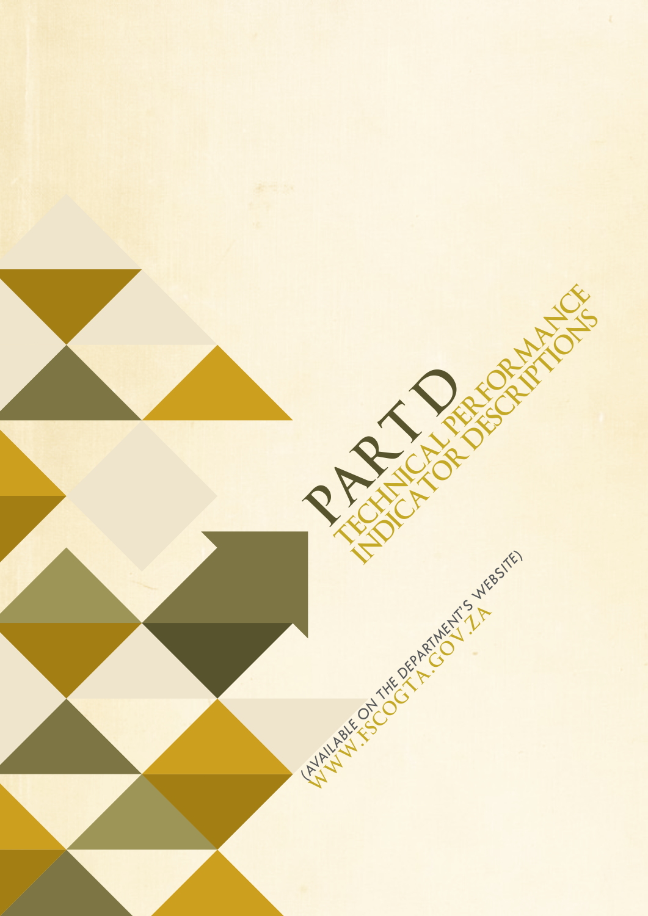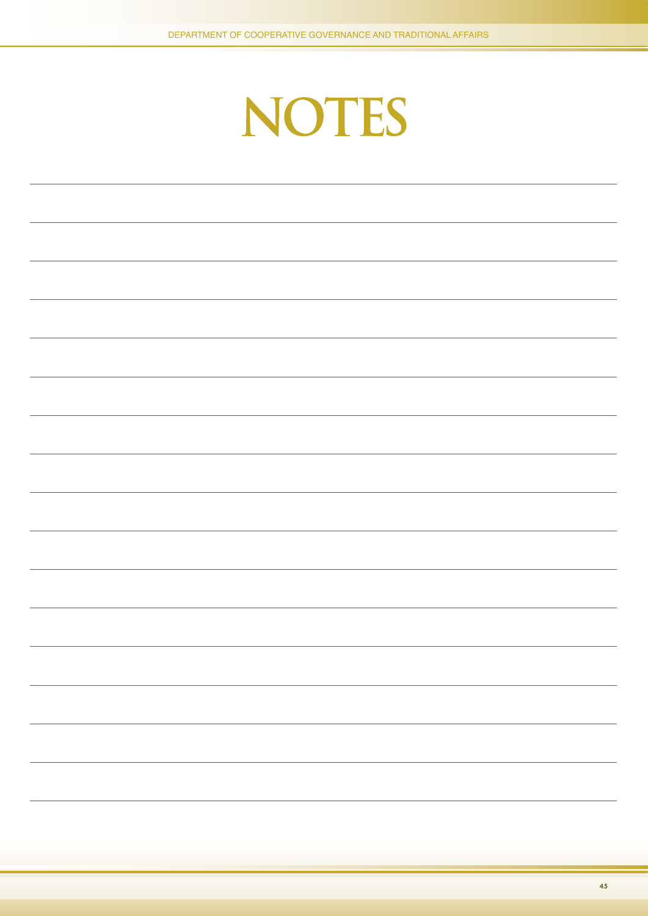

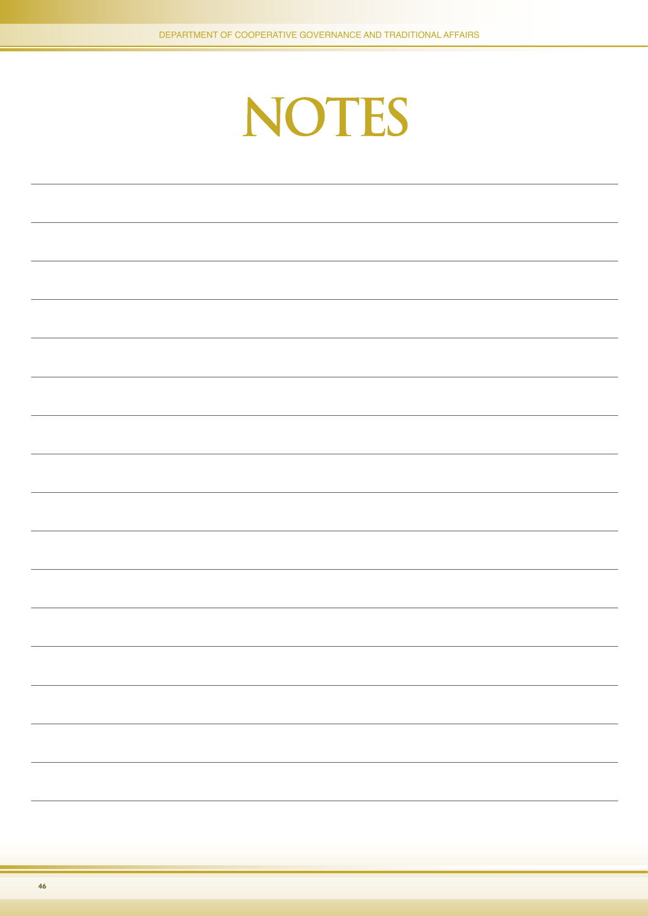# NOTES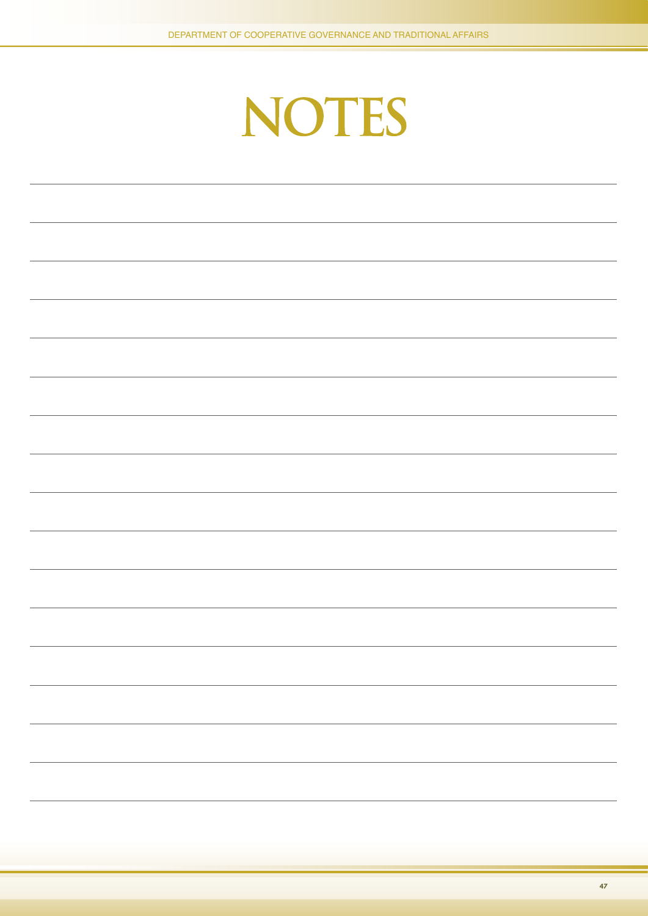